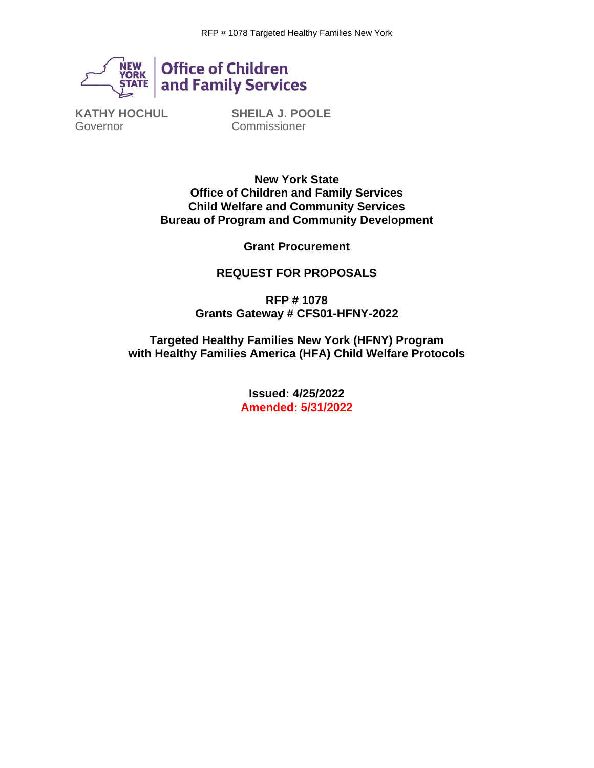

**Office of Children<br>and Family Services** 

**KATHY HOCHUL** Governor

**SHEILA J. POOLE Commissioner** 

**New York State Office of Children and Family Services Child Welfare and Community Services Bureau of Program and Community Development**

**Grant Procurement**

#### **REQUEST FOR PROPOSALS**

**RFP # 1078 Grants Gateway # CFS01-HFNY-2022**

**Targeted Healthy Families New York (HFNY) Program with Healthy Families America (HFA) Child Welfare Protocols**

> **Issued: 4/25/2022 Amended: 5/31/2022**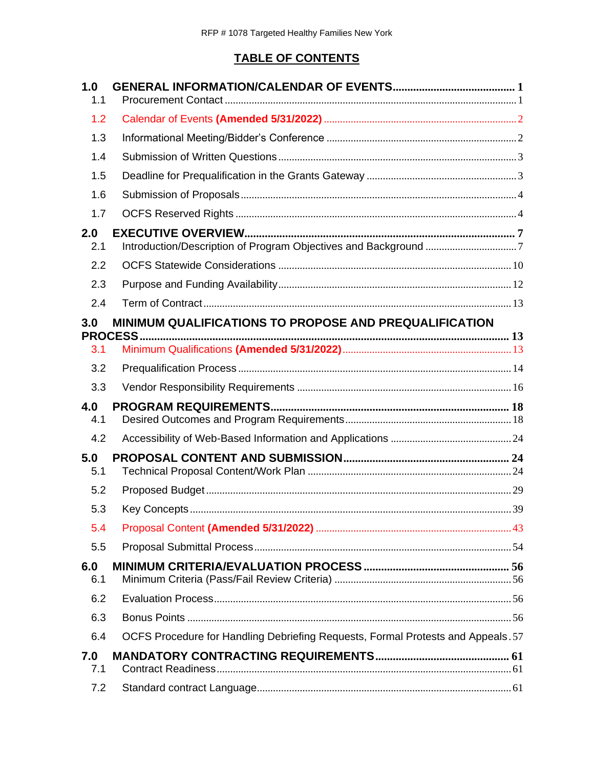# **TABLE OF CONTENTS**

| 1.0<br>1.1 |                                                                                  |    |
|------------|----------------------------------------------------------------------------------|----|
| 1.2        |                                                                                  |    |
| 1.3        |                                                                                  |    |
| 1.4        |                                                                                  |    |
| 1.5        |                                                                                  |    |
| 1.6        |                                                                                  |    |
| 1.7        |                                                                                  |    |
| 2.0<br>2.1 |                                                                                  |    |
| 2.2        |                                                                                  |    |
| 2.3        |                                                                                  |    |
| 2.4        |                                                                                  |    |
| 3.0        | MINIMUM QUALIFICATIONS TO PROPOSE AND PREQUALIFICATION                           |    |
|            | <b>PROCESS</b>                                                                   |    |
| 3.1        |                                                                                  |    |
| 3.2        |                                                                                  |    |
| 3.3        |                                                                                  |    |
| 4.0<br>4.1 |                                                                                  |    |
| 4.2        |                                                                                  |    |
| 5.0<br>5.1 |                                                                                  |    |
| 5.2        |                                                                                  |    |
| 5.3        | <b>Kev Concepts</b>                                                              | 39 |
| 5.4        |                                                                                  |    |
| 5.5        |                                                                                  |    |
| 6.0<br>6.1 |                                                                                  |    |
| 6.2        |                                                                                  |    |
| 6.3        |                                                                                  |    |
| 6.4        | OCFS Procedure for Handling Debriefing Requests, Formal Protests and Appeals. 57 |    |
| 7.0<br>7.1 |                                                                                  |    |
| 7.2        |                                                                                  |    |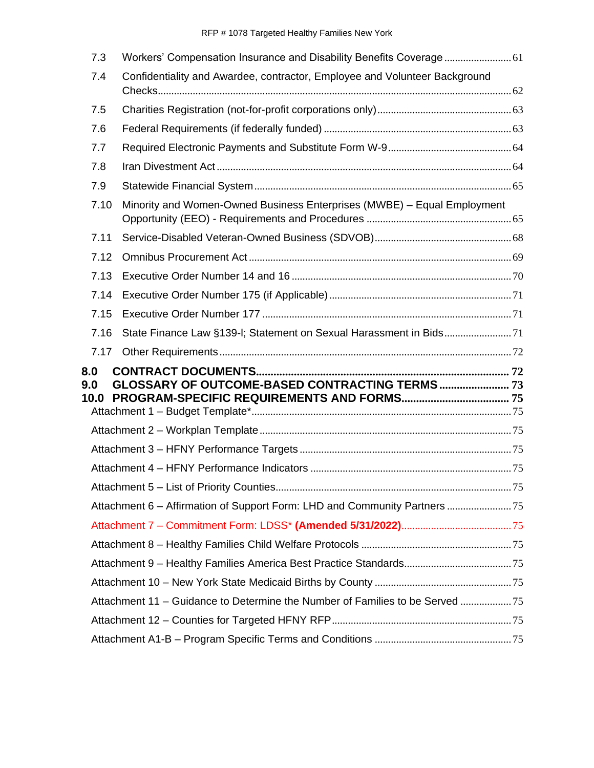| 7.3                |                                                                            |  |
|--------------------|----------------------------------------------------------------------------|--|
| 7.4                | Confidentiality and Awardee, contractor, Employee and Volunteer Background |  |
| 7.5                |                                                                            |  |
| 7.6                |                                                                            |  |
| 7.7                |                                                                            |  |
| 7.8                |                                                                            |  |
| 7.9                |                                                                            |  |
| 7.10               | Minority and Women-Owned Business Enterprises (MWBE) - Equal Employment    |  |
| 7.11               |                                                                            |  |
| 7.12               |                                                                            |  |
| 7.13               |                                                                            |  |
| 7.14               |                                                                            |  |
| 7.15               |                                                                            |  |
| 7.16               |                                                                            |  |
| 7.17               |                                                                            |  |
| 8.0<br>9.0<br>10.0 |                                                                            |  |
|                    |                                                                            |  |
|                    |                                                                            |  |
|                    |                                                                            |  |
|                    |                                                                            |  |
|                    | Attachment 6 – Affirmation of Support Form: LHD and Community Partners     |  |
|                    |                                                                            |  |
|                    |                                                                            |  |
|                    |                                                                            |  |
|                    |                                                                            |  |
|                    | Attachment 11 – Guidance to Determine the Number of Families to be Served  |  |
|                    |                                                                            |  |
|                    |                                                                            |  |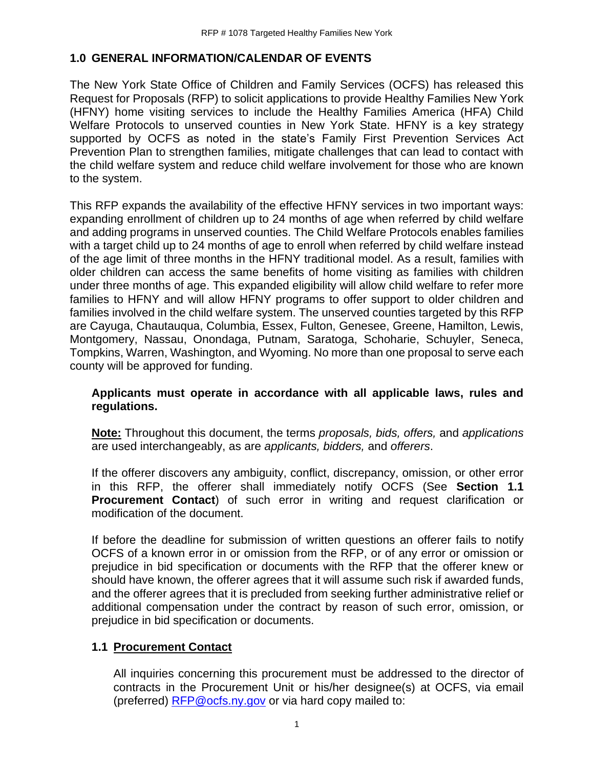#### <span id="page-3-0"></span>**1.0 GENERAL INFORMATION/CALENDAR OF EVENTS**

The New York State Office of Children and Family Services (OCFS) has released this Request for Proposals (RFP) to solicit applications to provide Healthy Families New York (HFNY) home visiting services to include the Healthy Families America (HFA) Child Welfare Protocols to unserved counties in New York State. HFNY is a key strategy supported by OCFS as noted in the state's Family First Prevention Services Act Prevention Plan to strengthen families, mitigate challenges that can lead to contact with the child welfare system and reduce child welfare involvement for those who are known to the system.

This RFP expands the availability of the effective HFNY services in two important ways: expanding enrollment of children up to 24 months of age when referred by child welfare and adding programs in unserved counties. The Child Welfare Protocols enables families with a target child up to 24 months of age to enroll when referred by child welfare instead of the age limit of three months in the HFNY traditional model. As a result, families with older children can access the same benefits of home visiting as families with children under three months of age. This expanded eligibility will allow child welfare to refer more families to HFNY and will allow HFNY programs to offer support to older children and families involved in the child welfare system. The unserved counties targeted by this RFP are Cayuga, Chautauqua, Columbia, Essex, Fulton, Genesee, Greene, Hamilton, Lewis, Montgomery, Nassau, Onondaga, Putnam, Saratoga, Schoharie, Schuyler, Seneca, Tompkins, Warren, Washington, and Wyoming. No more than one proposal to serve each county will be approved for funding.

#### **Applicants must operate in accordance with all applicable laws, rules and regulations.**

**Note:** Throughout this document, the terms *proposals, bids, offers,* and *applications*  are used interchangeably, as are *applicants, bidders,* and *offerers*.

If the offerer discovers any ambiguity, conflict, discrepancy, omission, or other error in this RFP, the offerer shall immediately notify OCFS (See **Section 1.1 Procurement Contact**) of such error in writing and request clarification or modification of the document.

If before the deadline for submission of written questions an offerer fails to notify OCFS of a known error in or omission from the RFP, or of any error or omission or prejudice in bid specification or documents with the RFP that the offerer knew or should have known, the offerer agrees that it will assume such risk if awarded funds, and the offerer agrees that it is precluded from seeking further administrative relief or additional compensation under the contract by reason of such error, omission, or prejudice in bid specification or documents.

# <span id="page-3-1"></span>**1.1 Procurement Contact**

All inquiries concerning this procurement must be addressed to the director of contracts in the Procurement Unit or his/her designee(s) at OCFS, via email (preferred) [RFP@ocfs.ny.gov](mailto:RFP@ocfs.ny.gov) or via hard copy mailed to: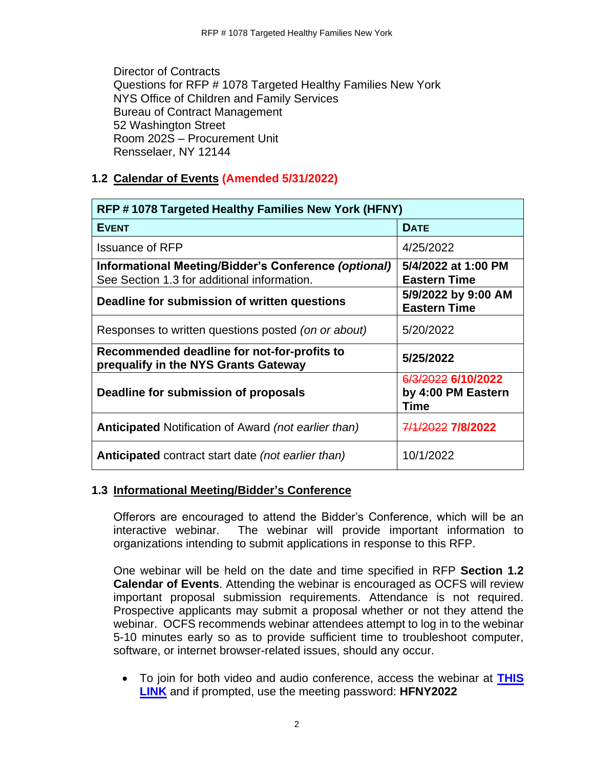Director of Contracts Questions for RFP # 1078 Targeted Healthy Families New York NYS Office of Children and Family Services Bureau of Contract Management 52 Washington Street Room 202S – Procurement Unit Rensselaer, NY 12144

# <span id="page-4-0"></span>**1.2 Calendar of Events (Amended 5/31/2022)**

| RFP #1078 Targeted Healthy Families New York (HFNY)                                                 |                                                  |  |  |  |
|-----------------------------------------------------------------------------------------------------|--------------------------------------------------|--|--|--|
| <b>EVENT</b>                                                                                        | <b>DATE</b>                                      |  |  |  |
| <b>Issuance of RFP</b>                                                                              | 4/25/2022                                        |  |  |  |
| Informational Meeting/Bidder's Conference (optional)<br>See Section 1.3 for additional information. | 5/4/2022 at 1:00 PM<br><b>Eastern Time</b>       |  |  |  |
| Deadline for submission of written questions                                                        | 5/9/2022 by 9:00 AM<br><b>Eastern Time</b>       |  |  |  |
| Responses to written questions posted (on or about)                                                 | 5/20/2022                                        |  |  |  |
| Recommended deadline for not-for-profits to<br>prequalify in the NYS Grants Gateway                 | 5/25/2022                                        |  |  |  |
| Deadline for submission of proposals                                                                | 6/3/2022 6/10/2022<br>by 4:00 PM Eastern<br>Time |  |  |  |
| <b>Anticipated Notification of Award (not earlier than)</b>                                         | 7/1/2022 7/8/2022                                |  |  |  |
| Anticipated contract start date (not earlier than)                                                  | 10/1/2022                                        |  |  |  |

# <span id="page-4-1"></span>**1.3 Informational Meeting/Bidder's Conference**

Offerors are encouraged to attend the Bidder's Conference, which will be an interactive webinar. The webinar will provide important information to organizations intending to submit applications in response to this RFP.

One webinar will be held on the date and time specified in RFP **Section 1.2 Calendar of Events**. Attending the webinar is encouraged as OCFS will review important proposal submission requirements. Attendance is not required. Prospective applicants may submit a proposal whether or not they attend the webinar. OCFS recommends webinar attendees attempt to log in to the webinar 5-10 minutes early so as to provide sufficient time to troubleshoot computer, software, or internet browser-related issues, should any occur.

• To join for both video and audio conference, access the webinar at **[THIS](https://meetny.webex.com/meetny/j.php?MTID=m331ff833a7d684564507e616d3255890)  [LINK](https://meetny.webex.com/meetny/j.php?MTID=m331ff833a7d684564507e616d3255890)** and if prompted, use the meeting password: **HFNY2022**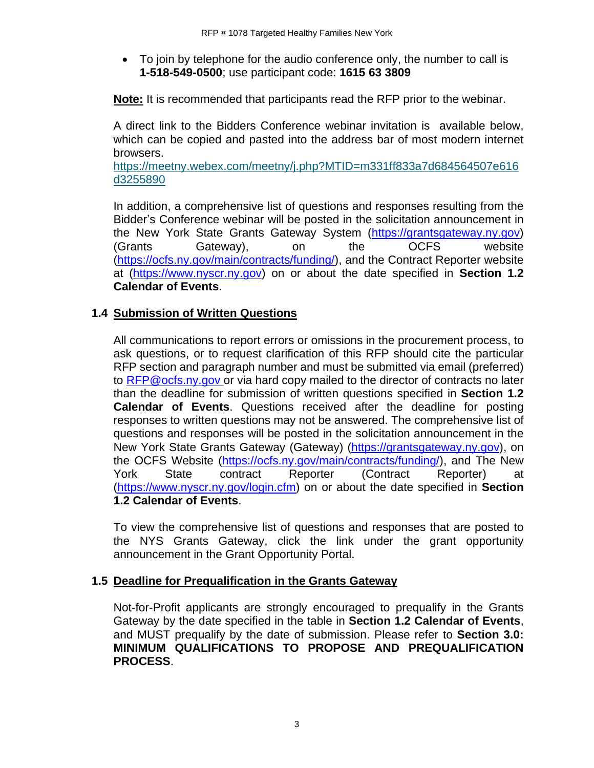• To join by telephone for the audio conference only, the number to call is **1-518-549-0500**; use participant code: **1615 63 3809**

**Note:** It is recommended that participants read the RFP prior to the webinar.

A direct link to the Bidders Conference webinar invitation is available below, which can be copied and pasted into the address bar of most modern internet browsers.

[https://meetny.webex.com/meetny/j.php?MTID=m331ff833a7d684564507e616](https://meetny.webex.com/meetny/j.php?MTID=m331ff833a7d684564507e616d3255890) [d3255890](https://meetny.webex.com/meetny/j.php?MTID=m331ff833a7d684564507e616d3255890)

In addition, a comprehensive list of questions and responses resulting from the Bidder's Conference webinar will be posted in the solicitation announcement in the New York State Grants Gateway System [\(https://grantsgateway.ny.gov\)](https://grantsgateway.ny.gov/) (Grants Gateway), on the OCFS website [\(https://ocfs.ny.gov/main/contracts/funding/\)](https://ocfs.ny.gov/main/contracts/funding/), and the Contract Reporter website at [\(https://www.nyscr.ny.gov\)](https://www.nyscr.ny.gov/) on or about the date specified in **Section 1.2 Calendar of Events**.

#### <span id="page-5-0"></span>**1.4 Submission of Written Questions**

All communications to report errors or omissions in the procurement process, to ask questions, or to request clarification of this RFP should cite the particular RFP section and paragraph number and must be submitted via email (preferred) to [RFP@ocfs.ny.gov](mailto:RFP@ocfs.ny.gov) or via hard copy mailed to the director of contracts no later than the deadline for submission of written questions specified in **Section 1.2 Calendar of Events**. Questions received after the deadline for posting responses to written questions may not be answered. The comprehensive list of questions and responses will be posted in the solicitation announcement in the New York State Grants Gateway (Gateway) [\(https://grantsgateway.ny.gov\)](https://grantsgateway.ny.gov/), on the OCFS Website [\(https://ocfs.ny.gov/main/contracts/funding/\)](https://ocfs.ny.gov/main/contracts/funding/), and The New York State contract Reporter (Contract Reporter) at [\(https://www.nyscr.ny.gov/login.cfm\)](https://www.nyscr.ny.gov/login.cfm) on or about the date specified in **Section 1.2 Calendar of Events**.

To view the comprehensive list of questions and responses that are posted to the NYS Grants Gateway, click the link under the grant opportunity announcement in the Grant Opportunity Portal.

#### <span id="page-5-1"></span>**1.5 Deadline for Prequalification in the Grants Gateway**

Not-for-Profit applicants are strongly encouraged to prequalify in the Grants Gateway by the date specified in the table in **Section 1.2 Calendar of Events**, and MUST prequalify by the date of submission. Please refer to **Section 3.0: MINIMUM QUALIFICATIONS TO PROPOSE AND PREQUALIFICATION PROCESS**.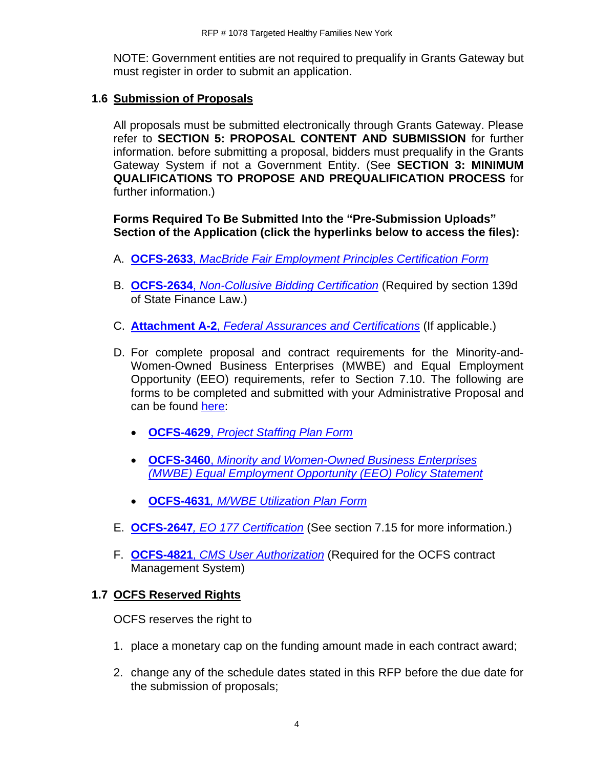NOTE: Government entities are not required to prequalify in Grants Gateway but must register in order to submit an application.

#### <span id="page-6-0"></span>**1.6 Submission of Proposals**

All proposals must be submitted electronically through Grants Gateway. Please refer to **SECTION 5: PROPOSAL CONTENT AND SUBMISSION** for further information. before submitting a proposal, bidders must prequalify in the Grants Gateway System if not a Government Entity. (See **SECTION 3: MINIMUM QUALIFICATIONS TO PROPOSE AND PREQUALIFICATION PROCESS** for further information.)

**Forms Required To Be Submitted Into the "Pre-Submission Uploads" Section of the Application (click the hyperlinks below to access the files):**

- A. **OCFS-2633**, *[MacBride Fair Employment Principles Certification Form](http://ocfs.ny.gov/main/Forms/Contracts/OCFS-2633.dotx)*
- B. **OCFS-2634**, *[Non-Collusive Bidding Certification](http://ocfs.ny.gov/main/Forms/Contracts/OCFS-2634.dotx)* (Required by section 139d of State Finance Law.)
- C. **Attachment A-2**, *[Federal Assurances and Certifications](http://ocfs.ny.gov/main/Forms/Contracts/OCFS-Attachment-A2-Federal-Assurances.pdf)* (If applicable.)
- D. For complete proposal and contract requirements for the Minority-and-Women-Owned Business Enterprises (MWBE) and Equal Employment Opportunity (EEO) requirements, refer to Section 7.10. The following are forms to be completed and submitted with your Administrative Proposal and can be found [here:](https://ocfs.ny.gov/main/documents/docs.asp?document_type=1&category_number=44)
	- **OCFS-4629**, *[Project Staffing Plan Form](https://ocfs.ny.gov/forms/ocfs/OCFS-4629.docx)*
	- **OCFS-3460**, *[Minority and Women-Owned Business Enterprises](http://ocfs.ny.gov/main/Forms/Contracts/OCFS-3460.docx)  [\(MWBE\) Equal Employment Opportunity \(EEO\) Policy Statement](http://ocfs.ny.gov/main/Forms/Contracts/OCFS-3460.docx)*
	- **OCFS-4631***[, M/WBE Utilization Plan Form](http://ocfs.ny.gov/main/Forms/Contracts/OCFS-4631%20M-WBE%20Utilization%20Plan%20Form.dot)*
- E. **OCFS-2647***[, EO 177 Certification](https://ocfs.ny.gov/main/Forms/Contracts/OCFS-2647.docx)* (See section 7.15 for more information.)
- F. **OCFS-4821**, *[CMS User Authorization](https://ocfs.ny.gov/main/Forms/Contracts/OCFS-4821%20Contract%20Management%20System%20(CMS)%20Authorization%20Form.dot)* (Required for the OCFS contract Management System)

# <span id="page-6-1"></span>**1.7 OCFS Reserved Rights**

OCFS reserves the right to

- 1. place a monetary cap on the funding amount made in each contract award;
- 2. change any of the schedule dates stated in this RFP before the due date for the submission of proposals;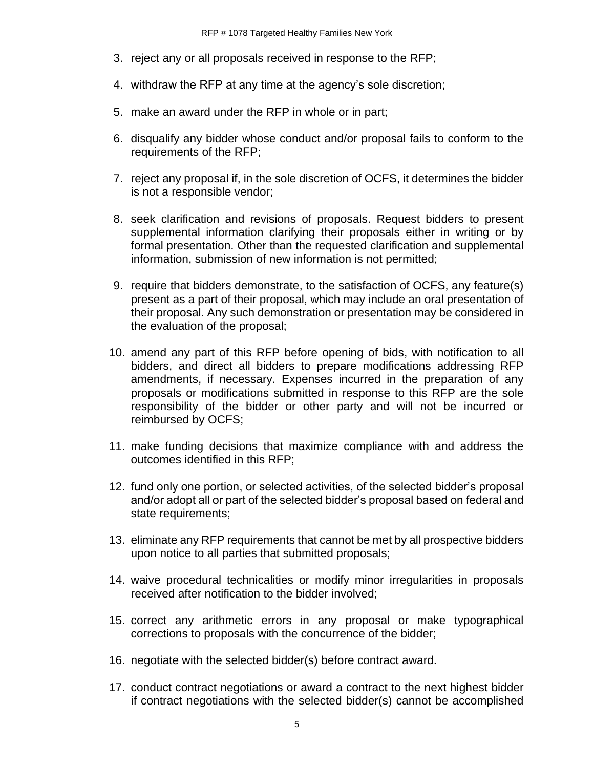- 3. reject any or all proposals received in response to the RFP;
- 4. withdraw the RFP at any time at the agency's sole discretion;
- 5. make an award under the RFP in whole or in part;
- 6. disqualify any bidder whose conduct and/or proposal fails to conform to the requirements of the RFP;
- 7. reject any proposal if, in the sole discretion of OCFS, it determines the bidder is not a responsible vendor;
- 8. seek clarification and revisions of proposals. Request bidders to present supplemental information clarifying their proposals either in writing or by formal presentation. Other than the requested clarification and supplemental information, submission of new information is not permitted;
- 9. require that bidders demonstrate, to the satisfaction of OCFS, any feature(s) present as a part of their proposal, which may include an oral presentation of their proposal. Any such demonstration or presentation may be considered in the evaluation of the proposal;
- 10. amend any part of this RFP before opening of bids, with notification to all bidders, and direct all bidders to prepare modifications addressing RFP amendments, if necessary. Expenses incurred in the preparation of any proposals or modifications submitted in response to this RFP are the sole responsibility of the bidder or other party and will not be incurred or reimbursed by OCFS;
- 11. make funding decisions that maximize compliance with and address the outcomes identified in this RFP;
- 12. fund only one portion, or selected activities, of the selected bidder's proposal and/or adopt all or part of the selected bidder's proposal based on federal and state requirements;
- 13. eliminate any RFP requirements that cannot be met by all prospective bidders upon notice to all parties that submitted proposals;
- 14. waive procedural technicalities or modify minor irregularities in proposals received after notification to the bidder involved;
- 15. correct any arithmetic errors in any proposal or make typographical corrections to proposals with the concurrence of the bidder;
- 16. negotiate with the selected bidder(s) before contract award.
- 17. conduct contract negotiations or award a contract to the next highest bidder if contract negotiations with the selected bidder(s) cannot be accomplished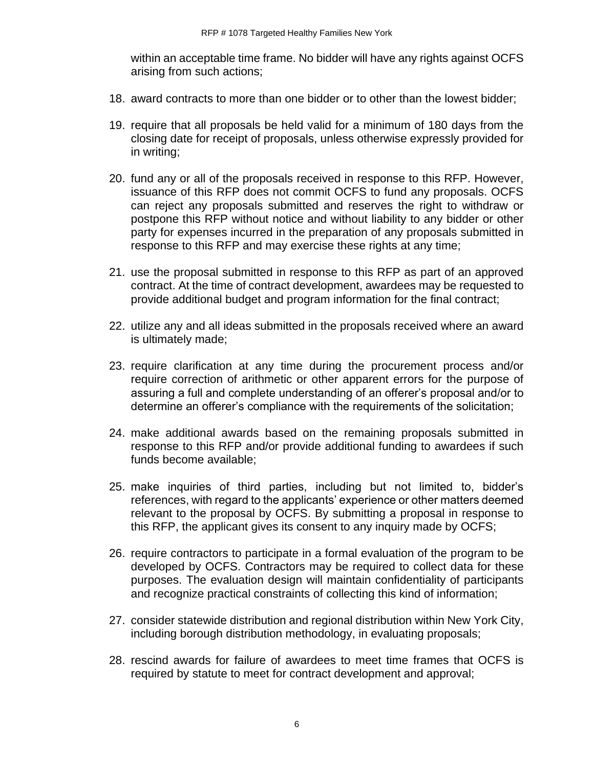within an acceptable time frame. No bidder will have any rights against OCFS arising from such actions;

- 18. award contracts to more than one bidder or to other than the lowest bidder;
- 19. require that all proposals be held valid for a minimum of 180 days from the closing date for receipt of proposals, unless otherwise expressly provided for in writing;
- 20. fund any or all of the proposals received in response to this RFP. However, issuance of this RFP does not commit OCFS to fund any proposals. OCFS can reject any proposals submitted and reserves the right to withdraw or postpone this RFP without notice and without liability to any bidder or other party for expenses incurred in the preparation of any proposals submitted in response to this RFP and may exercise these rights at any time;
- 21. use the proposal submitted in response to this RFP as part of an approved contract. At the time of contract development, awardees may be requested to provide additional budget and program information for the final contract;
- 22. utilize any and all ideas submitted in the proposals received where an award is ultimately made;
- 23. require clarification at any time during the procurement process and/or require correction of arithmetic or other apparent errors for the purpose of assuring a full and complete understanding of an offerer's proposal and/or to determine an offerer's compliance with the requirements of the solicitation;
- 24. make additional awards based on the remaining proposals submitted in response to this RFP and/or provide additional funding to awardees if such funds become available;
- 25. make inquiries of third parties, including but not limited to, bidder's references, with regard to the applicants' experience or other matters deemed relevant to the proposal by OCFS. By submitting a proposal in response to this RFP, the applicant gives its consent to any inquiry made by OCFS;
- 26. require contractors to participate in a formal evaluation of the program to be developed by OCFS. Contractors may be required to collect data for these purposes. The evaluation design will maintain confidentiality of participants and recognize practical constraints of collecting this kind of information;
- 27. consider statewide distribution and regional distribution within New York City, including borough distribution methodology, in evaluating proposals;
- 28. rescind awards for failure of awardees to meet time frames that OCFS is required by statute to meet for contract development and approval;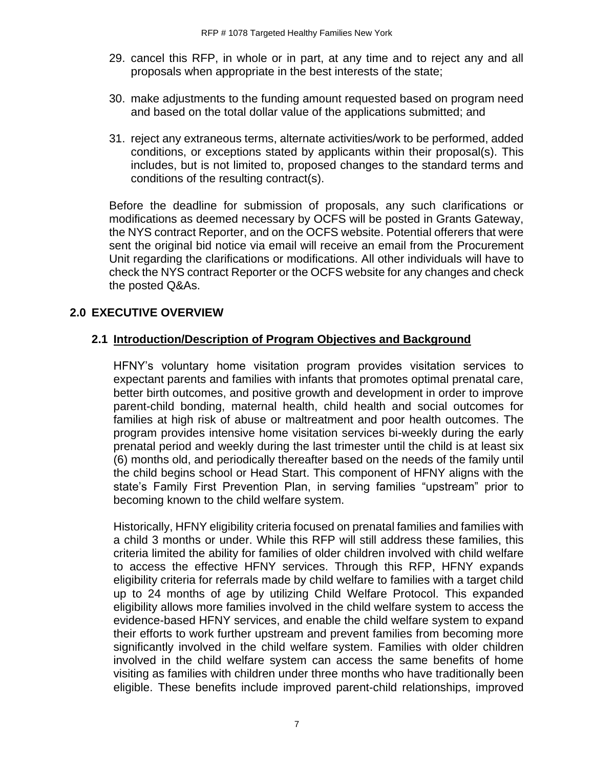- 29. cancel this RFP, in whole or in part, at any time and to reject any and all proposals when appropriate in the best interests of the state;
- 30. make adjustments to the funding amount requested based on program need and based on the total dollar value of the applications submitted; and
- 31. reject any extraneous terms, alternate activities/work to be performed, added conditions, or exceptions stated by applicants within their proposal(s). This includes, but is not limited to, proposed changes to the standard terms and conditions of the resulting contract(s).

Before the deadline for submission of proposals, any such clarifications or modifications as deemed necessary by OCFS will be posted in Grants Gateway, the NYS contract Reporter, and on the OCFS website. Potential offerers that were sent the original bid notice via email will receive an email from the Procurement Unit regarding the clarifications or modifications. All other individuals will have to check the NYS contract Reporter or the OCFS website for any changes and check the posted Q&As.

# <span id="page-9-0"></span>**2.0 EXECUTIVE OVERVIEW**

# <span id="page-9-1"></span>**2.1 Introduction/Description of Program Objectives and Background**

HFNY's voluntary home visitation program provides visitation services to expectant parents and families with infants that promotes optimal prenatal care, better birth outcomes, and positive growth and development in order to improve parent-child bonding, maternal health, child health and social outcomes for families at high risk of abuse or maltreatment and poor health outcomes. The program provides intensive home visitation services bi-weekly during the early prenatal period and weekly during the last trimester until the child is at least six (6) months old, and periodically thereafter based on the needs of the family until the child begins school or Head Start. This component of HFNY aligns with the state's Family First Prevention Plan, in serving families "upstream" prior to becoming known to the child welfare system.

Historically, HFNY eligibility criteria focused on prenatal families and families with a child 3 months or under. While this RFP will still address these families, this criteria limited the ability for families of older children involved with child welfare to access the effective HFNY services. Through this RFP, HFNY expands eligibility criteria for referrals made by child welfare to families with a target child up to 24 months of age by utilizing Child Welfare Protocol. This expanded eligibility allows more families involved in the child welfare system to access the evidence-based HFNY services, and enable the child welfare system to expand their efforts to work further upstream and prevent families from becoming more significantly involved in the child welfare system. Families with older children involved in the child welfare system can access the same benefits of home visiting as families with children under three months who have traditionally been eligible. These benefits include improved parent-child relationships, improved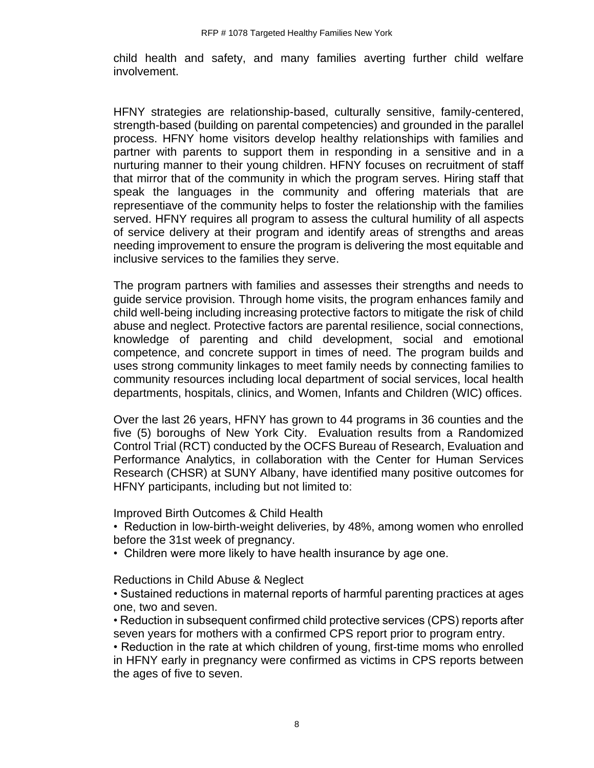child health and safety, and many families averting further child welfare involvement.

HFNY strategies are relationship-based, culturally sensitive, family-centered, strength-based (building on parental competencies) and grounded in the parallel process. HFNY home visitors develop healthy relationships with families and partner with parents to support them in responding in a sensitive and in a nurturing manner to their young children. HFNY focuses on recruitment of staff that mirror that of the community in which the program serves. Hiring staff that speak the languages in the community and offering materials that are representiave of the community helps to foster the relationship with the families served. HFNY requires all program to assess the cultural humility of all aspects of service delivery at their program and identify areas of strengths and areas needing improvement to ensure the program is delivering the most equitable and inclusive services to the families they serve.

The program partners with families and assesses their strengths and needs to guide service provision. Through home visits, the program enhances family and child well-being including increasing protective factors to mitigate the risk of child abuse and neglect. Protective factors are parental resilience, social connections, knowledge of parenting and child development, social and emotional competence, and concrete support in times of need. The program builds and uses strong community linkages to meet family needs by connecting families to community resources including local department of social services, local health departments, hospitals, clinics, and Women, Infants and Children (WIC) offices.

Over the last 26 years, HFNY has grown to 44 programs in 36 counties and the five (5) boroughs of New York City. Evaluation results from a Randomized Control Trial (RCT) conducted by the OCFS Bureau of Research, Evaluation and Performance Analytics, in collaboration with the Center for Human Services Research (CHSR) at SUNY Albany, have identified many positive outcomes for HFNY participants, including but not limited to:

Improved Birth Outcomes & Child Health

- Reduction in low-birth-weight deliveries, by 48%, among women who enrolled before the 31st week of pregnancy.
- Children were more likely to have health insurance by age one.

Reductions in Child Abuse & Neglect

• Sustained reductions in maternal reports of harmful parenting practices at ages one, two and seven.

• Reduction in subsequent confirmed child protective services (CPS) reports after seven years for mothers with a confirmed CPS report prior to program entry.

• Reduction in the rate at which children of young, first-time moms who enrolled in HFNY early in pregnancy were confirmed as victims in CPS reports between the ages of five to seven.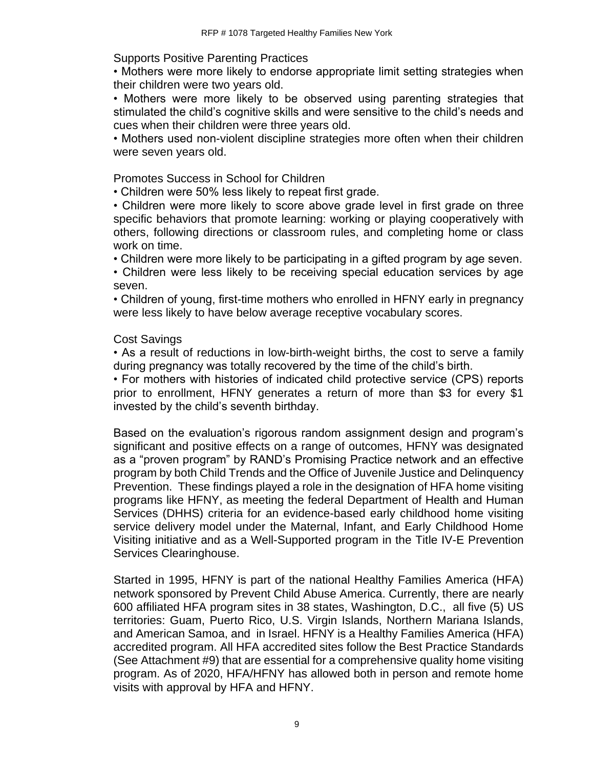Supports Positive Parenting Practices

• Mothers were more likely to endorse appropriate limit setting strategies when their children were two years old.

• Mothers were more likely to be observed using parenting strategies that stimulated the child's cognitive skills and were sensitive to the child's needs and cues when their children were three years old.

• Mothers used non-violent discipline strategies more often when their children were seven years old.

Promotes Success in School for Children

• Children were 50% less likely to repeat first grade.

• Children were more likely to score above grade level in first grade on three specific behaviors that promote learning: working or playing cooperatively with others, following directions or classroom rules, and completing home or class work on time.

• Children were more likely to be participating in a gifted program by age seven.

• Children were less likely to be receiving special education services by age seven.

• Children of young, first-time mothers who enrolled in HFNY early in pregnancy were less likely to have below average receptive vocabulary scores.

# Cost Savings

• As a result of reductions in low-birth-weight births, the cost to serve a family during pregnancy was totally recovered by the time of the child's birth.

• For mothers with histories of indicated child protective service (CPS) reports prior to enrollment, HFNY generates a return of more than \$3 for every \$1 invested by the child's seventh birthday.

Based on the evaluation's rigorous random assignment design and program's significant and positive effects on a range of outcomes, HFNY was designated as a "proven program" by RAND's Promising Practice network and an effective program by both Child Trends and the Office of Juvenile Justice and Delinquency Prevention. These findings played a role in the designation of HFA home visiting programs like HFNY, as meeting the federal Department of Health and Human Services (DHHS) criteria for an evidence-based early childhood home visiting service delivery model under the Maternal, Infant, and Early Childhood Home Visiting initiative and as a Well-Supported program in the Title IV-E Prevention Services Clearinghouse.

Started in 1995, HFNY is part of the national Healthy Families America (HFA) network sponsored by Prevent Child Abuse America. Currently, there are nearly 600 affiliated HFA program sites in 38 states, Washington, D.C., all five (5) US territories: Guam, Puerto Rico, U.S. Virgin Islands, Northern Mariana Islands, and American Samoa, and in Israel. HFNY is a Healthy Families America (HFA) accredited program. All HFA accredited sites follow the Best Practice Standards (See Attachment #9) that are essential for a comprehensive quality home visiting program. As of 2020, HFA/HFNY has allowed both in person and remote home visits with approval by HFA and HFNY.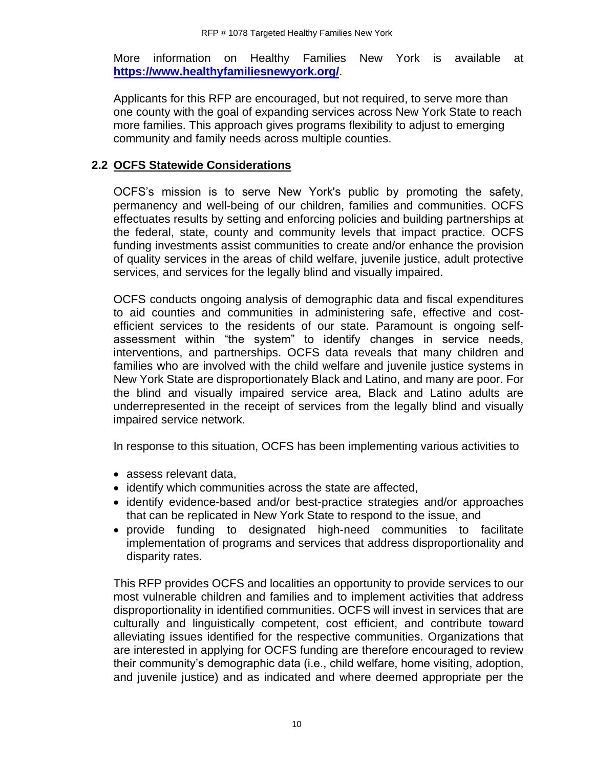More information on Healthy Families New York is available at **<https://www.healthyfamiliesnewyork.org/>**.

Applicants for this RFP are encouraged, but not required, to serve more than one county with the goal of expanding services across New York State to reach more families. This approach gives programs flexibility to adjust to emerging community and family needs across multiple counties.

#### <span id="page-12-0"></span>**2.2 OCFS Statewide Considerations**

OCFS's mission is to serve New York's public by promoting the safety, permanency and well-being of our children, families and communities. OCFS effectuates results by setting and enforcing policies and building partnerships at the federal, state, county and community levels that impact practice. OCFS funding investments assist communities to create and/or enhance the provision of quality services in the areas of child welfare, juvenile justice, adult protective services, and services for the legally blind and visually impaired.

OCFS conducts ongoing analysis of demographic data and fiscal expenditures to aid counties and communities in administering safe, effective and costefficient services to the residents of our state. Paramount is ongoing selfassessment within "the system" to identify changes in service needs, interventions, and partnerships. OCFS data reveals that many children and families who are involved with the child welfare and juvenile justice systems in New York State are disproportionately Black and Latino, and many are poor. For the blind and visually impaired service area, Black and Latino adults are underrepresented in the receipt of services from the legally blind and visually impaired service network.

In response to this situation, OCFS has been implementing various activities to

- assess relevant data,
- identify which communities across the state are affected,
- identify evidence-based and/or best-practice strategies and/or approaches that can be replicated in New York State to respond to the issue, and
- provide funding to designated high-need communities to facilitate implementation of programs and services that address disproportionality and disparity rates.

This RFP provides OCFS and localities an opportunity to provide services to our most vulnerable children and families and to implement activities that address disproportionality in identified communities. OCFS will invest in services that are culturally and linguistically competent, cost efficient, and contribute toward alleviating issues identified for the respective communities. Organizations that are interested in applying for OCFS funding are therefore encouraged to review their community's demographic data (i.e., child welfare, home visiting, adoption, and juvenile justice) and as indicated and where deemed appropriate per the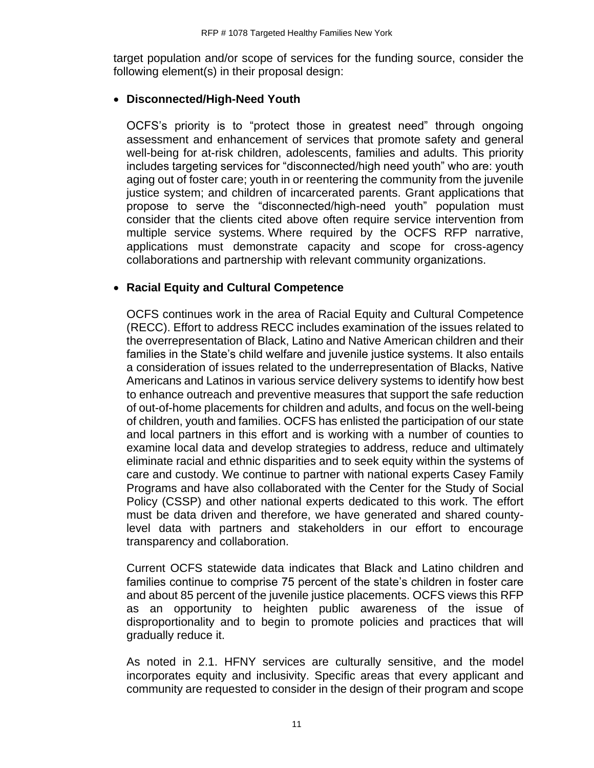target population and/or scope of services for the funding source, consider the following element(s) in their proposal design:

#### • **Disconnected/High-Need Youth**

OCFS's priority is to "protect those in greatest need" through ongoing assessment and enhancement of services that promote safety and general well-being for at-risk children, adolescents, families and adults. This priority includes targeting services for "disconnected/high need youth" who are: youth aging out of foster care; youth in or reentering the community from the juvenile justice system; and children of incarcerated parents. Grant applications that propose to serve the "disconnected/high-need youth" population must consider that the clients cited above often require service intervention from multiple service systems. Where required by the OCFS RFP narrative, applications must demonstrate capacity and scope for cross-agency collaborations and partnership with relevant community organizations.

#### • **Racial Equity and Cultural Competence**

OCFS continues work in the area of Racial Equity and Cultural Competence (RECC). Effort to address RECC includes examination of the issues related to the overrepresentation of Black, Latino and Native American children and their families in the State's child welfare and juvenile justice systems. It also entails a consideration of issues related to the underrepresentation of Blacks, Native Americans and Latinos in various service delivery systems to identify how best to enhance outreach and preventive measures that support the safe reduction of out-of-home placements for children and adults, and focus on the well-being of children, youth and families. OCFS has enlisted the participation of our state and local partners in this effort and is working with a number of counties to examine local data and develop strategies to address, reduce and ultimately eliminate racial and ethnic disparities and to seek equity within the systems of care and custody. We continue to partner with national experts Casey Family Programs and have also collaborated with the Center for the Study of Social Policy (CSSP) and other national experts dedicated to this work. The effort must be data driven and therefore, we have generated and shared countylevel data with partners and stakeholders in our effort to encourage transparency and collaboration.

Current OCFS statewide data indicates that Black and Latino children and families continue to comprise 75 percent of the state's children in foster care and about 85 percent of the juvenile justice placements. OCFS views this RFP as an opportunity to heighten public awareness of the issue of disproportionality and to begin to promote policies and practices that will gradually reduce it.

As noted in 2.1. HFNY services are culturally sensitive, and the model incorporates equity and inclusivity. Specific areas that every applicant and community are requested to consider in the design of their program and scope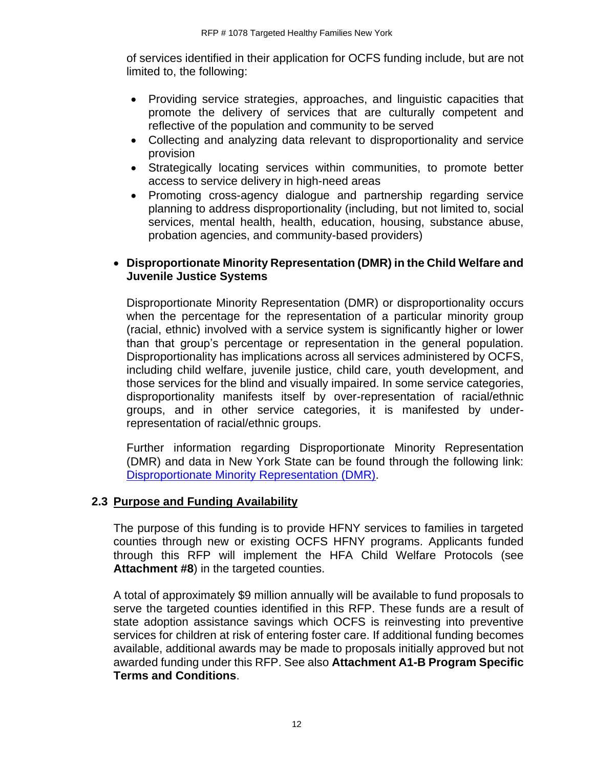of services identified in their application for OCFS funding include, but are not limited to, the following:

- Providing service strategies, approaches, and linguistic capacities that promote the delivery of services that are culturally competent and reflective of the population and community to be served
- Collecting and analyzing data relevant to disproportionality and service provision
- Strategically locating services within communities, to promote better access to service delivery in high-need areas
- Promoting cross-agency dialogue and partnership regarding service planning to address disproportionality (including, but not limited to, social services, mental health, health, education, housing, substance abuse, probation agencies, and community-based providers)

#### • **Disproportionate Minority Representation (DMR) in the Child Welfare and Juvenile Justice Systems**

Disproportionate Minority Representation (DMR) or disproportionality occurs when the percentage for the representation of a particular minority group (racial, ethnic) involved with a service system is significantly higher or lower than that group's percentage or representation in the general population. Disproportionality has implications across all services administered by OCFS, including child welfare, juvenile justice, child care, youth development, and those services for the blind and visually impaired. In some service categories, disproportionality manifests itself by over-representation of racial/ethnic groups, and in other service categories, it is manifested by underrepresentation of racial/ethnic groups.

Further information regarding Disproportionate Minority Representation (DMR) and data in New York State can be found through the following link: [Disproportionate Minority Representation \(DMR\).](https://ocfs.ny.gov/main/contracts/docs/DMR-Section-Seven-of-Grant-RFP-2015.pdf)

# <span id="page-14-0"></span>**2.3 Purpose and Funding Availability**

The purpose of this funding is to provide HFNY services to families in targeted counties through new or existing OCFS HFNY programs. Applicants funded through this RFP will implement the HFA Child Welfare Protocols (see **Attachment #8**) in the targeted counties.

A total of approximately \$9 million annually will be available to fund proposals to serve the targeted counties identified in this RFP. These funds are a result of state adoption assistance savings which OCFS is reinvesting into preventive services for children at risk of entering foster care. If additional funding becomes available, additional awards may be made to proposals initially approved but not awarded funding under this RFP. See also **Attachment A1-B Program Specific Terms and Conditions**.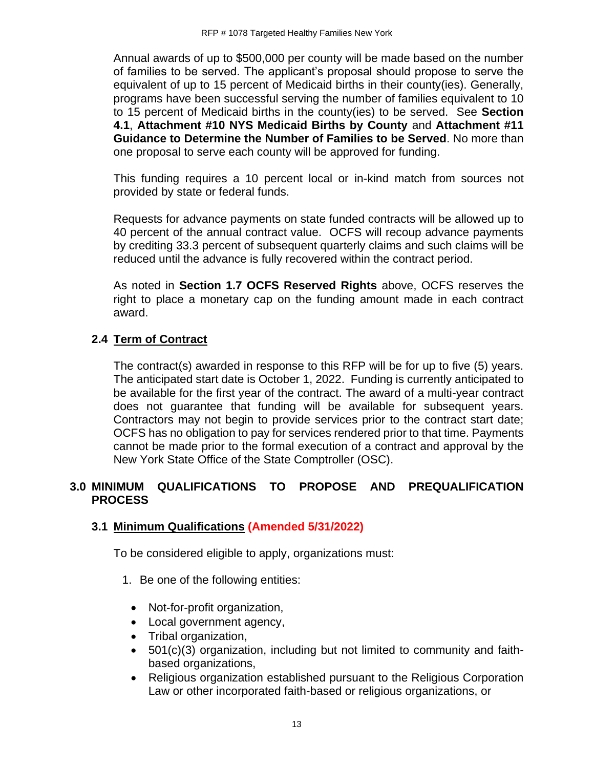Annual awards of up to \$500,000 per county will be made based on the number of families to be served. The applicant's proposal should propose to serve the equivalent of up to 15 percent of Medicaid births in their county(ies). Generally, programs have been successful serving the number of families equivalent to 10 to 15 percent of Medicaid births in the county(ies) to be served. See **Section 4.1**, **Attachment #10 NYS Medicaid Births by County** and **Attachment #11 Guidance to Determine the Number of Families to be Served**. No more than one proposal to serve each county will be approved for funding.

This funding requires a 10 percent local or in-kind match from sources not provided by state or federal funds.

Requests for advance payments on state funded contracts will be allowed up to 40 percent of the annual contract value. OCFS will recoup advance payments by crediting 33.3 percent of subsequent quarterly claims and such claims will be reduced until the advance is fully recovered within the contract period.

As noted in **Section 1.7 OCFS Reserved Rights** above, OCFS reserves the right to place a monetary cap on the funding amount made in each contract award.

#### <span id="page-15-0"></span>**2.4 Term of Contract**

The contract(s) awarded in response to this RFP will be for up to five (5) years. The anticipated start date is October 1, 2022. Funding is currently anticipated to be available for the first year of the contract. The award of a multi-year contract does not guarantee that funding will be available for subsequent years. Contractors may not begin to provide services prior to the contract start date; OCFS has no obligation to pay for services rendered prior to that time. Payments cannot be made prior to the formal execution of a contract and approval by the New York State Office of the State Comptroller (OSC).

#### <span id="page-15-1"></span>**3.0 MINIMUM QUALIFICATIONS TO PROPOSE AND PREQUALIFICATION PROCESS**

#### <span id="page-15-2"></span>**3.1 Minimum Qualifications (Amended 5/31/2022)**

To be considered eligible to apply, organizations must:

- 1. Be one of the following entities:
	- Not-for-profit organization,
	- Local government agency,
	- Tribal organization,
	- 501(c)(3) organization, including but not limited to community and faithbased organizations,
	- Religious organization established pursuant to the Religious Corporation Law or other incorporated faith-based or religious organizations, or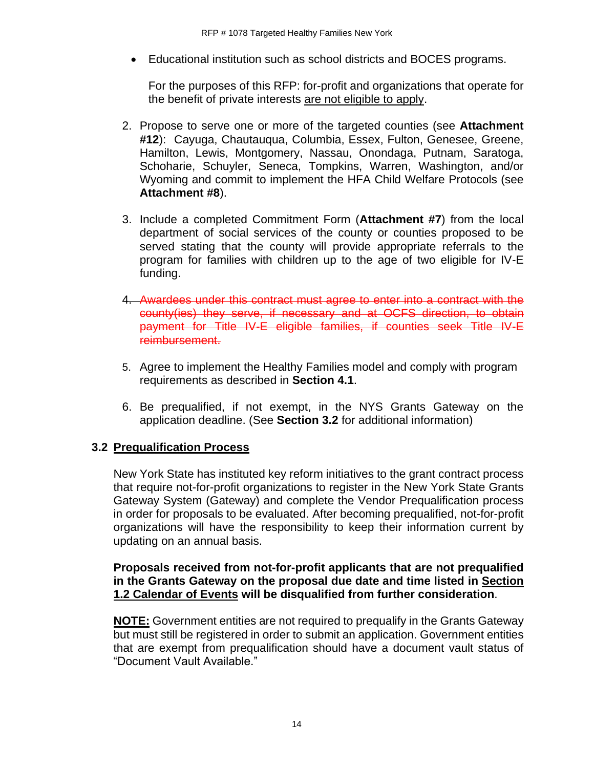• Educational institution such as school districts and BOCES programs.

For the purposes of this RFP: for-profit and organizations that operate for the benefit of private interests are not eligible to apply.

- 2. Propose to serve one or more of the targeted counties (see **Attachment #12**): Cayuga, Chautauqua, Columbia, Essex, Fulton, Genesee, Greene, Hamilton, Lewis, Montgomery, Nassau, Onondaga, Putnam, Saratoga, Schoharie, Schuyler, Seneca, Tompkins, Warren, Washington, and/or Wyoming and commit to implement the HFA Child Welfare Protocols (see **Attachment #8**).
- 3. Include a completed Commitment Form (**Attachment #7**) from the local department of social services of the county or counties proposed to be served stating that the county will provide appropriate referrals to the program for families with children up to the age of two eligible for IV-E funding.
- 4. Awardees under this contract must agree to enter into a contract with the county(ies) they serve, if necessary and at OCFS direction, to obtain payment for Title IV-E eligible families, if counties seek Title IV-E reimbursement.
- 5. Agree to implement the Healthy Families model and comply with program requirements as described in **Section 4.1**.
- 6. Be prequalified, if not exempt, in the NYS Grants Gateway on the application deadline. (See **Section 3.2** for additional information)

# <span id="page-16-0"></span>**3.2 Prequalification Process**

New York State has instituted key reform initiatives to the grant contract process that require not-for-profit organizations to register in the New York State Grants Gateway System (Gateway) and complete the Vendor Prequalification process in order for proposals to be evaluated. After becoming prequalified, not-for-profit organizations will have the responsibility to keep their information current by updating on an annual basis.

#### **Proposals received from not-for-profit applicants that are not prequalified in the Grants Gateway on the proposal due date and time listed in Section 1.2 Calendar of Events will be disqualified from further consideration**.

**NOTE:** Government entities are not required to prequalify in the Grants Gateway but must still be registered in order to submit an application. Government entities that are exempt from prequalification should have a document vault status of "Document Vault Available."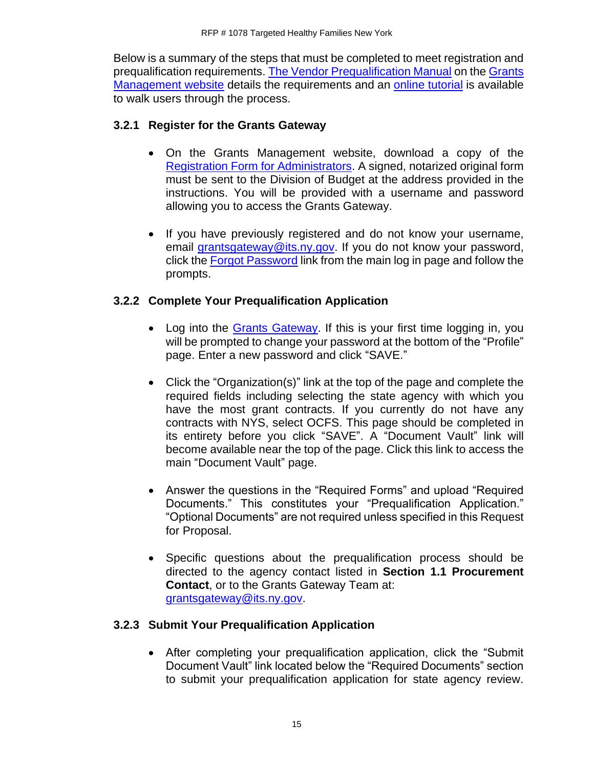Below is a summary of the steps that must be completed to meet registration and prequalification requirements. [The Vendor Prequalification Manual](https://grantsmanagement.ny.gov/get-prequalified) on the [Grants](https://grantsmanagement.ny.gov/)  [Management](https://grantsmanagement.ny.gov/) website details the requirements and an [online tutorial](https://grantsmanagement.ny.gov/videos-grant-applicants) is available to walk users through the process.

# **3.2.1 Register for the Grants Gateway**

- On the Grants Management website, download a copy of the [Registration Form for Administrators.](https://grantsmanagement.ny.gov/registrationform) A signed, notarized original form must be sent to the Division of Budget at the address provided in the instructions. You will be provided with a username and password allowing you to access the Grants Gateway.
- If you have previously registered and do not know your username, email [grantsgateway@its.ny.gov.](mailto:grantsgateway@its.ny.gov) If you do not know your password, click the [Forgot Password](https://grantsgateway.ny.gov/IntelliGrants_NYSGG/PersonPassword2.aspx?Mode=Forgot) link from the main log in page and follow the prompts.

# **3.2.2 Complete Your Prequalification Application**

- Log into the [Grants Gateway.](https://grantsgateway.ny.gov/IntelliGrants_NYSGG/login2.aspx) If this is your first time logging in, you will be prompted to change your password at the bottom of the "Profile" page. Enter a new password and click "SAVE."
- Click the "Organization(s)" link at the top of the page and complete the required fields including selecting the state agency with which you have the most grant contracts. If you currently do not have any contracts with NYS, select OCFS. This page should be completed in its entirety before you click "SAVE". A "Document Vault" link will become available near the top of the page. Click this link to access the main "Document Vault" page.
- Answer the questions in the "Required Forms" and upload "Required Documents." This constitutes your "Prequalification Application." "Optional Documents" are not required unless specified in this Request for Proposal.
- Specific questions about the prequalification process should be directed to the agency contact listed in **Section 1.1 Procurement Contact**, or to the Grants Gateway Team at: [grantsgateway@its.ny.gov.](mailto:grantsgateway@its.ny.gov)

# **3.2.3 Submit Your Prequalification Application**

• After completing your prequalification application, click the "Submit Document Vault" link located below the "Required Documents" section to submit your prequalification application for state agency review.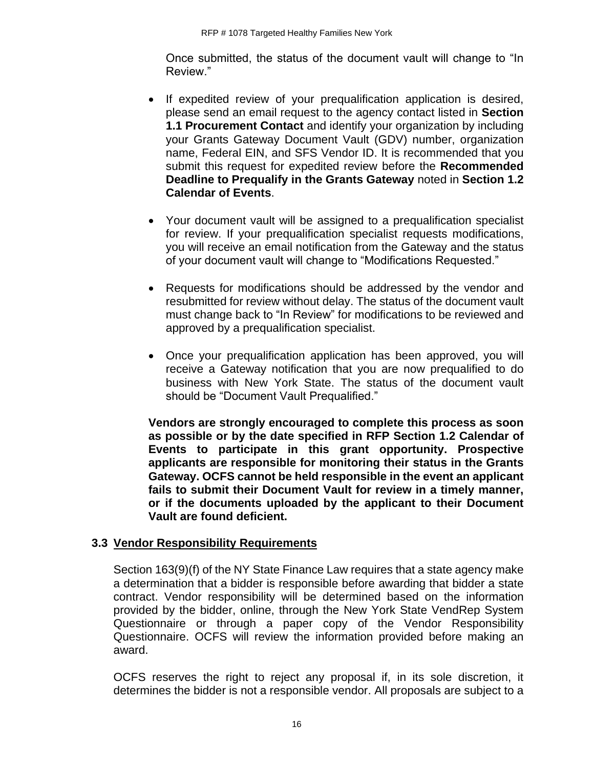Once submitted, the status of the document vault will change to "In Review."

- If expedited review of your prequalification application is desired, please send an email request to the agency contact listed in **Section 1.1 Procurement Contact** and identify your organization by including your Grants Gateway Document Vault (GDV) number, organization name, Federal EIN, and SFS Vendor ID. It is recommended that you submit this request for expedited review before the **Recommended Deadline to Prequalify in the Grants Gateway** noted in **Section 1.2 Calendar of Events**.
- Your document vault will be assigned to a prequalification specialist for review. If your prequalification specialist requests modifications, you will receive an email notification from the Gateway and the status of your document vault will change to "Modifications Requested."
- Requests for modifications should be addressed by the vendor and resubmitted for review without delay. The status of the document vault must change back to "In Review" for modifications to be reviewed and approved by a prequalification specialist.
- Once your prequalification application has been approved, you will receive a Gateway notification that you are now prequalified to do business with New York State. The status of the document vault should be "Document Vault Prequalified."

**Vendors are strongly encouraged to complete this process as soon as possible or by the date specified in RFP Section 1.2 Calendar of Events to participate in this grant opportunity. Prospective applicants are responsible for monitoring their status in the Grants Gateway. OCFS cannot be held responsible in the event an applicant fails to submit their Document Vault for review in a timely manner, or if the documents uploaded by the applicant to their Document Vault are found deficient.**

# <span id="page-18-0"></span>**3.3 Vendor Responsibility Requirements**

Section 163(9)(f) of the NY State Finance Law requires that a state agency make a determination that a bidder is responsible before awarding that bidder a state contract. Vendor responsibility will be determined based on the information provided by the bidder, online, through the New York State VendRep System Questionnaire or through a paper copy of the Vendor Responsibility Questionnaire. OCFS will review the information provided before making an award.

OCFS reserves the right to reject any proposal if, in its sole discretion, it determines the bidder is not a responsible vendor. All proposals are subject to a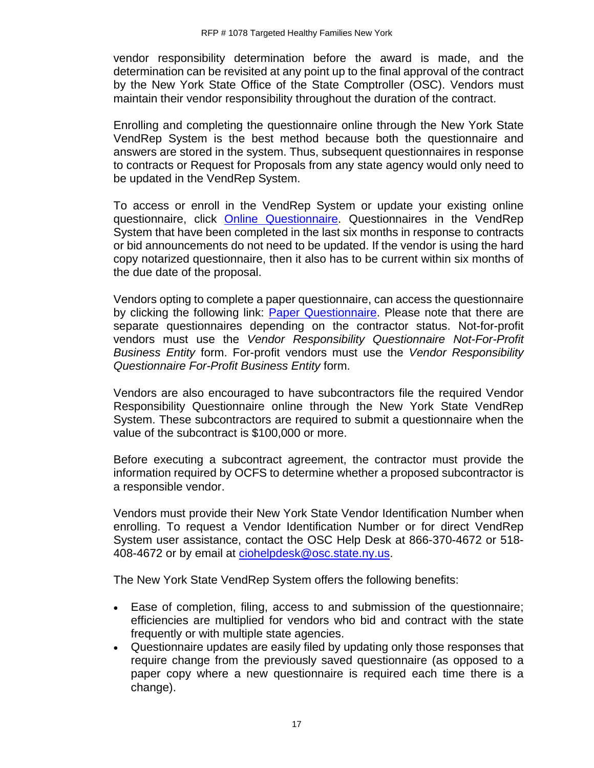vendor responsibility determination before the award is made, and the determination can be revisited at any point up to the final approval of the contract by the New York State Office of the State Comptroller (OSC). Vendors must maintain their vendor responsibility throughout the duration of the contract.

Enrolling and completing the questionnaire online through the New York State VendRep System is the best method because both the questionnaire and answers are stored in the system. Thus, subsequent questionnaires in response to contracts or Request for Proposals from any state agency would only need to be updated in the VendRep System.

To access or enroll in the VendRep System or update your existing online questionnaire, click [Online Questionnaire.](http://www.osc.state.ny.us/vendrep/index.htm) Questionnaires in the VendRep System that have been completed in the last six months in response to contracts or bid announcements do not need to be updated. If the vendor is using the hard copy notarized questionnaire, then it also has to be current within six months of the due date of the proposal.

Vendors opting to complete a paper questionnaire, can access the questionnaire by clicking the following link: [Paper Questionnaire.](http://www.osc.state.ny.us/vendrep/forms_vendor.htm) Please note that there are separate questionnaires depending on the contractor status. Not-for-profit vendors must use the *Vendor Responsibility Questionnaire Not-For-Profit Business Entity* form. For-profit vendors must use the *Vendor Responsibility Questionnaire For-Profit Business Entity* form.

Vendors are also encouraged to have subcontractors file the required Vendor Responsibility Questionnaire online through the New York State VendRep System. These subcontractors are required to submit a questionnaire when the value of the subcontract is \$100,000 or more.

Before executing a subcontract agreement, the contractor must provide the information required by OCFS to determine whether a proposed subcontractor is a responsible vendor.

Vendors must provide their New York State Vendor Identification Number when enrolling. To request a Vendor Identification Number or for direct VendRep System user assistance, contact the OSC Help Desk at 866-370-4672 or 518 408-4672 or by email at [ciohelpdesk@osc.state.ny.us.](mailto:ciohelpdesk@osc.state.ny.us)

The New York State VendRep System offers the following benefits:

- Ease of completion, filing, access to and submission of the questionnaire; efficiencies are multiplied for vendors who bid and contract with the state frequently or with multiple state agencies.
- Questionnaire updates are easily filed by updating only those responses that require change from the previously saved questionnaire (as opposed to a paper copy where a new questionnaire is required each time there is a change).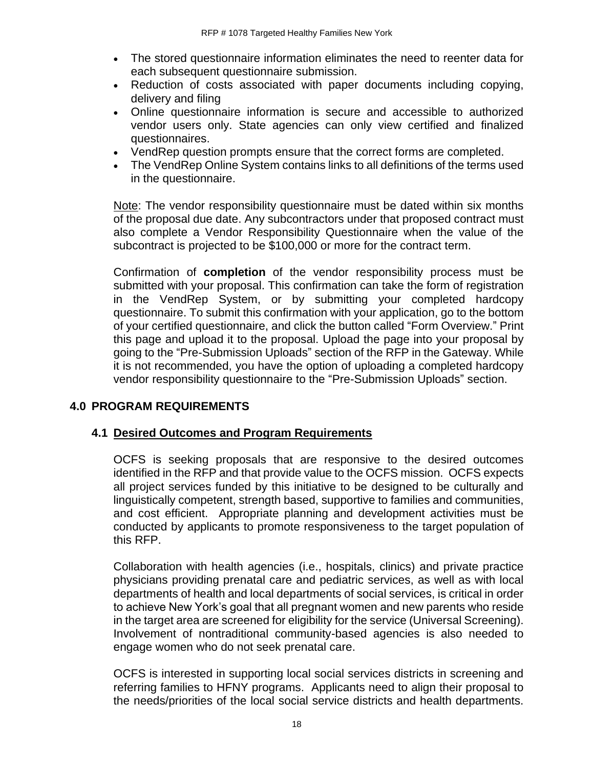- The stored questionnaire information eliminates the need to reenter data for each subsequent questionnaire submission.
- Reduction of costs associated with paper documents including copying, delivery and filing
- Online questionnaire information is secure and accessible to authorized vendor users only. State agencies can only view certified and finalized questionnaires.
- VendRep question prompts ensure that the correct forms are completed.
- The VendRep Online System contains links to all definitions of the terms used in the questionnaire.

Note: The vendor responsibility questionnaire must be dated within six months of the proposal due date. Any subcontractors under that proposed contract must also complete a Vendor Responsibility Questionnaire when the value of the subcontract is projected to be \$100,000 or more for the contract term.

Confirmation of **completion** of the vendor responsibility process must be submitted with your proposal. This confirmation can take the form of registration in the VendRep System, or by submitting your completed hardcopy questionnaire. To submit this confirmation with your application, go to the bottom of your certified questionnaire, and click the button called "Form Overview." Print this page and upload it to the proposal. Upload the page into your proposal by going to the "Pre-Submission Uploads" section of the RFP in the Gateway. While it is not recommended, you have the option of uploading a completed hardcopy vendor responsibility questionnaire to the "Pre-Submission Uploads" section.

# <span id="page-20-0"></span>**4.0 PROGRAM REQUIREMENTS**

#### <span id="page-20-1"></span>**4.1 Desired Outcomes and Program Requirements**

OCFS is seeking proposals that are responsive to the desired outcomes identified in the RFP and that provide value to the OCFS mission. OCFS expects all project services funded by this initiative to be designed to be culturally and linguistically competent, strength based, supportive to families and communities, and cost efficient. Appropriate planning and development activities must be conducted by applicants to promote responsiveness to the target population of this RFP.

Collaboration with health agencies (i.e., hospitals, clinics) and private practice physicians providing prenatal care and pediatric services, as well as with local departments of health and local departments of social services, is critical in order to achieve New York's goal that all pregnant women and new parents who reside in the target area are screened for eligibility for the service (Universal Screening). Involvement of nontraditional community-based agencies is also needed to engage women who do not seek prenatal care.

OCFS is interested in supporting local social services districts in screening and referring families to HFNY programs. Applicants need to align their proposal to the needs/priorities of the local social service districts and health departments.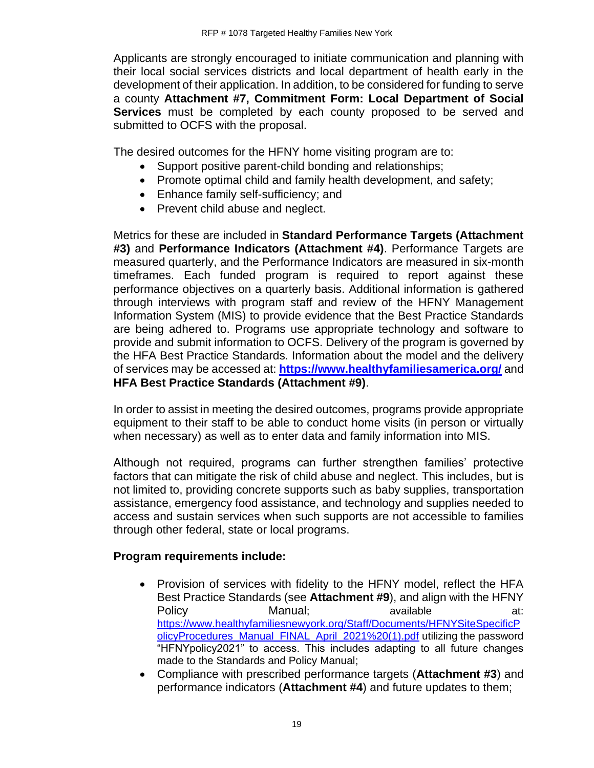Applicants are strongly encouraged to initiate communication and planning with their local social services districts and local department of health early in the development of their application. In addition, to be considered for funding to serve a county **Attachment #7, Commitment Form: Local Department of Social Services** must be completed by each county proposed to be served and submitted to OCFS with the proposal.

The desired outcomes for the HFNY home visiting program are to:

- Support positive parent-child bonding and relationships;
- Promote optimal child and family health development, and safety;
- Enhance family self-sufficiency; and
- Prevent child abuse and neglect.

Metrics for these are included in **Standard Performance Targets (Attachment #3)** and **Performance Indicators (Attachment #4)**. Performance Targets are measured quarterly, and the Performance Indicators are measured in six-month timeframes. Each funded program is required to report against these performance objectives on a quarterly basis. Additional information is gathered through interviews with program staff and review of the HFNY Management Information System (MIS) to provide evidence that the Best Practice Standards are being adhered to. Programs use appropriate technology and software to provide and submit information to OCFS. Delivery of the program is governed by the HFA Best Practice Standards. Information about the model and the delivery of services may be accessed at: **<https://www.healthyfamiliesamerica.org/>** and **HFA Best Practice Standards (Attachment #9)**.

In order to assist in meeting the desired outcomes, programs provide appropriate equipment to their staff to be able to conduct home visits (in person or virtually when necessary) as well as to enter data and family information into MIS.

Although not required, programs can further strengthen families' protective factors that can mitigate the risk of child abuse and neglect. This includes, but is not limited to, providing concrete supports such as baby supplies, transportation assistance, emergency food assistance, and technology and supplies needed to access and sustain services when such supports are not accessible to families through other federal, state or local programs.

# **Program requirements include:**

- Provision of services with fidelity to the HFNY model, reflect the HFA Best Practice Standards (see **Attachment #9**), and align with the HFNY Policy **Manual**: **All available** at: **All available** at: [https://www.healthyfamiliesnewyork.org/Staff/Documents/HFNYSiteSpecificP](https://www.healthyfamiliesnewyork.org/Staff/Documents/HFNYSiteSpecificPolicyProcedures_Manual_FINAL_April_2021%20(1).pdf) [olicyProcedures\\_Manual\\_FINAL\\_April\\_2021%20\(1\).pdf](https://www.healthyfamiliesnewyork.org/Staff/Documents/HFNYSiteSpecificPolicyProcedures_Manual_FINAL_April_2021%20(1).pdf) utilizing the password "HFNYpolicy2021" to access. This includes adapting to all future changes made to the Standards and Policy Manual;
- Compliance with prescribed performance targets (**Attachment #3**) and performance indicators (**Attachment #4**) and future updates to them;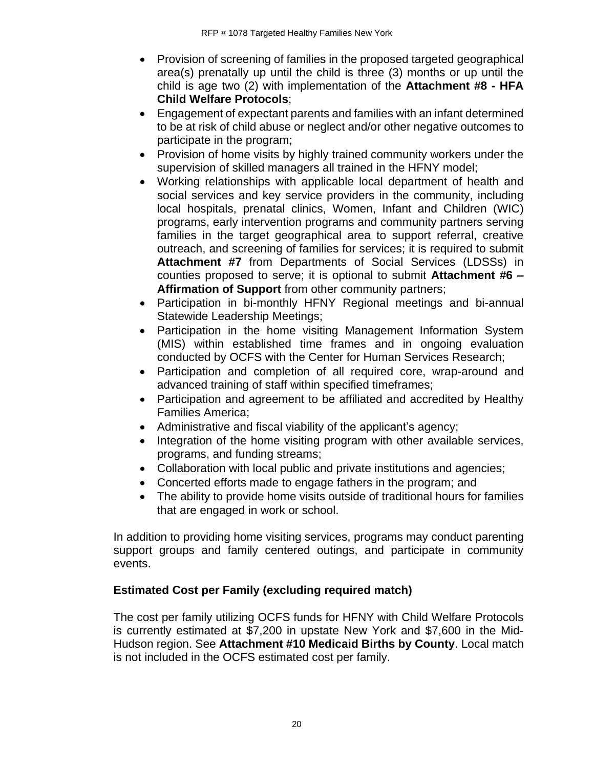- Provision of screening of families in the proposed targeted geographical area(s) prenatally up until the child is three (3) months or up until the child is age two (2) with implementation of the **Attachment #8 - HFA Child Welfare Protocols**;
- Engagement of expectant parents and families with an infant determined to be at risk of child abuse or neglect and/or other negative outcomes to participate in the program;
- Provision of home visits by highly trained community workers under the supervision of skilled managers all trained in the HFNY model;
- Working relationships with applicable local department of health and social services and key service providers in the community, including local hospitals, prenatal clinics, Women, Infant and Children (WIC) programs, early intervention programs and community partners serving families in the target geographical area to support referral, creative outreach, and screening of families for services; it is required to submit **Attachment #7** from Departments of Social Services (LDSSs) in counties proposed to serve; it is optional to submit **Attachment #6 – Affirmation of Support** from other community partners;
- Participation in bi-monthly HFNY Regional meetings and bi-annual Statewide Leadership Meetings;
- Participation in the home visiting Management Information System (MIS) within established time frames and in ongoing evaluation conducted by OCFS with the Center for Human Services Research;
- Participation and completion of all required core, wrap-around and advanced training of staff within specified timeframes;
- Participation and agreement to be affiliated and accredited by Healthy Families America;
- Administrative and fiscal viability of the applicant's agency;
- Integration of the home visiting program with other available services, programs, and funding streams;
- Collaboration with local public and private institutions and agencies;
- Concerted efforts made to engage fathers in the program; and
- The ability to provide home visits outside of traditional hours for families that are engaged in work or school.

In addition to providing home visiting services, programs may conduct parenting support groups and family centered outings, and participate in community events.

# **Estimated Cost per Family (excluding required match)**

The cost per family utilizing OCFS funds for HFNY with Child Welfare Protocols is currently estimated at \$7,200 in upstate New York and \$7,600 in the Mid-Hudson region. See **Attachment #10 Medicaid Births by County**. Local match is not included in the OCFS estimated cost per family.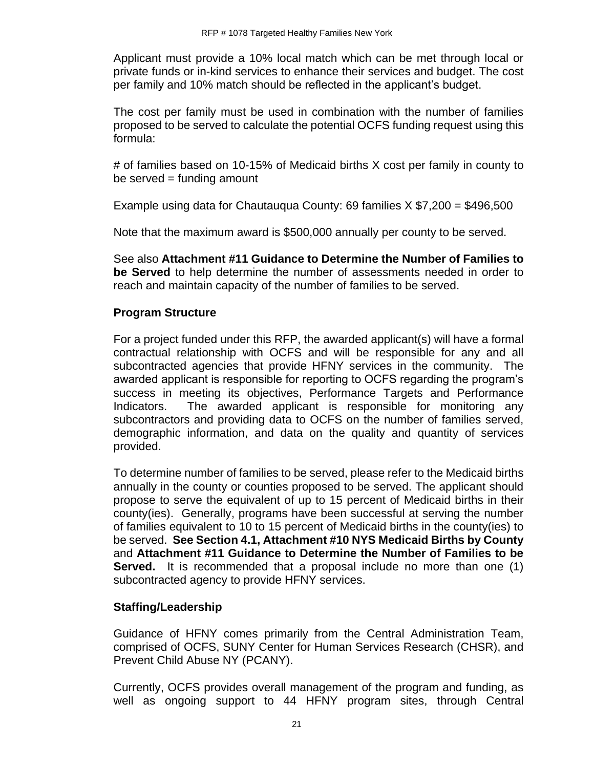Applicant must provide a 10% local match which can be met through local or private funds or in-kind services to enhance their services and budget. The cost per family and 10% match should be reflected in the applicant's budget.

The cost per family must be used in combination with the number of families proposed to be served to calculate the potential OCFS funding request using this formula:

# of families based on 10-15% of Medicaid births X cost per family in county to  $be$  served = funding amount

Example using data for Chautauqua County: 69 families  $X$  \$7,200 = \$496,500

Note that the maximum award is \$500,000 annually per county to be served.

See also **Attachment #11 Guidance to Determine the Number of Families to be Served** to help determine the number of assessments needed in order to reach and maintain capacity of the number of families to be served.

# **Program Structure**

For a project funded under this RFP, the awarded applicant(s) will have a formal contractual relationship with OCFS and will be responsible for any and all subcontracted agencies that provide HFNY services in the community. The awarded applicant is responsible for reporting to OCFS regarding the program's success in meeting its objectives, Performance Targets and Performance Indicators. The awarded applicant is responsible for monitoring any subcontractors and providing data to OCFS on the number of families served, demographic information, and data on the quality and quantity of services provided.

To determine number of families to be served, please refer to the Medicaid births annually in the county or counties proposed to be served. The applicant should propose to serve the equivalent of up to 15 percent of Medicaid births in their county(ies). Generally, programs have been successful at serving the number of families equivalent to 10 to 15 percent of Medicaid births in the county(ies) to be served. **See Section 4.1, Attachment #10 NYS Medicaid Births by County**  and **Attachment #11 Guidance to Determine the Number of Families to be Served.** It is recommended that a proposal include no more than one (1) subcontracted agency to provide HFNY services.

# **Staffing/Leadership**

Guidance of HFNY comes primarily from the Central Administration Team, comprised of OCFS, SUNY Center for Human Services Research (CHSR), and Prevent Child Abuse NY (PCANY).

Currently, OCFS provides overall management of the program and funding, as well as ongoing support to 44 HFNY program sites, through Central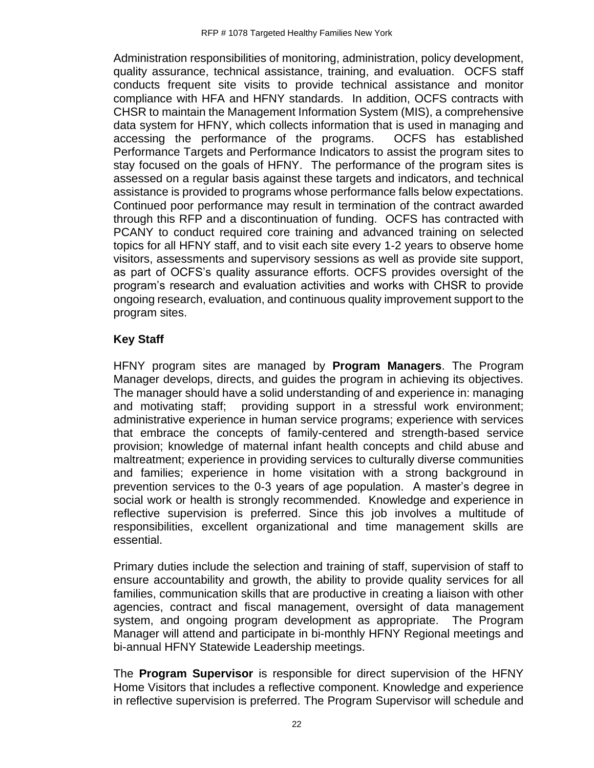Administration responsibilities of monitoring, administration, policy development, quality assurance, technical assistance, training, and evaluation. OCFS staff conducts frequent site visits to provide technical assistance and monitor compliance with HFA and HFNY standards. In addition, OCFS contracts with CHSR to maintain the Management Information System (MIS), a comprehensive data system for HFNY, which collects information that is used in managing and accessing the performance of the programs. OCFS has established Performance Targets and Performance Indicators to assist the program sites to stay focused on the goals of HFNY. The performance of the program sites is assessed on a regular basis against these targets and indicators, and technical assistance is provided to programs whose performance falls below expectations. Continued poor performance may result in termination of the contract awarded through this RFP and a discontinuation of funding. OCFS has contracted with PCANY to conduct required core training and advanced training on selected topics for all HFNY staff, and to visit each site every 1-2 years to observe home visitors, assessments and supervisory sessions as well as provide site support, as part of OCFS's quality assurance efforts. OCFS provides oversight of the program's research and evaluation activities and works with CHSR to provide ongoing research, evaluation, and continuous quality improvement support to the program sites.

#### **Key Staff**

HFNY program sites are managed by **Program Managers**. The Program Manager develops, directs, and guides the program in achieving its objectives. The manager should have a solid understanding of and experience in: managing and motivating staff; providing support in a stressful work environment; administrative experience in human service programs; experience with services that embrace the concepts of family-centered and strength-based service provision; knowledge of maternal infant health concepts and child abuse and maltreatment; experience in providing services to culturally diverse communities and families; experience in home visitation with a strong background in prevention services to the 0-3 years of age population. A master's degree in social work or health is strongly recommended. Knowledge and experience in reflective supervision is preferred. Since this job involves a multitude of responsibilities, excellent organizational and time management skills are essential.

Primary duties include the selection and training of staff, supervision of staff to ensure accountability and growth, the ability to provide quality services for all families, communication skills that are productive in creating a liaison with other agencies, contract and fiscal management, oversight of data management system, and ongoing program development as appropriate. The Program Manager will attend and participate in bi-monthly HFNY Regional meetings and bi-annual HFNY Statewide Leadership meetings.

The **Program Supervisor** is responsible for direct supervision of the HFNY Home Visitors that includes a reflective component. Knowledge and experience in reflective supervision is preferred. The Program Supervisor will schedule and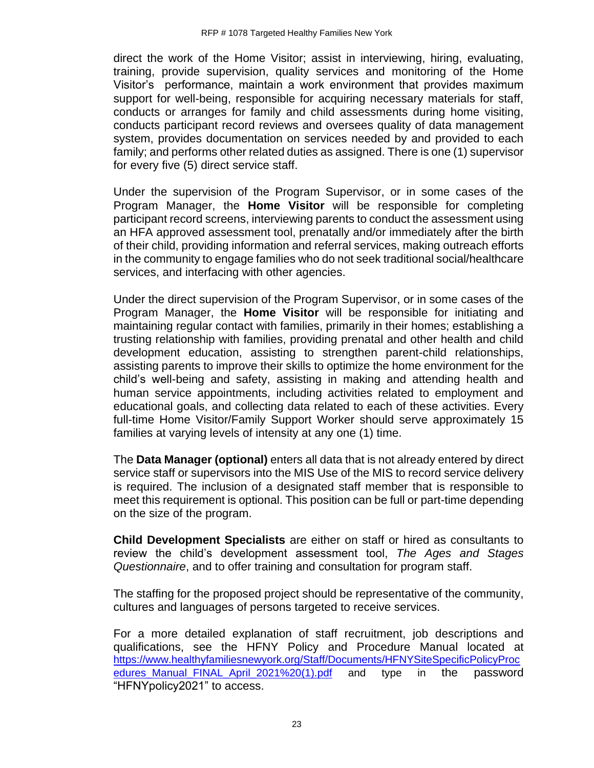direct the work of the Home Visitor; assist in interviewing, hiring, evaluating, training, provide supervision, quality services and monitoring of the Home Visitor's performance, maintain a work environment that provides maximum support for well-being, responsible for acquiring necessary materials for staff, conducts or arranges for family and child assessments during home visiting, conducts participant record reviews and oversees quality of data management system, provides documentation on services needed by and provided to each family; and performs other related duties as assigned. There is one (1) supervisor for every five (5) direct service staff.

Under the supervision of the Program Supervisor, or in some cases of the Program Manager, the **Home Visitor** will be responsible for completing participant record screens, interviewing parents to conduct the assessment using an HFA approved assessment tool, prenatally and/or immediately after the birth of their child, providing information and referral services, making outreach efforts in the community to engage families who do not seek traditional social/healthcare services, and interfacing with other agencies.

Under the direct supervision of the Program Supervisor, or in some cases of the Program Manager, the **Home Visitor** will be responsible for initiating and maintaining regular contact with families, primarily in their homes; establishing a trusting relationship with families, providing prenatal and other health and child development education, assisting to strengthen parent-child relationships, assisting parents to improve their skills to optimize the home environment for the child's well-being and safety, assisting in making and attending health and human service appointments, including activities related to employment and educational goals, and collecting data related to each of these activities. Every full-time Home Visitor/Family Support Worker should serve approximately 15 families at varying levels of intensity at any one (1) time.

The **Data Manager (optional)** enters all data that is not already entered by direct service staff or supervisors into the MIS Use of the MIS to record service delivery is required. The inclusion of a designated staff member that is responsible to meet this requirement is optional. This position can be full or part-time depending on the size of the program.

**Child Development Specialists** are either on staff or hired as consultants to review the child's development assessment tool, *The Ages and Stages Questionnaire*, and to offer training and consultation for program staff.

The staffing for the proposed project should be representative of the community, cultures and languages of persons targeted to receive services.

For a more detailed explanation of staff recruitment, job descriptions and qualifications, see the HFNY Policy and Procedure Manual located at [https://www.healthyfamiliesnewyork.org/Staff/Documents/HFNYSiteSpecificPolicyProc](https://www.healthyfamiliesnewyork.org/Staff/Documents/HFNYSiteSpecificPolicyProcedures_Manual_FINAL_April_2021%20(1).pdf) edures Manual FINAL April 2021%20(1).pdf and type in the password "HFNYpolicy2021" to access.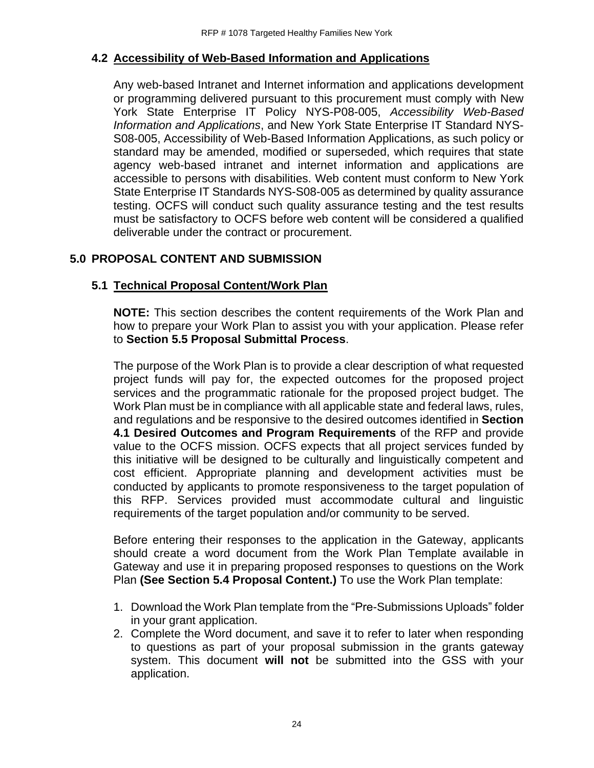# <span id="page-26-0"></span>**4.2 Accessibility of Web-Based Information and Applications**

Any web-based Intranet and Internet information and applications development or programming delivered pursuant to this procurement must comply with New York State Enterprise IT Policy NYS-P08-005, *Accessibility Web-Based Information and Applications*, and New York State Enterprise IT Standard NYS-S08-005, Accessibility of Web-Based Information Applications, as such policy or standard may be amended, modified or superseded, which requires that state agency web-based intranet and internet information and applications are accessible to persons with disabilities. Web content must conform to New York State Enterprise IT Standards NYS-S08-005 as determined by quality assurance testing. OCFS will conduct such quality assurance testing and the test results must be satisfactory to OCFS before web content will be considered a qualified deliverable under the contract or procurement.

# <span id="page-26-1"></span>**5.0 PROPOSAL CONTENT AND SUBMISSION**

# <span id="page-26-2"></span>**5.1 Technical Proposal Content/Work Plan**

**NOTE:** This section describes the content requirements of the Work Plan and how to prepare your Work Plan to assist you with your application. Please refer to **Section 5.5 Proposal Submittal Process**.

The purpose of the Work Plan is to provide a clear description of what requested project funds will pay for, the expected outcomes for the proposed project services and the programmatic rationale for the proposed project budget. The Work Plan must be in compliance with all applicable state and federal laws, rules, and regulations and be responsive to the desired outcomes identified in **Section 4.1 Desired Outcomes and Program Requirements** of the RFP and provide value to the OCFS mission. OCFS expects that all project services funded by this initiative will be designed to be culturally and linguistically competent and cost efficient. Appropriate planning and development activities must be conducted by applicants to promote responsiveness to the target population of this RFP. Services provided must accommodate cultural and linguistic requirements of the target population and/or community to be served.

Before entering their responses to the application in the Gateway, applicants should create a word document from the Work Plan Template available in Gateway and use it in preparing proposed responses to questions on the Work Plan **(See Section 5.4 Proposal Content.)** To use the Work Plan template:

- 1. Download the Work Plan template from the "Pre-Submissions Uploads" folder in your grant application.
- 2. Complete the Word document, and save it to refer to later when responding to questions as part of your proposal submission in the grants gateway system. This document **will not** be submitted into the GSS with your application.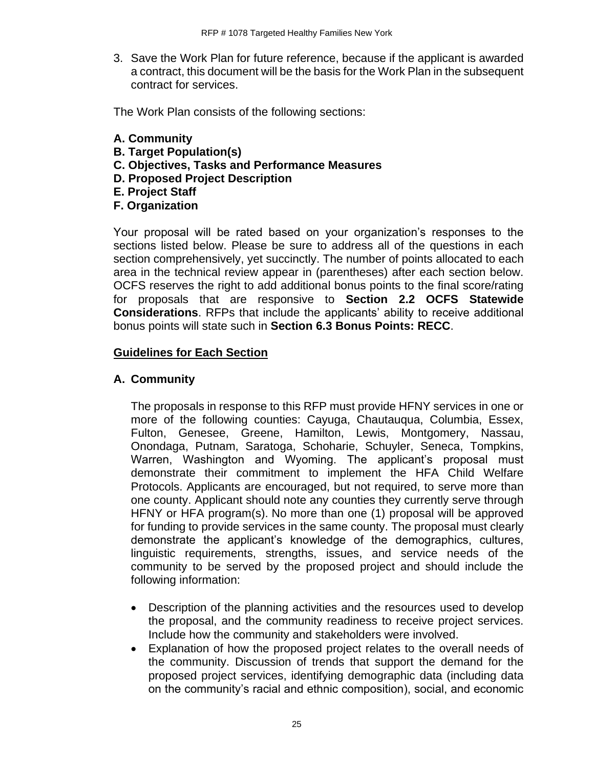3. Save the Work Plan for future reference, because if the applicant is awarded a contract, this document will be the basis for the Work Plan in the subsequent contract for services.

The Work Plan consists of the following sections:

- **A. Community**
- **B. Target Population(s)**
- **C. Objectives, Tasks and Performance Measures**
- **D. Proposed Project Description**
- **E. Project Staff**
- **F. Organization**

Your proposal will be rated based on your organization's responses to the sections listed below. Please be sure to address all of the questions in each section comprehensively, yet succinctly. The number of points allocated to each area in the technical review appear in (parentheses) after each section below. OCFS reserves the right to add additional bonus points to the final score/rating for proposals that are responsive to **Section 2.2 OCFS Statewide Considerations**. RFPs that include the applicants' ability to receive additional bonus points will state such in **Section 6.3 Bonus Points: RECC**.

#### **Guidelines for Each Section**

#### **A. Community**

The proposals in response to this RFP must provide HFNY services in one or more of the following counties: Cayuga, Chautauqua, Columbia, Essex, Fulton, Genesee, Greene, Hamilton, Lewis, Montgomery, Nassau, Onondaga, Putnam, Saratoga, Schoharie, Schuyler, Seneca, Tompkins, Warren, Washington and Wyoming. The applicant's proposal must demonstrate their commitment to implement the HFA Child Welfare Protocols. Applicants are encouraged, but not required, to serve more than one county. Applicant should note any counties they currently serve through HFNY or HFA program(s). No more than one (1) proposal will be approved for funding to provide services in the same county. The proposal must clearly demonstrate the applicant's knowledge of the demographics, cultures, linguistic requirements, strengths, issues, and service needs of the community to be served by the proposed project and should include the following information:

- Description of the planning activities and the resources used to develop the proposal, and the community readiness to receive project services. Include how the community and stakeholders were involved.
- Explanation of how the proposed project relates to the overall needs of the community. Discussion of trends that support the demand for the proposed project services, identifying demographic data (including data on the community's racial and ethnic composition), social, and economic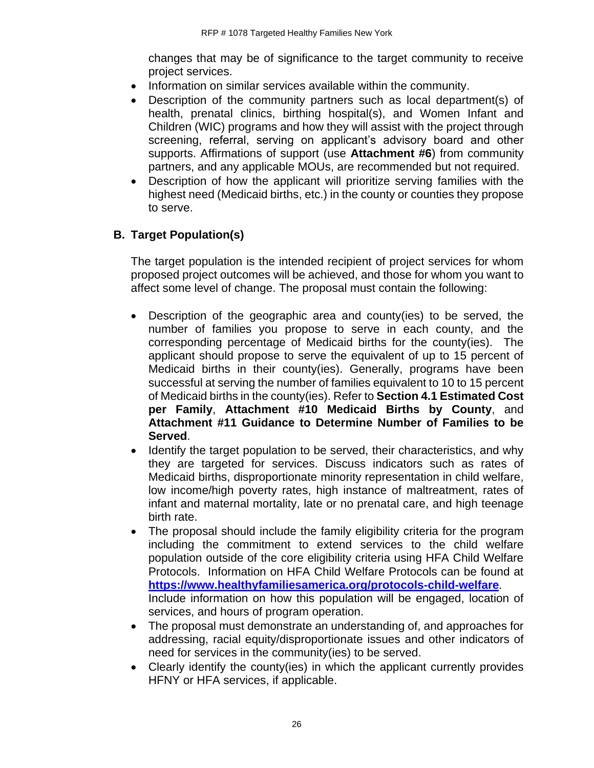changes that may be of significance to the target community to receive project services.

- Information on similar services available within the community.
- Description of the community partners such as local department(s) of health, prenatal clinics, birthing hospital(s), and Women Infant and Children (WIC) programs and how they will assist with the project through screening, referral, serving on applicant's advisory board and other supports. Affirmations of support (use **Attachment #6**) from community partners, and any applicable MOUs, are recommended but not required.
- Description of how the applicant will prioritize serving families with the highest need (Medicaid births, etc.) in the county or counties they propose to serve.

# **B. Target Population(s)**

The target population is the intended recipient of project services for whom proposed project outcomes will be achieved, and those for whom you want to affect some level of change. The proposal must contain the following:

- Description of the geographic area and county(ies) to be served, the number of families you propose to serve in each county, and the corresponding percentage of Medicaid births for the county(ies). The applicant should propose to serve the equivalent of up to 15 percent of Medicaid births in their county(ies). Generally, programs have been successful at serving the number of families equivalent to 10 to 15 percent of Medicaid births in the county(ies). Refer to **Section 4.1 Estimated Cost per Family**, **Attachment #10 Medicaid Births by County**, and **Attachment #11 Guidance to Determine Number of Families to be Served**.
- Identify the target population to be served, their characteristics, and why they are targeted for services. Discuss indicators such as rates of Medicaid births, disproportionate minority representation in child welfare, low income/high poverty rates, high instance of maltreatment, rates of infant and maternal mortality, late or no prenatal care, and high teenage birth rate.
- The proposal should include the family eligibility criteria for the program including the commitment to extend services to the child welfare population outside of the core eligibility criteria using HFA Child Welfare Protocols. Information on HFA Child Welfare Protocols can be found at **<https://www.healthyfamiliesamerica.org/protocols-child-welfare>**. Include information on how this population will be engaged, location of services, and hours of program operation.
- The proposal must demonstrate an understanding of, and approaches for addressing, racial equity/disproportionate issues and other indicators of need for services in the community(ies) to be served.
- Clearly identify the county(ies) in which the applicant currently provides HFNY or HFA services, if applicable.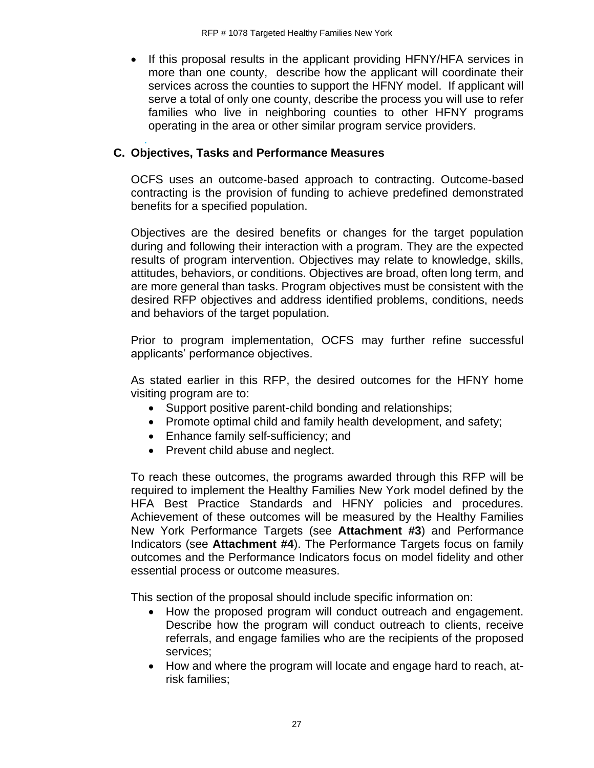• If this proposal results in the applicant providing HFNY/HFA services in more than one county, describe how the applicant will coordinate their services across the counties to support the HFNY model. If applicant will serve a total of only one county, describe the process you will use to refer families who live in neighboring counties to other HFNY programs operating in the area or other similar program service providers.

#### . **C. Objectives, Tasks and Performance Measures**

OCFS uses an outcome-based approach to contracting. Outcome-based contracting is the provision of funding to achieve predefined demonstrated benefits for a specified population.

Objectives are the desired benefits or changes for the target population during and following their interaction with a program. They are the expected results of program intervention. Objectives may relate to knowledge, skills, attitudes, behaviors, or conditions. Objectives are broad, often long term, and are more general than tasks. Program objectives must be consistent with the desired RFP objectives and address identified problems, conditions, needs and behaviors of the target population.

Prior to program implementation, OCFS may further refine successful applicants' performance objectives.

As stated earlier in this RFP, the desired outcomes for the HFNY home visiting program are to:

- Support positive parent-child bonding and relationships;
- Promote optimal child and family health development, and safety;
- Enhance family self-sufficiency; and
- Prevent child abuse and neglect.

To reach these outcomes, the programs awarded through this RFP will be required to implement the Healthy Families New York model defined by the HFA Best Practice Standards and HFNY policies and procedures. Achievement of these outcomes will be measured by the Healthy Families New York Performance Targets (see **Attachment #3**) and Performance Indicators (see **Attachment #4**). The Performance Targets focus on family outcomes and the Performance Indicators focus on model fidelity and other essential process or outcome measures.

This section of the proposal should include specific information on:

- How the proposed program will conduct outreach and engagement. Describe how the program will conduct outreach to clients, receive referrals, and engage families who are the recipients of the proposed services;
- How and where the program will locate and engage hard to reach, atrisk families;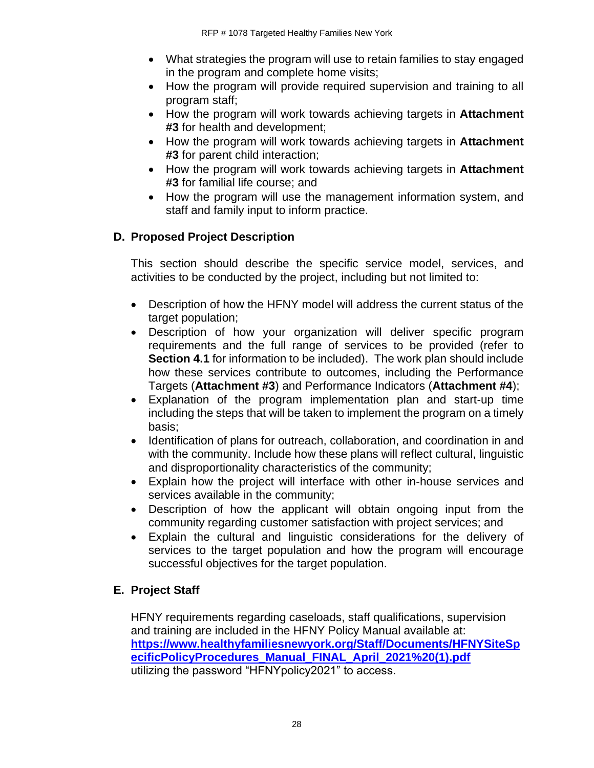- What strategies the program will use to retain families to stay engaged in the program and complete home visits;
- How the program will provide required supervision and training to all program staff;
- How the program will work towards achieving targets in **Attachment #3** for health and development;
- How the program will work towards achieving targets in **Attachment #3** for parent child interaction;
- How the program will work towards achieving targets in **Attachment #3** for familial life course; and
- How the program will use the management information system, and staff and family input to inform practice.

# **D. Proposed Project Description**

This section should describe the specific service model, services, and activities to be conducted by the project, including but not limited to:

- Description of how the HFNY model will address the current status of the target population;
- Description of how your organization will deliver specific program requirements and the full range of services to be provided (refer to **Section 4.1** for information to be included). The work plan should include how these services contribute to outcomes, including the Performance Targets (**Attachment #3**) and Performance Indicators (**Attachment #4**);
- Explanation of the program implementation plan and start-up time including the steps that will be taken to implement the program on a timely basis;
- Identification of plans for outreach, collaboration, and coordination in and with the community. Include how these plans will reflect cultural, linguistic and disproportionality characteristics of the community;
- Explain how the project will interface with other in-house services and services available in the community;
- Description of how the applicant will obtain ongoing input from the community regarding customer satisfaction with project services; and
- Explain the cultural and linguistic considerations for the delivery of services to the target population and how the program will encourage successful objectives for the target population.

# **E. Project Staff**

HFNY requirements regarding caseloads, staff qualifications, supervision and training are included in the HFNY Policy Manual available at: **[https://www.healthyfamiliesnewyork.org/Staff/Documents/HFNYSiteSp](https://www.healthyfamiliesnewyork.org/Staff/Documents/HFNYSiteSpecificPolicyProcedures_Manual_FINAL_April_2021%20(1).pdf) [ecificPolicyProcedures\\_Manual\\_FINAL\\_April\\_2021%20\(1\).pdf](https://www.healthyfamiliesnewyork.org/Staff/Documents/HFNYSiteSpecificPolicyProcedures_Manual_FINAL_April_2021%20(1).pdf)** utilizing the password "HFNYpolicy2021" to access.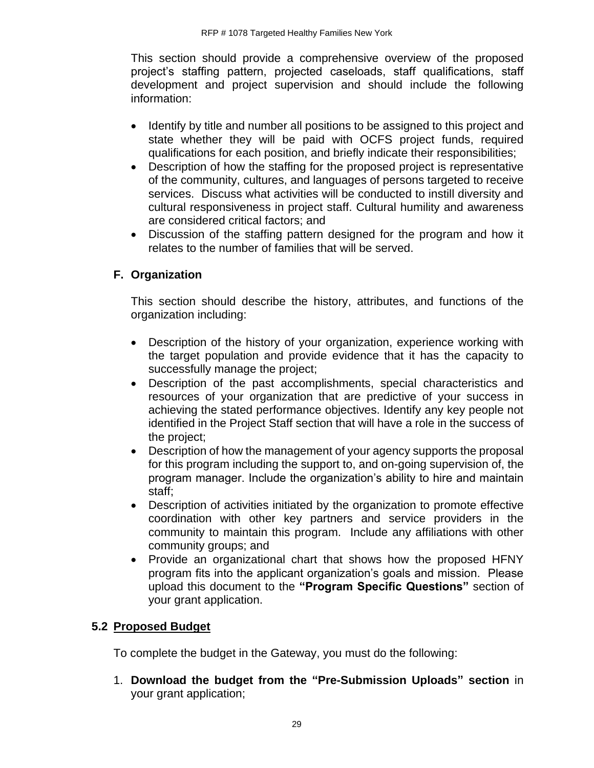This section should provide a comprehensive overview of the proposed project's staffing pattern, projected caseloads, staff qualifications, staff development and project supervision and should include the following information:

- Identify by title and number all positions to be assigned to this project and state whether they will be paid with OCFS project funds, required qualifications for each position, and briefly indicate their responsibilities;
- Description of how the staffing for the proposed project is representative of the community, cultures, and languages of persons targeted to receive services. Discuss what activities will be conducted to instill diversity and cultural responsiveness in project staff. Cultural humility and awareness are considered critical factors; and
- Discussion of the staffing pattern designed for the program and how it relates to the number of families that will be served.

# **F. Organization**

This section should describe the history, attributes, and functions of the organization including:

- Description of the history of your organization, experience working with the target population and provide evidence that it has the capacity to successfully manage the project;
- Description of the past accomplishments, special characteristics and resources of your organization that are predictive of your success in achieving the stated performance objectives. Identify any key people not identified in the Project Staff section that will have a role in the success of the project;
- Description of how the management of your agency supports the proposal for this program including the support to, and on-going supervision of, the program manager. Include the organization's ability to hire and maintain staff;
- Description of activities initiated by the organization to promote effective coordination with other key partners and service providers in the community to maintain this program. Include any affiliations with other community groups; and
- Provide an organizational chart that shows how the proposed HFNY program fits into the applicant organization's goals and mission. Please upload this document to the **"Program Specific Questions"** section of your grant application.

# <span id="page-31-0"></span>**5.2 Proposed Budget**

To complete the budget in the Gateway, you must do the following:

1. **Download the budget from the "Pre-Submission Uploads" section** in your grant application;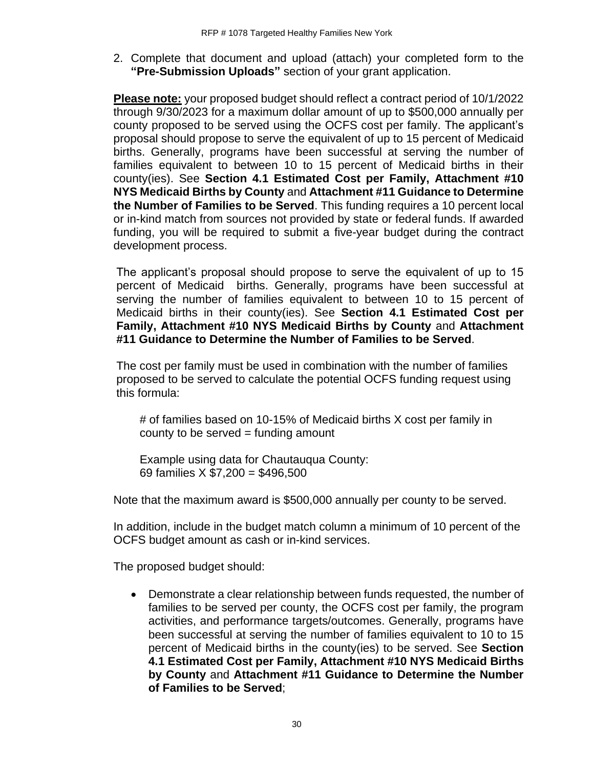2. Complete that document and upload (attach) your completed form to the **"Pre-Submission Uploads"** section of your grant application.

**Please note:** your proposed budget should reflect a contract period of 10/1/2022 through 9/30/2023 for a maximum dollar amount of up to \$500,000 annually per county proposed to be served using the OCFS cost per family. The applicant's proposal should propose to serve the equivalent of up to 15 percent of Medicaid births. Generally, programs have been successful at serving the number of families equivalent to between 10 to 15 percent of Medicaid births in their county(ies). See **Section 4.1 Estimated Cost per Family, Attachment #10 NYS Medicaid Births by County** and **Attachment #11 Guidance to Determine the Number of Families to be Served**. This funding requires a 10 percent local or in-kind match from sources not provided by state or federal funds. If awarded funding, you will be required to submit a five-year budget during the contract development process.

The applicant's proposal should propose to serve the equivalent of up to 15 percent of Medicaid births. Generally, programs have been successful at serving the number of families equivalent to between 10 to 15 percent of Medicaid births in their county(ies). See **Section 4.1 Estimated Cost per Family, Attachment #10 NYS Medicaid Births by County** and **Attachment #11 Guidance to Determine the Number of Families to be Served**.

The cost per family must be used in combination with the number of families proposed to be served to calculate the potential OCFS funding request using this formula:

# of families based on 10-15% of Medicaid births X cost per family in county to be served  $=$  funding amount

Example using data for Chautauqua County: 69 families X \$7,200 = \$496,500

Note that the maximum award is \$500,000 annually per county to be served.

In addition, include in the budget match column a minimum of 10 percent of the OCFS budget amount as cash or in-kind services.

The proposed budget should:

• Demonstrate a clear relationship between funds requested, the number of families to be served per county, the OCFS cost per family, the program activities, and performance targets/outcomes. Generally, programs have been successful at serving the number of families equivalent to 10 to 15 percent of Medicaid births in the county(ies) to be served. See **Section 4.1 Estimated Cost per Family, Attachment #10 NYS Medicaid Births by County** and **Attachment #11 Guidance to Determine the Number of Families to be Served**;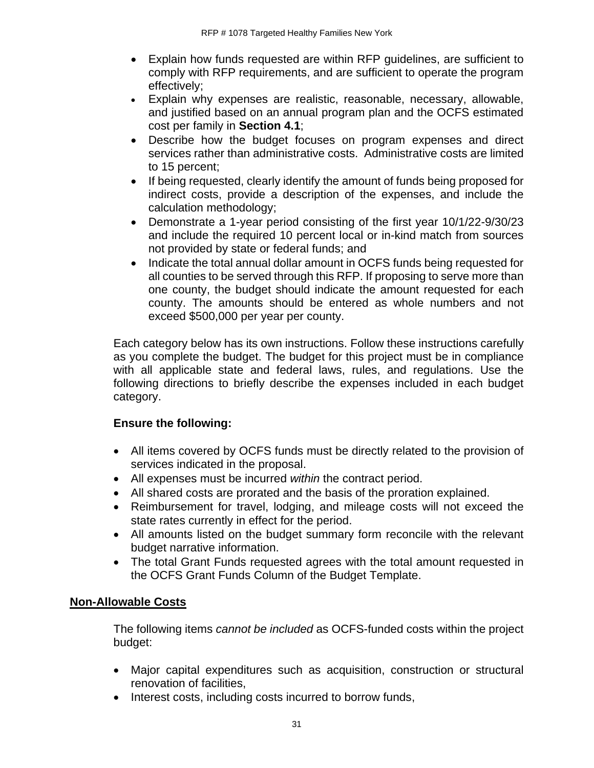- Explain how funds requested are within RFP guidelines, are sufficient to comply with RFP requirements, and are sufficient to operate the program effectively;
- Explain why expenses are realistic, reasonable, necessary, allowable, and justified based on an annual program plan and the OCFS estimated cost per family in **Section 4.1**;
- Describe how the budget focuses on program expenses and direct services rather than administrative costs. Administrative costs are limited to 15 percent;
- If being requested, clearly identify the amount of funds being proposed for indirect costs, provide a description of the expenses, and include the calculation methodology;
- Demonstrate a 1-year period consisting of the first year 10/1/22-9/30/23 and include the required 10 percent local or in-kind match from sources not provided by state or federal funds; and
- Indicate the total annual dollar amount in OCFS funds being requested for all counties to be served through this RFP. If proposing to serve more than one county, the budget should indicate the amount requested for each county. The amounts should be entered as whole numbers and not exceed \$500,000 per year per county.

Each category below has its own instructions. Follow these instructions carefully as you complete the budget. The budget for this project must be in compliance with all applicable state and federal laws, rules, and regulations. Use the following directions to briefly describe the expenses included in each budget category.

# **Ensure the following:**

- All items covered by OCFS funds must be directly related to the provision of services indicated in the proposal.
- All expenses must be incurred *within* the contract period.
- All shared costs are prorated and the basis of the proration explained.
- Reimbursement for travel, lodging, and mileage costs will not exceed the state rates currently in effect for the period.
- All amounts listed on the budget summary form reconcile with the relevant budget narrative information.
- The total Grant Funds requested agrees with the total amount requested in the OCFS Grant Funds Column of the Budget Template.

# **Non-Allowable Costs**

The following items *cannot be included* as OCFS-funded costs within the project budget:

- Major capital expenditures such as acquisition, construction or structural renovation of facilities,
- Interest costs, including costs incurred to borrow funds,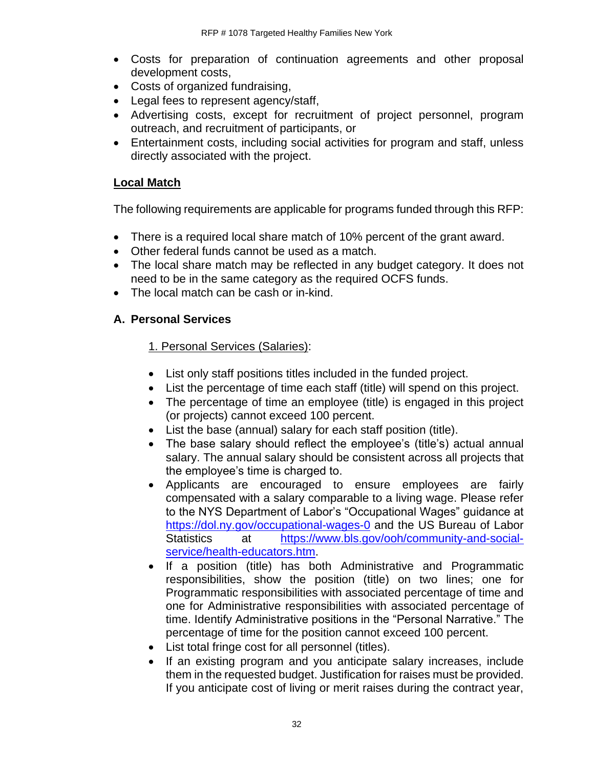- Costs for preparation of continuation agreements and other proposal development costs,
- Costs of organized fundraising,
- Legal fees to represent agency/staff,
- Advertising costs, except for recruitment of project personnel, program outreach, and recruitment of participants, or
- Entertainment costs, including social activities for program and staff, unless directly associated with the project.

#### **Local Match**

The following requirements are applicable for programs funded through this RFP:

- There is a required local share match of 10% percent of the grant award.
- Other federal funds cannot be used as a match.
- The local share match may be reflected in any budget category. It does not need to be in the same category as the required OCFS funds.
- The local match can be cash or in-kind.

#### **A. Personal Services**

#### 1. Personal Services (Salaries):

- List only staff positions titles included in the funded project.
- List the percentage of time each staff (title) will spend on this project.
- The percentage of time an employee (title) is engaged in this project (or projects) cannot exceed 100 percent.
- List the base (annual) salary for each staff position (title).
- The base salary should reflect the employee's (title's) actual annual salary. The annual salary should be consistent across all projects that the employee's time is charged to.
- Applicants are encouraged to ensure employees are fairly compensated with a salary comparable to a living wage. Please refer to the NYS Department of Labor's "Occupational Wages" guidance at <https://dol.ny.gov/occupational-wages-0> and the US Bureau of Labor Statistics at [https://www.bls.gov/ooh/community-and-social](https://www.bls.gov/ooh/community-and-social-service/health-educators.htm)[service/health-educators.htm.](https://www.bls.gov/ooh/community-and-social-service/health-educators.htm)
- If a position (title) has both Administrative and Programmatic responsibilities, show the position (title) on two lines; one for Programmatic responsibilities with associated percentage of time and one for Administrative responsibilities with associated percentage of time. Identify Administrative positions in the "Personal Narrative." The percentage of time for the position cannot exceed 100 percent.
- List total fringe cost for all personnel (titles).
- If an existing program and you anticipate salary increases, include them in the requested budget. Justification for raises must be provided. If you anticipate cost of living or merit raises during the contract year,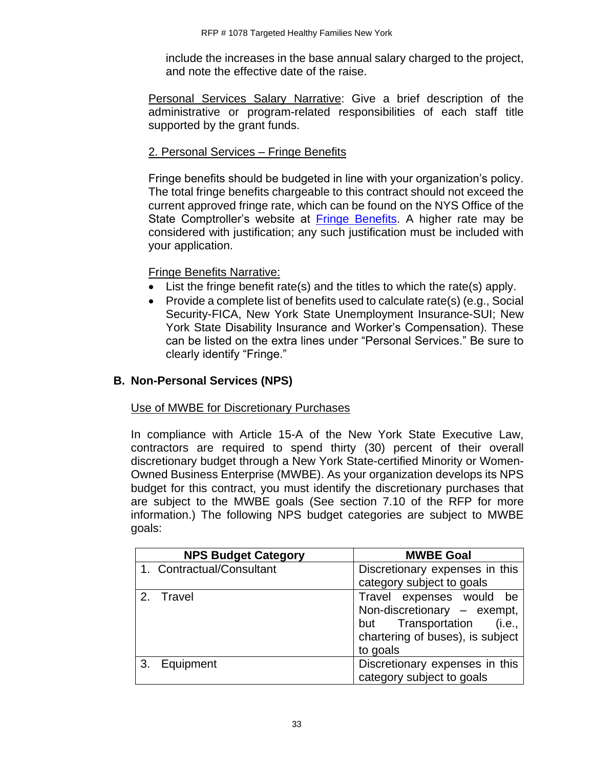include the increases in the base annual salary charged to the project, and note the effective date of the raise.

Personal Services Salary Narrative: Give a brief description of the administrative or program-related responsibilities of each staff title supported by the grant funds.

# 2. Personal Services – Fringe Benefits

Fringe benefits should be budgeted in line with your organization's policy. The total fringe benefits chargeable to this contract should not exceed the current approved fringe rate, which can be found on the NYS Office of the State Comptroller's website at [Fringe Benefits.](https://www.osc.state.ny.us/agencies/guide/MyWebHelp/Content/VII/9/9.htm) A higher rate may be considered with justification; any such justification must be included with your application.

#### Fringe Benefits Narrative:

- List the fringe benefit rate(s) and the titles to which the rate(s) apply.
- Provide a complete list of benefits used to calculate rate(s) (e.g., Social Security-FICA, New York State Unemployment Insurance-SUI; New York State Disability Insurance and Worker's Compensation). These can be listed on the extra lines under "Personal Services." Be sure to clearly identify "Fringe."

# **B. Non-Personal Services (NPS)**

#### Use of MWBE for Discretionary Purchases

In compliance with Article 15-A of the New York State Executive Law, contractors are required to spend thirty (30) percent of their overall discretionary budget through a New York State-certified Minority or Women-Owned Business Enterprise (MWBE). As your organization develops its NPS budget for this contract, you must identify the discretionary purchases that are subject to the MWBE goals (See section 7.10 of the RFP for more information.) The following NPS budget categories are subject to MWBE goals:

|    | <b>NPS Budget Category</b> | <b>MWBE Goal</b>                 |
|----|----------------------------|----------------------------------|
|    | 1. Contractual/Consultant  | Discretionary expenses in this   |
|    |                            | category subject to goals        |
|    | 2. Travel                  | Travel expenses would be         |
|    |                            | Non-discretionary - exempt,      |
|    |                            | but Transportation<br>(i.e.,     |
|    |                            | chartering of buses), is subject |
|    |                            | to goals                         |
| 3. | Equipment                  | Discretionary expenses in this   |
|    |                            | category subject to goals        |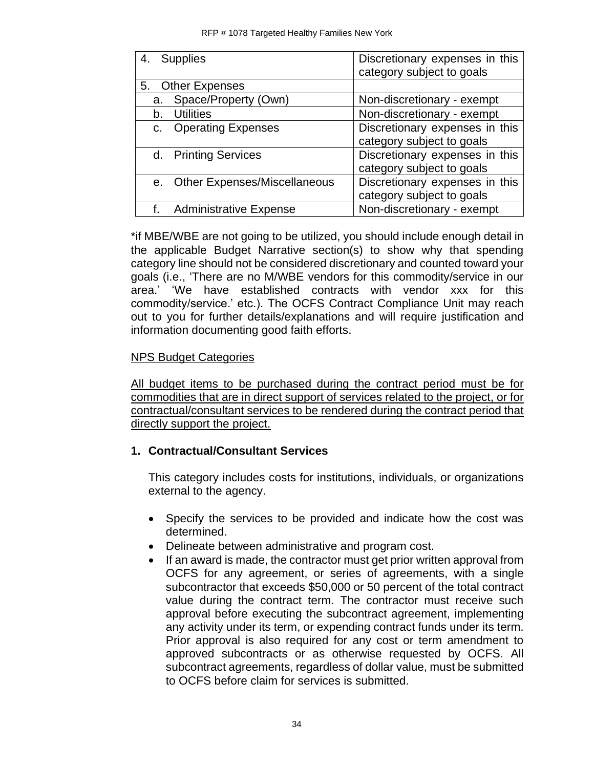| 4.             | <b>Supplies</b>                     | Discretionary expenses in this |
|----------------|-------------------------------------|--------------------------------|
|                |                                     | category subject to goals      |
|                | 5. Other Expenses                   |                                |
| a.             | Space/Property (Own)                | Non-discretionary - exempt     |
| b.             | <b>Utilities</b>                    | Non-discretionary - exempt     |
| C <sub>1</sub> | <b>Operating Expenses</b>           | Discretionary expenses in this |
|                |                                     | category subject to goals      |
|                | d. Printing Services                | Discretionary expenses in this |
|                |                                     | category subject to goals      |
| $e_{1}$        | <b>Other Expenses/Miscellaneous</b> | Discretionary expenses in this |
|                |                                     | category subject to goals      |
|                | <b>Administrative Expense</b>       | Non-discretionary - exempt     |

\*if MBE/WBE are not going to be utilized, you should include enough detail in the applicable Budget Narrative section(s) to show why that spending category line should not be considered discretionary and counted toward your goals (i.e., 'There are no M/WBE vendors for this commodity/service in our area.' 'We have established contracts with vendor xxx for this commodity/service.' etc.). The OCFS Contract Compliance Unit may reach out to you for further details/explanations and will require justification and information documenting good faith efforts.

### NPS Budget Categories

All budget items to be purchased during the contract period must be for commodities that are in direct support of services related to the project, or for contractual/consultant services to be rendered during the contract period that directly support the project.

### **1. Contractual/Consultant Services**

This category includes costs for institutions, individuals, or organizations external to the agency.

- Specify the services to be provided and indicate how the cost was determined.
- Delineate between administrative and program cost.
- If an award is made, the contractor must get prior written approval from OCFS for any agreement, or series of agreements, with a single subcontractor that exceeds \$50,000 or 50 percent of the total contract value during the contract term. The contractor must receive such approval before executing the subcontract agreement, implementing any activity under its term, or expending contract funds under its term. Prior approval is also required for any cost or term amendment to approved subcontracts or as otherwise requested by OCFS. All subcontract agreements, regardless of dollar value, must be submitted to OCFS before claim for services is submitted.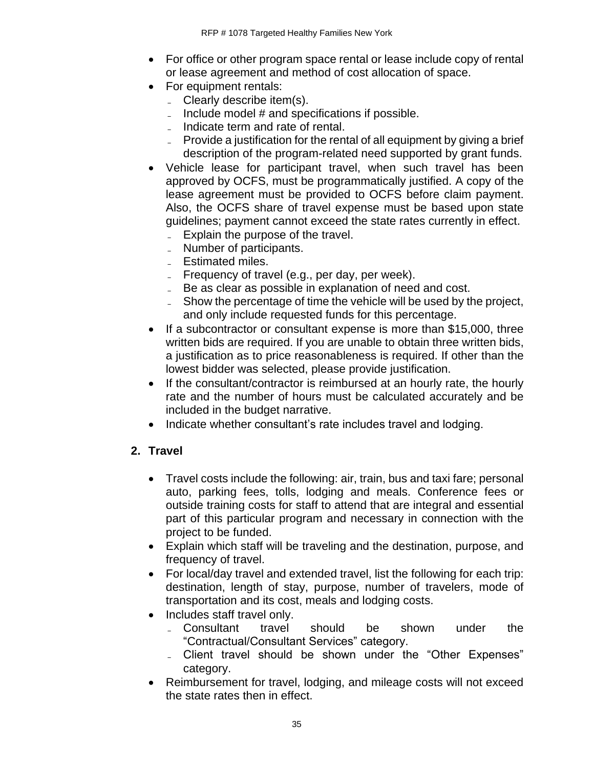- For office or other program space rental or lease include copy of rental or lease agreement and method of cost allocation of space.
- For equipment rentals:
	- $\sim$  Clearly describe item(s).
	- $\blacksquare$  Include model # and specifications if possible.
	- Indicate term and rate of rental.
	- Provide a justification for the rental of all equipment by giving a brief description of the program-related need supported by grant funds.
- Vehicle lease for participant travel, when such travel has been approved by OCFS, must be programmatically justified. A copy of the lease agreement must be provided to OCFS before claim payment. Also, the OCFS share of travel expense must be based upon state guidelines; payment cannot exceed the state rates currently in effect. - Explain the purpose of the travel.
	-
	- Number of participants.
	- Estimated miles.
	- $\blacksquare$  Frequency of travel (e.g., per day, per week).
	- Be as clear as possible in explanation of need and cost.
	- Show the percentage of time the vehicle will be used by the project, and only include requested funds for this percentage.
- If a subcontractor or consultant expense is more than \$15,000, three written bids are required. If you are unable to obtain three written bids, a justification as to price reasonableness is required. If other than the lowest bidder was selected, please provide justification.
- If the consultant/contractor is reimbursed at an hourly rate, the hourly rate and the number of hours must be calculated accurately and be included in the budget narrative.
- Indicate whether consultant's rate includes travel and lodging.

## **2. Travel**

- Travel costs include the following: air, train, bus and taxi fare; personal auto, parking fees, tolls, lodging and meals. Conference fees or outside training costs for staff to attend that are integral and essential part of this particular program and necessary in connection with the project to be funded.
- Explain which staff will be traveling and the destination, purpose, and frequency of travel.
- For local/day travel and extended travel, list the following for each trip: destination, length of stay, purpose, number of travelers, mode of transportation and its cost, meals and lodging costs.
- Includes staff travel only.
	- ̵ Consultant travel should be shown under the "Contractual/Consultant Services" category.
	- Client travel should be shown under the "Other Expenses" category.
- Reimbursement for travel, lodging, and mileage costs will not exceed the state rates then in effect.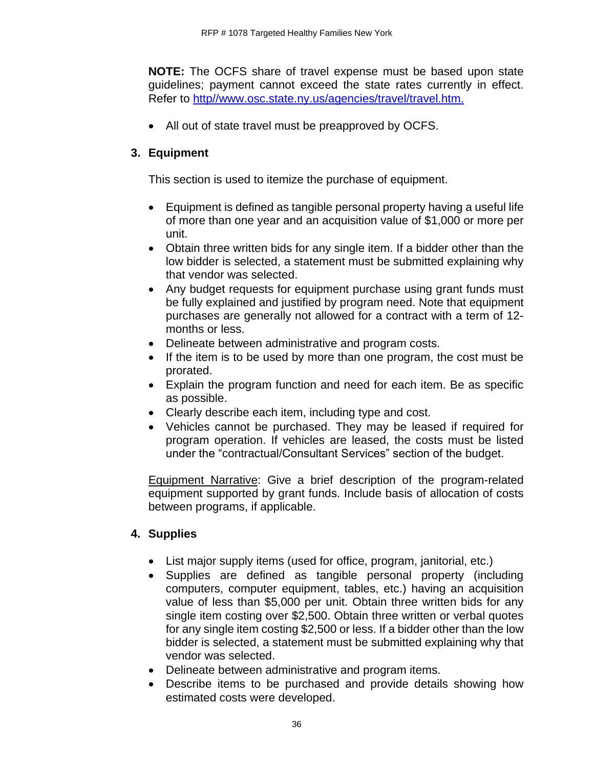**NOTE:** The OCFS share of travel expense must be based upon state guidelines; payment cannot exceed the state rates currently in effect. Refer to [http//www.osc.state.ny.us/agencies/travel/travel.htm.](http://www.osc.state.ny.us/agencies/travel/travel.htm)

• All out of state travel must be preapproved by OCFS.

# **3. Equipment**

This section is used to itemize the purchase of equipment.

- Equipment is defined as tangible personal property having a useful life of more than one year and an acquisition value of \$1,000 or more per unit.
- Obtain three written bids for any single item. If a bidder other than the low bidder is selected, a statement must be submitted explaining why that vendor was selected.
- Any budget requests for equipment purchase using grant funds must be fully explained and justified by program need. Note that equipment purchases are generally not allowed for a contract with a term of 12 months or less.
- Delineate between administrative and program costs.
- If the item is to be used by more than one program, the cost must be prorated.
- Explain the program function and need for each item. Be as specific as possible.
- Clearly describe each item, including type and cost.
- Vehicles cannot be purchased. They may be leased if required for program operation. If vehicles are leased, the costs must be listed under the "contractual/Consultant Services" section of the budget.

Equipment Narrative: Give a brief description of the program-related equipment supported by grant funds. Include basis of allocation of costs between programs, if applicable.

# **4. Supplies**

- List major supply items (used for office, program, janitorial, etc.)
- Supplies are defined as tangible personal property (including computers, computer equipment, tables, etc.) having an acquisition value of less than \$5,000 per unit. Obtain three written bids for any single item costing over \$2,500. Obtain three written or verbal quotes for any single item costing \$2,500 or less. If a bidder other than the low bidder is selected, a statement must be submitted explaining why that vendor was selected.
- Delineate between administrative and program items.
- Describe items to be purchased and provide details showing how estimated costs were developed.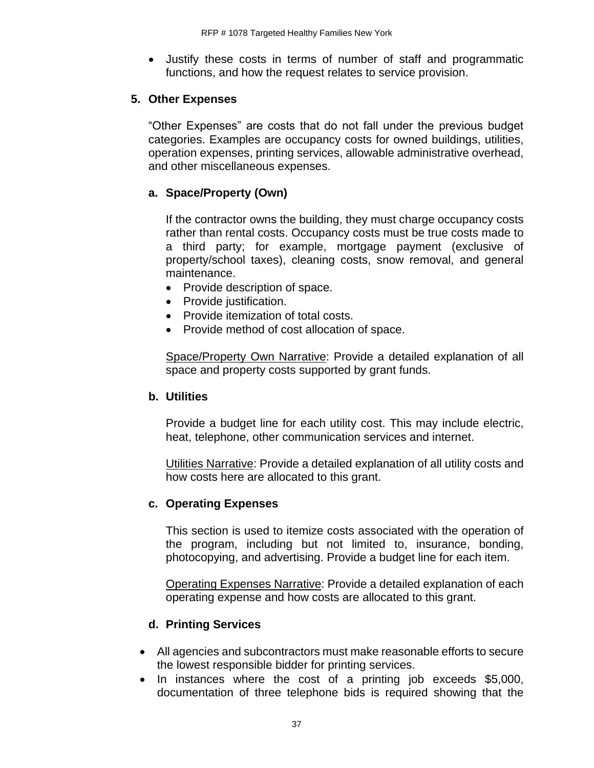• Justify these costs in terms of number of staff and programmatic functions, and how the request relates to service provision.

## **5. Other Expenses**

"Other Expenses" are costs that do not fall under the previous budget categories. Examples are occupancy costs for owned buildings, utilities, operation expenses, printing services, allowable administrative overhead, and other miscellaneous expenses.

## **a. Space/Property (Own)**

If the contractor owns the building, they must charge occupancy costs rather than rental costs. Occupancy costs must be true costs made to a third party; for example, mortgage payment (exclusive of property/school taxes), cleaning costs, snow removal, and general maintenance.

- Provide description of space.
- Provide justification.
- Provide itemization of total costs.
- Provide method of cost allocation of space.

Space/Property Own Narrative: Provide a detailed explanation of all space and property costs supported by grant funds.

### **b. Utilities**

Provide a budget line for each utility cost. This may include electric, heat, telephone, other communication services and internet.

Utilities Narrative: Provide a detailed explanation of all utility costs and how costs here are allocated to this grant.

### **c. Operating Expenses**

This section is used to itemize costs associated with the operation of the program, including but not limited to, insurance, bonding, photocopying, and advertising. Provide a budget line for each item.

Operating Expenses Narrative: Provide a detailed explanation of each operating expense and how costs are allocated to this grant.

### **d. Printing Services**

- All agencies and subcontractors must make reasonable efforts to secure the lowest responsible bidder for printing services.
- In instances where the cost of a printing job exceeds \$5,000, documentation of three telephone bids is required showing that the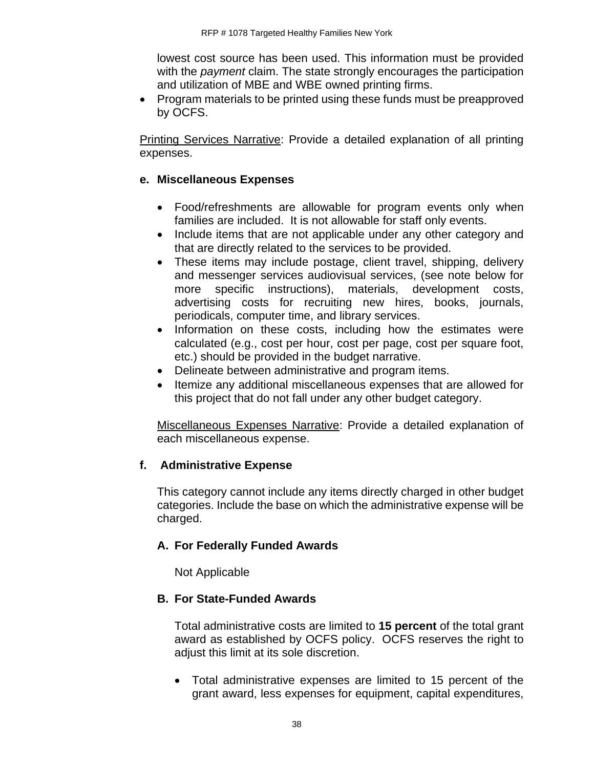lowest cost source has been used. This information must be provided with the *payment* claim. The state strongly encourages the participation and utilization of MBE and WBE owned printing firms.

• Program materials to be printed using these funds must be preapproved by OCFS.

Printing Services Narrative: Provide a detailed explanation of all printing expenses.

## **e. Miscellaneous Expenses**

- Food/refreshments are allowable for program events only when families are included. It is not allowable for staff only events.
- Include items that are not applicable under any other category and that are directly related to the services to be provided.
- These items may include postage, client travel, shipping, delivery and messenger services audiovisual services, (see note below for more specific instructions), materials, development costs, advertising costs for recruiting new hires, books, journals, periodicals, computer time, and library services.
- Information on these costs, including how the estimates were calculated (e.g., cost per hour, cost per page, cost per square foot, etc.) should be provided in the budget narrative.
- Delineate between administrative and program items.
- Itemize any additional miscellaneous expenses that are allowed for this project that do not fall under any other budget category.

Miscellaneous Expenses Narrative: Provide a detailed explanation of each miscellaneous expense.

## **f. Administrative Expense**

This category cannot include any items directly charged in other budget categories. Include the base on which the administrative expense will be charged.

## **A. For Federally Funded Awards**

Not Applicable

## **B. For State-Funded Awards**

Total administrative costs are limited to **15 percent** of the total grant award as established by OCFS policy. OCFS reserves the right to adjust this limit at its sole discretion.

• Total administrative expenses are limited to 15 percent of the grant award, less expenses for equipment, capital expenditures,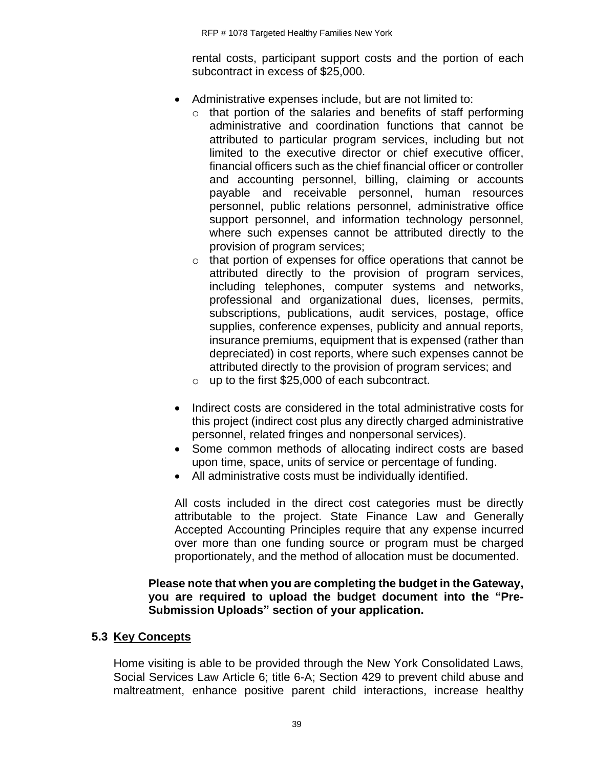rental costs, participant support costs and the portion of each subcontract in excess of \$25,000.

- Administrative expenses include, but are not limited to:
	- o that portion of the salaries and benefits of staff performing administrative and coordination functions that cannot be attributed to particular program services, including but not limited to the executive director or chief executive officer, financial officers such as the chief financial officer or controller and accounting personnel, billing, claiming or accounts payable and receivable personnel, human resources personnel, public relations personnel, administrative office support personnel, and information technology personnel, where such expenses cannot be attributed directly to the provision of program services;
	- o that portion of expenses for office operations that cannot be attributed directly to the provision of program services, including telephones, computer systems and networks, professional and organizational dues, licenses, permits, subscriptions, publications, audit services, postage, office supplies, conference expenses, publicity and annual reports, insurance premiums, equipment that is expensed (rather than depreciated) in cost reports, where such expenses cannot be attributed directly to the provision of program services; and
	- o up to the first \$25,000 of each subcontract.
- Indirect costs are considered in the total administrative costs for this project (indirect cost plus any directly charged administrative personnel, related fringes and nonpersonal services).
- Some common methods of allocating indirect costs are based upon time, space, units of service or percentage of funding.
- All administrative costs must be individually identified.

All costs included in the direct cost categories must be directly attributable to the project. State Finance Law and Generally Accepted Accounting Principles require that any expense incurred over more than one funding source or program must be charged proportionately, and the method of allocation must be documented.

#### **Please note that when you are completing the budget in the Gateway, you are required to upload the budget document into the "Pre-Submission Uploads" section of your application.**

### **5.3 Key Concepts**

Home visiting is able to be provided through the New York Consolidated Laws, Social Services Law Article 6; title 6-A; Section 429 to prevent child abuse and maltreatment, enhance positive parent child interactions, increase healthy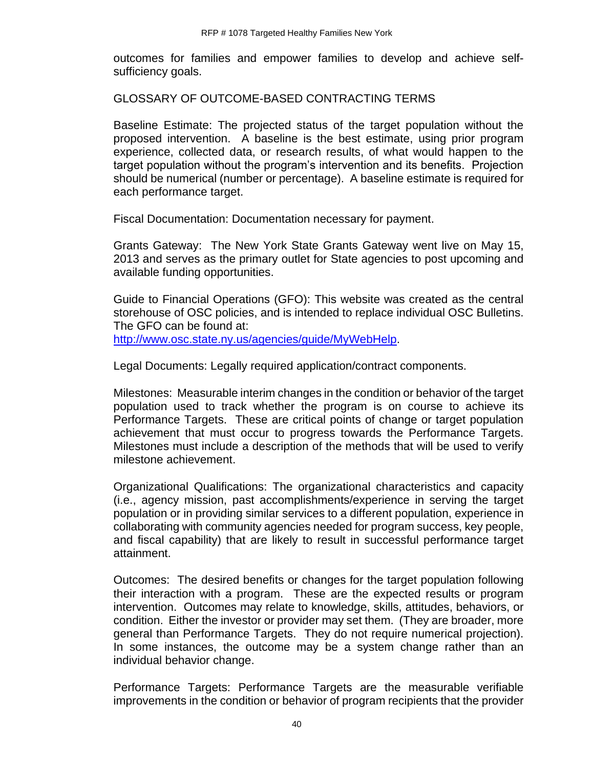outcomes for families and empower families to develop and achieve selfsufficiency goals.

GLOSSARY OF OUTCOME-BASED CONTRACTING TERMS

Baseline Estimate: The projected status of the target population without the proposed intervention. A baseline is the best estimate, using prior program experience, collected data, or research results, of what would happen to the target population without the program's intervention and its benefits. Projection should be numerical (number or percentage). A baseline estimate is required for each performance target.

Fiscal Documentation: Documentation necessary for payment.

Grants Gateway: The New York State Grants Gateway went live on May 15, 2013 and serves as the primary outlet for State agencies to post upcoming and available funding opportunities.

Guide to Financial Operations (GFO): This website was created as the central storehouse of OSC policies, and is intended to replace individual OSC Bulletins. The GFO can be found at: [http://www.osc.state.ny.us/agencies/guide/MyWebHelp.](http://www.osc.state.ny.us/agencies/guide/MyWebHelp)

Legal Documents: Legally required application/contract components.

Milestones: Measurable interim changes in the condition or behavior of the target population used to track whether the program is on course to achieve its Performance Targets. These are critical points of change or target population achievement that must occur to progress towards the Performance Targets. Milestones must include a description of the methods that will be used to verify milestone achievement.

Organizational Qualifications: The organizational characteristics and capacity (i.e., agency mission, past accomplishments/experience in serving the target population or in providing similar services to a different population, experience in collaborating with community agencies needed for program success, key people, and fiscal capability) that are likely to result in successful performance target attainment.

Outcomes: The desired benefits or changes for the target population following their interaction with a program. These are the expected results or program intervention. Outcomes may relate to knowledge, skills, attitudes, behaviors, or condition. Either the investor or provider may set them. (They are broader, more general than Performance Targets. They do not require numerical projection). In some instances, the outcome may be a system change rather than an individual behavior change.

Performance Targets: Performance Targets are the measurable verifiable improvements in the condition or behavior of program recipients that the provider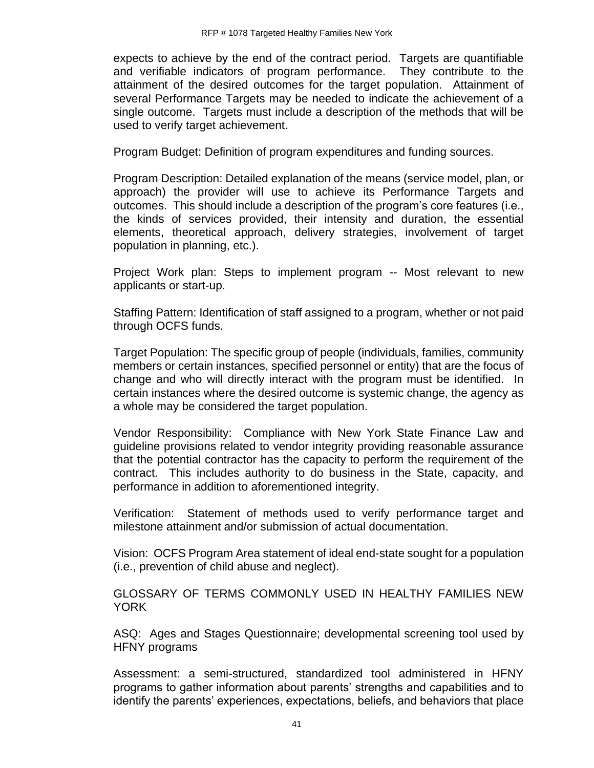expects to achieve by the end of the contract period. Targets are quantifiable and verifiable indicators of program performance. They contribute to the attainment of the desired outcomes for the target population. Attainment of several Performance Targets may be needed to indicate the achievement of a single outcome. Targets must include a description of the methods that will be used to verify target achievement.

Program Budget: Definition of program expenditures and funding sources.

Program Description: Detailed explanation of the means (service model, plan, or approach) the provider will use to achieve its Performance Targets and outcomes. This should include a description of the program's core features (i.e., the kinds of services provided, their intensity and duration, the essential elements, theoretical approach, delivery strategies, involvement of target population in planning, etc.).

Project Work plan: Steps to implement program -- Most relevant to new applicants or start-up.

Staffing Pattern: Identification of staff assigned to a program, whether or not paid through OCFS funds.

Target Population: The specific group of people (individuals, families, community members or certain instances, specified personnel or entity) that are the focus of change and who will directly interact with the program must be identified. In certain instances where the desired outcome is systemic change, the agency as a whole may be considered the target population.

Vendor Responsibility: Compliance with New York State Finance Law and guideline provisions related to vendor integrity providing reasonable assurance that the potential contractor has the capacity to perform the requirement of the contract. This includes authority to do business in the State, capacity, and performance in addition to aforementioned integrity.

Verification: Statement of methods used to verify performance target and milestone attainment and/or submission of actual documentation.

Vision: OCFS Program Area statement of ideal end-state sought for a population (i.e., prevention of child abuse and neglect).

GLOSSARY OF TERMS COMMONLY USED IN HEALTHY FAMILIES NEW YORK

ASQ: Ages and Stages Questionnaire; developmental screening tool used by HFNY programs

Assessment: a semi-structured, standardized tool administered in HFNY programs to gather information about parents' strengths and capabilities and to identify the parents' experiences, expectations, beliefs, and behaviors that place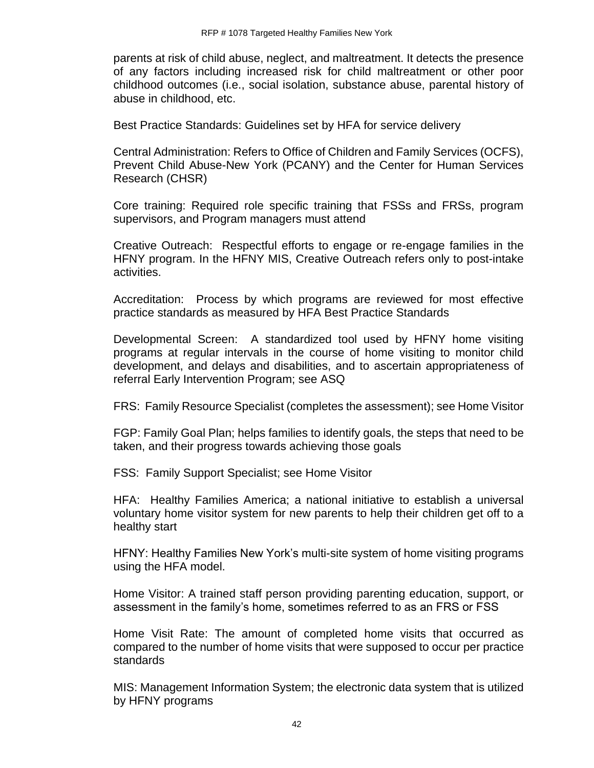parents at risk of child abuse, neglect, and maltreatment. It detects the presence of any factors including increased risk for child maltreatment or other poor childhood outcomes (i.e., social isolation, substance abuse, parental history of abuse in childhood, etc.

Best Practice Standards: Guidelines set by HFA for service delivery

Central Administration: Refers to Office of Children and Family Services (OCFS), Prevent Child Abuse-New York (PCANY) and the Center for Human Services Research (CHSR)

Core training: Required role specific training that FSSs and FRSs, program supervisors, and Program managers must attend

Creative Outreach: Respectful efforts to engage or re-engage families in the HFNY program. In the HFNY MIS, Creative Outreach refers only to post-intake activities.

Accreditation: Process by which programs are reviewed for most effective practice standards as measured by HFA Best Practice Standards

Developmental Screen: A standardized tool used by HFNY home visiting programs at regular intervals in the course of home visiting to monitor child development, and delays and disabilities, and to ascertain appropriateness of referral Early Intervention Program; see ASQ

FRS: Family Resource Specialist (completes the assessment); see Home Visitor

FGP: Family Goal Plan; helps families to identify goals, the steps that need to be taken, and their progress towards achieving those goals

FSS: Family Support Specialist; see Home Visitor

HFA: Healthy Families America; a national initiative to establish a universal voluntary home visitor system for new parents to help their children get off to a healthy start

HFNY: Healthy Families New York's multi-site system of home visiting programs using the HFA model.

Home Visitor: A trained staff person providing parenting education, support, or assessment in the family's home, sometimes referred to as an FRS or FSS

Home Visit Rate: The amount of completed home visits that occurred as compared to the number of home visits that were supposed to occur per practice standards

MIS: Management Information System; the electronic data system that is utilized by HFNY programs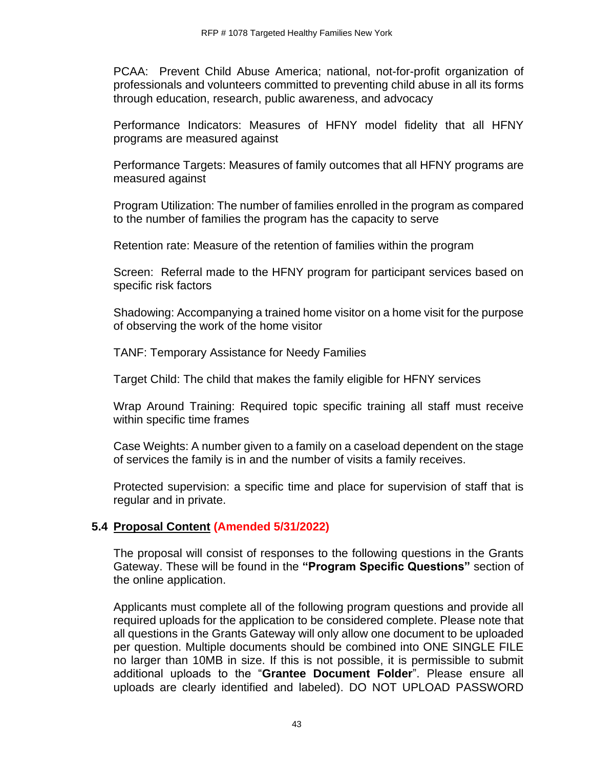PCAA: Prevent Child Abuse America; national, not-for-profit organization of professionals and volunteers committed to preventing child abuse in all its forms through education, research, public awareness, and advocacy

Performance Indicators: Measures of HFNY model fidelity that all HFNY programs are measured against

Performance Targets: Measures of family outcomes that all HFNY programs are measured against

Program Utilization: The number of families enrolled in the program as compared to the number of families the program has the capacity to serve

Retention rate: Measure of the retention of families within the program

Screen: Referral made to the HFNY program for participant services based on specific risk factors

Shadowing: Accompanying a trained home visitor on a home visit for the purpose of observing the work of the home visitor

TANF: Temporary Assistance for Needy Families

Target Child: The child that makes the family eligible for HFNY services

Wrap Around Training: Required topic specific training all staff must receive within specific time frames

Case Weights: A number given to a family on a caseload dependent on the stage of services the family is in and the number of visits a family receives.

Protected supervision: a specific time and place for supervision of staff that is regular and in private.

### **5.4 Proposal Content (Amended 5/31/2022)**

The proposal will consist of responses to the following questions in the Grants Gateway. These will be found in the **"Program Specific Questions"** section of the online application.

Applicants must complete all of the following program questions and provide all required uploads for the application to be considered complete. Please note that all questions in the Grants Gateway will only allow one document to be uploaded per question. Multiple documents should be combined into ONE SINGLE FILE no larger than 10MB in size. If this is not possible, it is permissible to submit additional uploads to the "**Grantee Document Folder**". Please ensure all uploads are clearly identified and labeled). DO NOT UPLOAD PASSWORD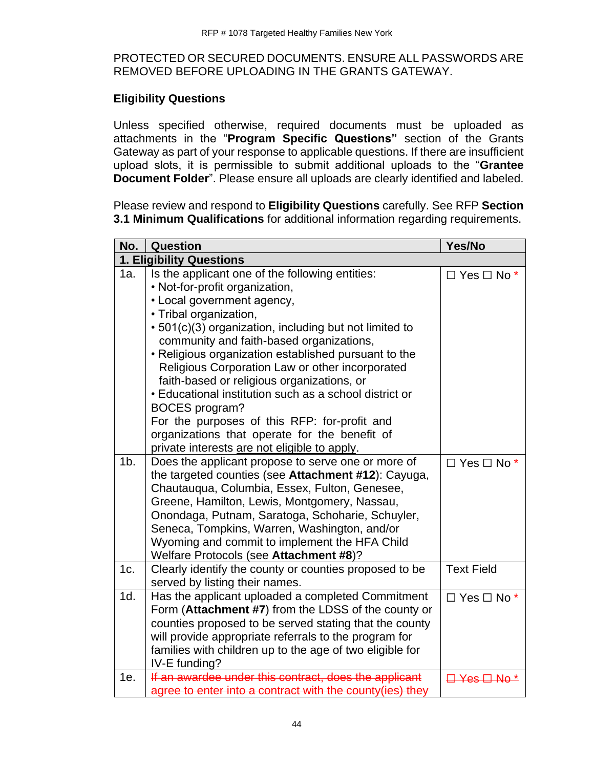### PROTECTED OR SECURED DOCUMENTS. ENSURE ALL PASSWORDS ARE REMOVED BEFORE UPLOADING IN THE GRANTS GATEWAY.

### **Eligibility Questions**

Unless specified otherwise, required documents must be uploaded as attachments in the "**Program Specific Questions"** section of the Grants Gateway as part of your response to applicable questions. If there are insufficient upload slots, it is permissible to submit additional uploads to the "**Grantee Document Folder**". Please ensure all uploads are clearly identified and labeled.

Please review and respond to **Eligibility Questions** carefully. See RFP **Section 3.1 Minimum Qualifications** for additional information regarding requirements.

| No.            | Question                                                                                                                                                                                                                                                                                                                                                                                                                                                                                                                                                                                                                                     | Yes/No                  |
|----------------|----------------------------------------------------------------------------------------------------------------------------------------------------------------------------------------------------------------------------------------------------------------------------------------------------------------------------------------------------------------------------------------------------------------------------------------------------------------------------------------------------------------------------------------------------------------------------------------------------------------------------------------------|-------------------------|
|                | 1. Eligibility Questions                                                                                                                                                                                                                                                                                                                                                                                                                                                                                                                                                                                                                     |                         |
| 1a.            | Is the applicant one of the following entities:<br>• Not-for-profit organization,<br>• Local government agency,<br>• Tribal organization,<br>• 501(c)(3) organization, including but not limited to<br>community and faith-based organizations,<br>• Religious organization established pursuant to the<br>Religious Corporation Law or other incorporated<br>faith-based or religious organizations, or<br>• Educational institution such as a school district or<br><b>BOCES</b> program?<br>For the purposes of this RFP: for-profit and<br>organizations that operate for the benefit of<br>private interests are not eligible to apply. | $\Box$ Yes $\Box$ No *  |
| 1 <sub>b</sub> | Does the applicant propose to serve one or more of<br>the targeted counties (see Attachment #12): Cayuga,<br>Chautauqua, Columbia, Essex, Fulton, Genesee,<br>Greene, Hamilton, Lewis, Montgomery, Nassau,<br>Onondaga, Putnam, Saratoga, Schoharie, Schuyler,<br>Seneca, Tompkins, Warren, Washington, and/or<br>Wyoming and commit to implement the HFA Child<br>Welfare Protocols (see Attachment #8)?                                                                                                                                                                                                                                    | $\Box$ Yes $\Box$ No *  |
| 1c.            | Clearly identify the county or counties proposed to be<br>served by listing their names.                                                                                                                                                                                                                                                                                                                                                                                                                                                                                                                                                     | <b>Text Field</b>       |
| 1d.            | Has the applicant uploaded a completed Commitment<br>Form (Attachment #7) from the LDSS of the county or<br>counties proposed to be served stating that the county<br>will provide appropriate referrals to the program for<br>families with children up to the age of two eligible for<br>IV-E funding?                                                                                                                                                                                                                                                                                                                                     | $\Box$ Yes $\Box$ No *  |
| 1e.            | If an awardee under this contract, does the applicant<br>agree to enter into a contract with the county (ies) they                                                                                                                                                                                                                                                                                                                                                                                                                                                                                                                           | <del>⊟ Yes ⊟ No *</del> |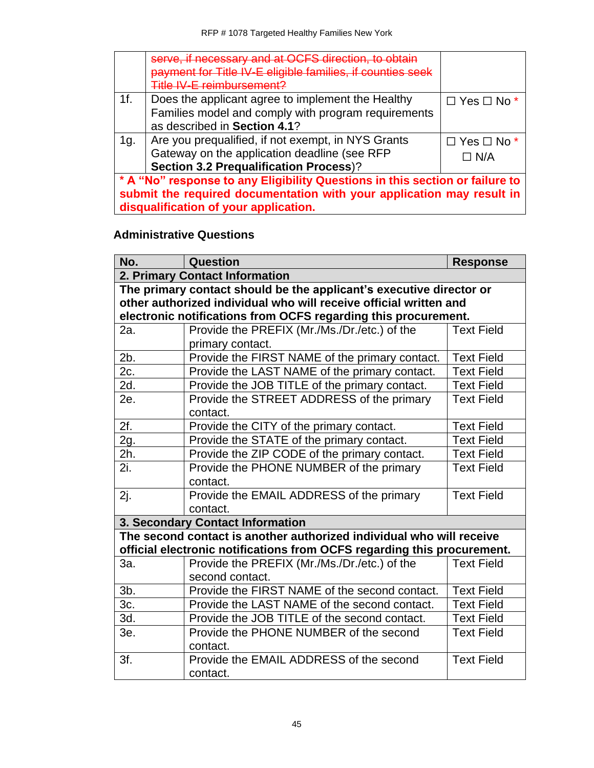|                                                                              | serve, if necessary and at OCFS direction, to obtain<br>payment for Title IV-E eligible families, if counties seek<br>Title IV-E reimbursement? |                        |
|------------------------------------------------------------------------------|-------------------------------------------------------------------------------------------------------------------------------------------------|------------------------|
| 1f.                                                                          | Does the applicant agree to implement the Healthy                                                                                               | $\Box$ Yes $\Box$ No * |
|                                                                              | Families model and comply with program requirements                                                                                             |                        |
|                                                                              | as described in Section 4.1?                                                                                                                    |                        |
| 1g.                                                                          | Are you prequalified, if not exempt, in NYS Grants                                                                                              | $\Box$ Yes $\Box$ No * |
|                                                                              | Gateway on the application deadline (see RFP                                                                                                    | $\Box$ N/A             |
|                                                                              | <b>Section 3.2 Prequalification Process)?</b>                                                                                                   |                        |
| * A "No" response to any Eligibility Questions in this section or failure to |                                                                                                                                                 |                        |
| submit the required documentation with your application may result in        |                                                                                                                                                 |                        |
| disqualification of your application.                                        |                                                                                                                                                 |                        |

# **Administrative Questions**

| No.    | Question                                                                | <b>Response</b>   |
|--------|-------------------------------------------------------------------------|-------------------|
|        | 2. Primary Contact Information                                          |                   |
|        | The primary contact should be the applicant's executive director or     |                   |
|        | other authorized individual who will receive official written and       |                   |
|        | electronic notifications from OCFS regarding this procurement.          |                   |
| 2a.    | Provide the PREFIX (Mr./Ms./Dr./etc.) of the                            | <b>Text Field</b> |
|        | primary contact.                                                        |                   |
| 2b.    | Provide the FIRST NAME of the primary contact.                          | <b>Text Field</b> |
| 2c.    | Provide the LAST NAME of the primary contact.                           | <b>Text Field</b> |
| 2d.    | Provide the JOB TITLE of the primary contact.                           | <b>Text Field</b> |
| 2e.    | Provide the STREET ADDRESS of the primary                               | <b>Text Field</b> |
|        | contact.                                                                |                   |
| 2f.    | Provide the CITY of the primary contact.                                | <b>Text Field</b> |
| 2g.    | Provide the STATE of the primary contact.                               | <b>Text Field</b> |
| 2h.    | Provide the ZIP CODE of the primary contact.                            | <b>Text Field</b> |
| 2i.    | Provide the PHONE NUMBER of the primary                                 | <b>Text Field</b> |
|        | contact.                                                                |                   |
| 2j.    | Provide the EMAIL ADDRESS of the primary                                | <b>Text Field</b> |
|        | contact.                                                                |                   |
|        | 3. Secondary Contact Information                                        |                   |
|        | The second contact is another authorized individual who will receive    |                   |
|        | official electronic notifications from OCFS regarding this procurement. |                   |
| За.    | Provide the PREFIX (Mr./Ms./Dr./etc.) of the                            | <b>Text Field</b> |
|        | second contact.                                                         |                   |
| $3b$ . | Provide the FIRST NAME of the second contact.                           | <b>Text Field</b> |
| 3c.    | Provide the LAST NAME of the second contact.                            | <b>Text Field</b> |
| 3d.    | Provide the JOB TITLE of the second contact.                            | <b>Text Field</b> |
| 3e.    | Provide the PHONE NUMBER of the second                                  | <b>Text Field</b> |
|        | contact.                                                                |                   |
| 3f.    | Provide the EMAIL ADDRESS of the second                                 | <b>Text Field</b> |
|        | contact.                                                                |                   |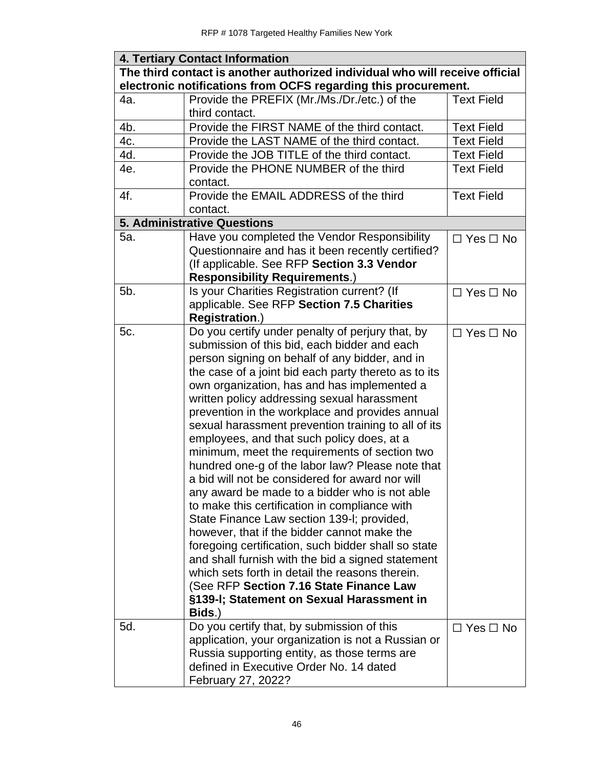| <b>4. Tertiary Contact Information</b>                                                                                                         |                                                                                                                                                                                                                                                                                                                                                                                                                                                                                                                                                                                                                                                                                                                                                                                                                                                                                                                                                                                                                                                                                          |                      |  |
|------------------------------------------------------------------------------------------------------------------------------------------------|------------------------------------------------------------------------------------------------------------------------------------------------------------------------------------------------------------------------------------------------------------------------------------------------------------------------------------------------------------------------------------------------------------------------------------------------------------------------------------------------------------------------------------------------------------------------------------------------------------------------------------------------------------------------------------------------------------------------------------------------------------------------------------------------------------------------------------------------------------------------------------------------------------------------------------------------------------------------------------------------------------------------------------------------------------------------------------------|----------------------|--|
| The third contact is another authorized individual who will receive official<br>electronic notifications from OCFS regarding this procurement. |                                                                                                                                                                                                                                                                                                                                                                                                                                                                                                                                                                                                                                                                                                                                                                                                                                                                                                                                                                                                                                                                                          |                      |  |
| 4a.                                                                                                                                            | Provide the PREFIX (Mr./Ms./Dr./etc.) of the<br>third contact.                                                                                                                                                                                                                                                                                                                                                                                                                                                                                                                                                                                                                                                                                                                                                                                                                                                                                                                                                                                                                           | <b>Text Field</b>    |  |
| 4b.                                                                                                                                            | Provide the FIRST NAME of the third contact.                                                                                                                                                                                                                                                                                                                                                                                                                                                                                                                                                                                                                                                                                                                                                                                                                                                                                                                                                                                                                                             | <b>Text Field</b>    |  |
| 4c.                                                                                                                                            | Provide the LAST NAME of the third contact.                                                                                                                                                                                                                                                                                                                                                                                                                                                                                                                                                                                                                                                                                                                                                                                                                                                                                                                                                                                                                                              | <b>Text Field</b>    |  |
| 4d.                                                                                                                                            | Provide the JOB TITLE of the third contact.                                                                                                                                                                                                                                                                                                                                                                                                                                                                                                                                                                                                                                                                                                                                                                                                                                                                                                                                                                                                                                              | <b>Text Field</b>    |  |
| 4e.                                                                                                                                            | Provide the PHONE NUMBER of the third<br>contact.                                                                                                                                                                                                                                                                                                                                                                                                                                                                                                                                                                                                                                                                                                                                                                                                                                                                                                                                                                                                                                        | <b>Text Field</b>    |  |
| 4f.                                                                                                                                            | Provide the EMAIL ADDRESS of the third<br>contact.                                                                                                                                                                                                                                                                                                                                                                                                                                                                                                                                                                                                                                                                                                                                                                                                                                                                                                                                                                                                                                       | <b>Text Field</b>    |  |
|                                                                                                                                                | <b>5. Administrative Questions</b>                                                                                                                                                                                                                                                                                                                                                                                                                                                                                                                                                                                                                                                                                                                                                                                                                                                                                                                                                                                                                                                       |                      |  |
| 5a.                                                                                                                                            | Have you completed the Vendor Responsibility<br>Questionnaire and has it been recently certified?<br>(If applicable. See RFP Section 3.3 Vendor<br><b>Responsibility Requirements.)</b>                                                                                                                                                                                                                                                                                                                                                                                                                                                                                                                                                                                                                                                                                                                                                                                                                                                                                                  | $\Box$ Yes $\Box$ No |  |
| 5b.                                                                                                                                            | Is your Charities Registration current? (If<br>applicable. See RFP Section 7.5 Charities<br><b>Registration.)</b>                                                                                                                                                                                                                                                                                                                                                                                                                                                                                                                                                                                                                                                                                                                                                                                                                                                                                                                                                                        | $\Box$ Yes $\Box$ No |  |
| 5c.                                                                                                                                            | Do you certify under penalty of perjury that, by<br>submission of this bid, each bidder and each<br>person signing on behalf of any bidder, and in<br>the case of a joint bid each party thereto as to its<br>own organization, has and has implemented a<br>written policy addressing sexual harassment<br>prevention in the workplace and provides annual<br>sexual harassment prevention training to all of its<br>employees, and that such policy does, at a<br>minimum, meet the requirements of section two<br>hundred one-g of the labor law? Please note that<br>a bid will not be considered for award nor will<br>any award be made to a bidder who is not able<br>to make this certification in compliance with<br>State Finance Law section 139-I; provided,<br>however, that if the bidder cannot make the<br>foregoing certification, such bidder shall so state<br>and shall furnish with the bid a signed statement<br>which sets forth in detail the reasons therein.<br>(See RFP Section 7.16 State Finance Law<br>§139-I; Statement on Sexual Harassment in<br>Bids.) | $\Box$ Yes $\Box$ No |  |
| 5d.                                                                                                                                            | Do you certify that, by submission of this<br>application, your organization is not a Russian or<br>Russia supporting entity, as those terms are<br>defined in Executive Order No. 14 dated<br>February 27, 2022?                                                                                                                                                                                                                                                                                                                                                                                                                                                                                                                                                                                                                                                                                                                                                                                                                                                                        | $\Box$ Yes $\Box$ No |  |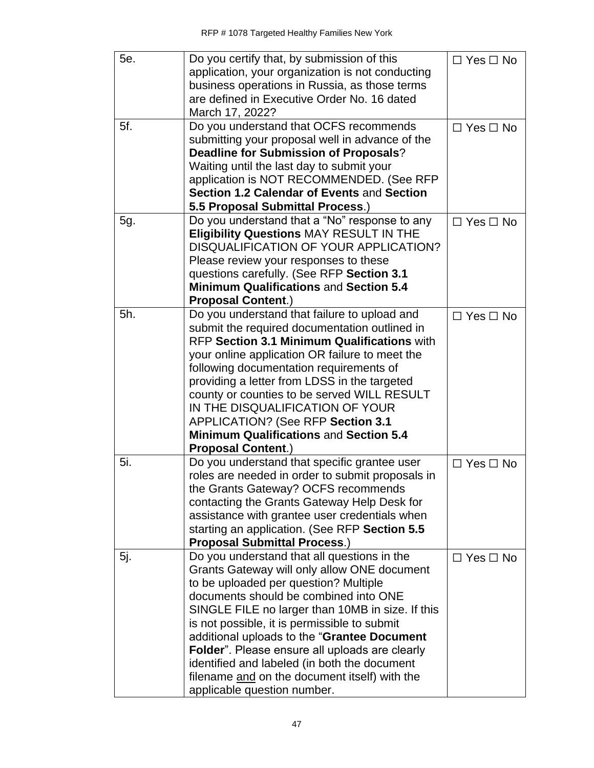| 5e. | Do you certify that, by submission of this             | $\Box$ Yes $\Box$ No |
|-----|--------------------------------------------------------|----------------------|
|     | application, your organization is not conducting       |                      |
|     | business operations in Russia, as those terms          |                      |
|     | are defined in Executive Order No. 16 dated            |                      |
|     | March 17, 2022?                                        |                      |
| 5f. | Do you understand that OCFS recommends                 | $\Box$ Yes $\Box$ No |
|     | submitting your proposal well in advance of the        |                      |
|     | <b>Deadline for Submission of Proposals?</b>           |                      |
|     | Waiting until the last day to submit your              |                      |
|     | application is NOT RECOMMENDED. (See RFP               |                      |
|     | Section 1.2 Calendar of Events and Section             |                      |
|     | 5.5 Proposal Submittal Process.)                       |                      |
| 5g. | Do you understand that a "No" response to any          | $\Box$ Yes $\Box$ No |
|     | <b>Eligibility Questions MAY RESULT IN THE</b>         |                      |
|     | DISQUALIFICATION OF YOUR APPLICATION?                  |                      |
|     | Please review your responses to these                  |                      |
|     | questions carefully. (See RFP Section 3.1              |                      |
|     | <b>Minimum Qualifications and Section 5.4</b>          |                      |
|     | <b>Proposal Content.)</b>                              |                      |
| 5h. | Do you understand that failure to upload and           | $\Box$ Yes $\Box$ No |
|     | submit the required documentation outlined in          |                      |
|     | RFP Section 3.1 Minimum Qualifications with            |                      |
|     | your online application OR failure to meet the         |                      |
|     | following documentation requirements of                |                      |
|     | providing a letter from LDSS in the targeted           |                      |
|     | county or counties to be served WILL RESULT            |                      |
|     | IN THE DISQUALIFICATION OF YOUR                        |                      |
|     | APPLICATION? (See RFP Section 3.1                      |                      |
|     | <b>Minimum Qualifications and Section 5.4</b>          |                      |
|     | <b>Proposal Content.)</b>                              |                      |
| 5i. | Do you understand that specific grantee user           | $\Box$ Yes $\Box$ No |
|     | roles are needed in order to submit proposals in       |                      |
|     | the Grants Gateway? OCFS recommends                    |                      |
|     | contacting the Grants Gateway Help Desk for            |                      |
|     | assistance with grantee user credentials when          |                      |
|     | starting an application. (See RFP Section 5.5          |                      |
|     | <b>Proposal Submittal Process.)</b>                    |                      |
| 5j. | Do you understand that all questions in the            | $\Box$ Yes $\Box$ No |
|     | Grants Gateway will only allow ONE document            |                      |
|     | to be uploaded per question? Multiple                  |                      |
|     | documents should be combined into ONE                  |                      |
|     | SINGLE FILE no larger than 10MB in size. If this       |                      |
|     | is not possible, it is permissible to submit           |                      |
|     | additional uploads to the "Grantee Document            |                      |
|     | <b>Folder</b> ". Please ensure all uploads are clearly |                      |
|     | identified and labeled (in both the document           |                      |
|     |                                                        |                      |
|     | filename and on the document itself) with the          |                      |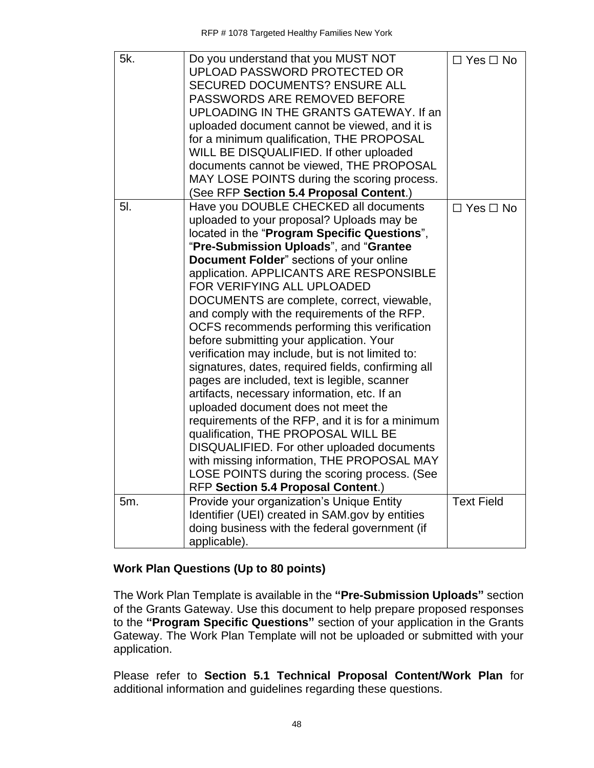| 5k. | Do you understand that you MUST NOT<br>UPLOAD PASSWORD PROTECTED OR<br><b>SECURED DOCUMENTS? ENSURE ALL</b><br>PASSWORDS ARE REMOVED BEFORE<br>UPLOADING IN THE GRANTS GATEWAY. If an<br>uploaded document cannot be viewed, and it is<br>for a minimum qualification, THE PROPOSAL<br>WILL BE DISQUALIFIED. If other uploaded<br>documents cannot be viewed, THE PROPOSAL<br>MAY LOSE POINTS during the scoring process.                                                                                                                                                                                                                                                                                                                                                                                                                                                                                                                                                                                                 | $\Box$ Yes $\Box$ No |
|-----|---------------------------------------------------------------------------------------------------------------------------------------------------------------------------------------------------------------------------------------------------------------------------------------------------------------------------------------------------------------------------------------------------------------------------------------------------------------------------------------------------------------------------------------------------------------------------------------------------------------------------------------------------------------------------------------------------------------------------------------------------------------------------------------------------------------------------------------------------------------------------------------------------------------------------------------------------------------------------------------------------------------------------|----------------------|
|     | (See RFP Section 5.4 Proposal Content.)                                                                                                                                                                                                                                                                                                                                                                                                                                                                                                                                                                                                                                                                                                                                                                                                                                                                                                                                                                                   |                      |
| 5I. | Have you DOUBLE CHECKED all documents<br>uploaded to your proposal? Uploads may be<br>located in the "Program Specific Questions",<br>"Pre-Submission Uploads", and "Grantee<br>Document Folder" sections of your online<br>application. APPLICANTS ARE RESPONSIBLE<br>FOR VERIFYING ALL UPLOADED<br>DOCUMENTS are complete, correct, viewable,<br>and comply with the requirements of the RFP.<br>OCFS recommends performing this verification<br>before submitting your application. Your<br>verification may include, but is not limited to:<br>signatures, dates, required fields, confirming all<br>pages are included, text is legible, scanner<br>artifacts, necessary information, etc. If an<br>uploaded document does not meet the<br>requirements of the RFP, and it is for a minimum<br>qualification, THE PROPOSAL WILL BE<br>DISQUALIFIED. For other uploaded documents<br>with missing information, THE PROPOSAL MAY<br>LOSE POINTS during the scoring process. (See<br>RFP Section 5.4 Proposal Content.) | $\Box$ Yes $\Box$ No |
| 5m. | Provide your organization's Unique Entity<br>Identifier (UEI) created in SAM.gov by entities<br>doing business with the federal government (if<br>applicable).                                                                                                                                                                                                                                                                                                                                                                                                                                                                                                                                                                                                                                                                                                                                                                                                                                                            | <b>Text Field</b>    |
|     |                                                                                                                                                                                                                                                                                                                                                                                                                                                                                                                                                                                                                                                                                                                                                                                                                                                                                                                                                                                                                           |                      |

## **Work Plan Questions (Up to 80 points)**

The Work Plan Template is available in the **"Pre-Submission Uploads"** section of the Grants Gateway. Use this document to help prepare proposed responses to the **"Program Specific Questions"** section of your application in the Grants Gateway. The Work Plan Template will not be uploaded or submitted with your application.

Please refer to **Section 5.1 Technical Proposal Content/Work Plan** for additional information and guidelines regarding these questions.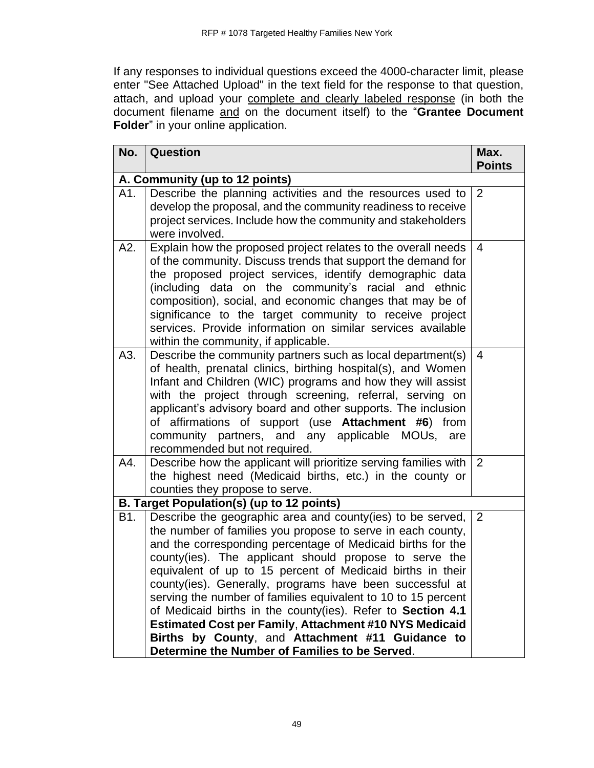If any responses to individual questions exceed the 4000-character limit, please enter "See Attached Upload" in the text field for the response to that question, attach, and upload your complete and clearly labeled response (in both the document filename and on the document itself) to the "**Grantee Document Folder**" in your online application.

| No.                            | Question                                                                                                                                                                                                                                                                                                                                                                                                                                                                                                                                                                                                                                                                            | Max.<br><b>Points</b> |
|--------------------------------|-------------------------------------------------------------------------------------------------------------------------------------------------------------------------------------------------------------------------------------------------------------------------------------------------------------------------------------------------------------------------------------------------------------------------------------------------------------------------------------------------------------------------------------------------------------------------------------------------------------------------------------------------------------------------------------|-----------------------|
| A. Community (up to 12 points) |                                                                                                                                                                                                                                                                                                                                                                                                                                                                                                                                                                                                                                                                                     |                       |
| A1.                            | Describe the planning activities and the resources used to<br>develop the proposal, and the community readiness to receive<br>project services. Include how the community and stakeholders<br>were involved.                                                                                                                                                                                                                                                                                                                                                                                                                                                                        | 2                     |
| A2.                            | Explain how the proposed project relates to the overall needs<br>of the community. Discuss trends that support the demand for<br>the proposed project services, identify demographic data<br>(including data on the community's racial and ethnic<br>composition), social, and economic changes that may be of<br>significance to the target community to receive project<br>services. Provide information on similar services available<br>within the community, if applicable.                                                                                                                                                                                                    | $\overline{4}$        |
| A3.                            | Describe the community partners such as local department(s)<br>of health, prenatal clinics, birthing hospital(s), and Women<br>Infant and Children (WIC) programs and how they will assist<br>with the project through screening, referral, serving on<br>applicant's advisory board and other supports. The inclusion<br>of affirmations of support (use Attachment #6) from<br>community partners, and any applicable MOUs,<br>are<br>recommended but not required.                                                                                                                                                                                                               | $\overline{4}$        |
| A4.                            | Describe how the applicant will prioritize serving families with<br>the highest need (Medicaid births, etc.) in the county or<br>counties they propose to serve.                                                                                                                                                                                                                                                                                                                                                                                                                                                                                                                    | 2                     |
|                                | B. Target Population(s) (up to 12 points)                                                                                                                                                                                                                                                                                                                                                                                                                                                                                                                                                                                                                                           |                       |
| B1.                            | Describe the geographic area and county(ies) to be served,<br>the number of families you propose to serve in each county,<br>and the corresponding percentage of Medicaid births for the<br>county(ies). The applicant should propose to serve the<br>equivalent of up to 15 percent of Medicaid births in their<br>county(ies). Generally, programs have been successful at<br>serving the number of families equivalent to 10 to 15 percent<br>of Medicaid births in the county(ies). Refer to Section 4.1<br><b>Estimated Cost per Family, Attachment #10 NYS Medicaid</b><br>Births by County, and Attachment #11 Guidance to<br>Determine the Number of Families to be Served. | 2                     |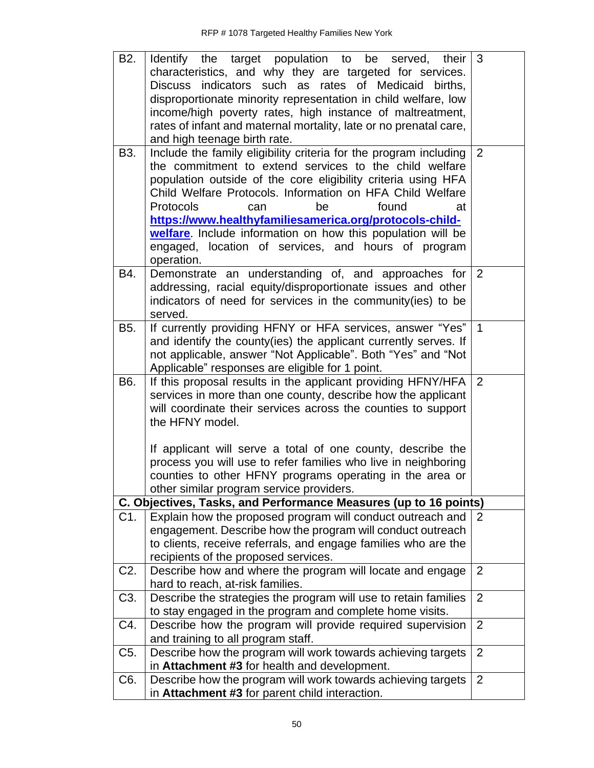| B <sub>2</sub> . | Identify the target population to be served,<br>their<br>characteristics, and why they are targeted for services.            | 3              |
|------------------|------------------------------------------------------------------------------------------------------------------------------|----------------|
|                  | Discuss indicators such as rates of Medicaid births,                                                                         |                |
|                  | disproportionate minority representation in child welfare, low                                                               |                |
|                  | income/high poverty rates, high instance of maltreatment,                                                                    |                |
|                  | rates of infant and maternal mortality, late or no prenatal care,                                                            |                |
|                  | and high teenage birth rate.                                                                                                 |                |
| B3.              | Include the family eligibility criteria for the program including                                                            | 2              |
|                  | the commitment to extend services to the child welfare                                                                       |                |
|                  | population outside of the core eligibility criteria using HFA<br>Child Welfare Protocols. Information on HFA Child Welfare   |                |
|                  | Protocols<br>found<br>be<br>can<br>at                                                                                        |                |
|                  | https://www.healthyfamiliesamerica.org/protocols-child-                                                                      |                |
|                  | welfare. Include information on how this population will be                                                                  |                |
|                  | engaged, location of services, and hours of program                                                                          |                |
|                  | operation.                                                                                                                   |                |
| B4.              | Demonstrate an understanding of, and approaches for                                                                          | $\overline{2}$ |
|                  | addressing, racial equity/disproportionate issues and other                                                                  |                |
|                  | indicators of need for services in the community(ies) to be                                                                  |                |
|                  | served.                                                                                                                      | $\mathbf{1}$   |
| B5.              | If currently providing HFNY or HFA services, answer "Yes"<br>and identify the county(ies) the applicant currently serves. If |                |
|                  | not applicable, answer "Not Applicable". Both "Yes" and "Not                                                                 |                |
|                  | Applicable" responses are eligible for 1 point.                                                                              |                |
| B6.              | If this proposal results in the applicant providing HFNY/HFA                                                                 | 2              |
|                  | services in more than one county, describe how the applicant                                                                 |                |
|                  | will coordinate their services across the counties to support                                                                |                |
|                  | the HFNY model.                                                                                                              |                |
|                  | If applicant will serve a total of one county, describe the                                                                  |                |
|                  | process you will use to refer families who live in neighboring                                                               |                |
|                  | counties to other HFNY programs operating in the area or                                                                     |                |
|                  | other similar program service providers.                                                                                     |                |
|                  | C. Objectives, Tasks, and Performance Measures (up to 16 points)                                                             |                |
| C1.              | Explain how the proposed program will conduct outreach and                                                                   | 2              |
|                  | engagement. Describe how the program will conduct outreach                                                                   |                |
|                  | to clients, receive referrals, and engage families who are the                                                               |                |
|                  | recipients of the proposed services.                                                                                         |                |
| C <sub>2</sub> . | Describe how and where the program will locate and engage<br>hard to reach, at-risk families.                                | $\overline{2}$ |
| C <sub>3</sub> . | Describe the strategies the program will use to retain families                                                              | $\overline{2}$ |
|                  | to stay engaged in the program and complete home visits.                                                                     |                |
| C4.              | Describe how the program will provide required supervision                                                                   | $\overline{2}$ |
|                  | and training to all program staff.                                                                                           |                |
| C <sub>5</sub> . | Describe how the program will work towards achieving targets                                                                 | $\overline{2}$ |
|                  | in Attachment #3 for health and development.                                                                                 |                |
| C6.              |                                                                                                                              |                |
|                  | Describe how the program will work towards achieving targets<br>in Attachment #3 for parent child interaction.               | $\overline{2}$ |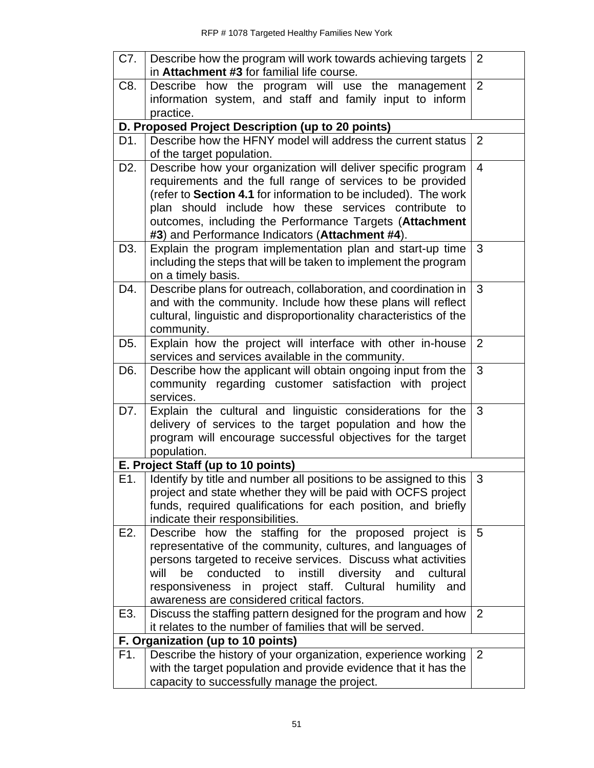| C7.              | Describe how the program will work towards achieving targets        | 2              |
|------------------|---------------------------------------------------------------------|----------------|
|                  | in Attachment #3 for familial life course.                          |                |
| C8.              | Describe how the program will use the management                    | $\overline{2}$ |
|                  | information system, and staff and family input to inform            |                |
|                  | practice.                                                           |                |
|                  | D. Proposed Project Description (up to 20 points)                   |                |
| D1.              | Describe how the HFNY model will address the current status         | 2              |
|                  | of the target population.                                           |                |
| D <sub>2</sub> . | Describe how your organization will deliver specific program        | $\overline{4}$ |
|                  | requirements and the full range of services to be provided          |                |
|                  | (refer to Section 4.1 for information to be included). The work     |                |
|                  | plan should include how these services contribute to                |                |
|                  | outcomes, including the Performance Targets (Attachment             |                |
|                  | #3) and Performance Indicators (Attachment #4).                     |                |
| D3.              | Explain the program implementation plan and start-up time           | 3              |
|                  | including the steps that will be taken to implement the program     |                |
|                  | on a timely basis.                                                  |                |
| D4.              | Describe plans for outreach, collaboration, and coordination in     | 3              |
|                  | and with the community. Include how these plans will reflect        |                |
|                  | cultural, linguistic and disproportionality characteristics of the  |                |
|                  | community.                                                          |                |
| D <sub>5</sub> . | Explain how the project will interface with other in-house          | 2              |
|                  | services and services available in the community.                   |                |
| D6.              | Describe how the applicant will obtain ongoing input from the       | 3              |
|                  | community regarding customer satisfaction with project              |                |
|                  | services.                                                           |                |
| D7.              | Explain the cultural and linguistic considerations for the          | 3              |
|                  | delivery of services to the target population and how the           |                |
|                  | program will encourage successful objectives for the target         |                |
|                  | population.                                                         |                |
|                  | E. Project Staff (up to 10 points)                                  |                |
| E1.              | I Identify by title and number all positions to be assigned to this | $\mathbf{3}$   |
|                  | project and state whether they will be paid with OCFS project       |                |
|                  | funds, required qualifications for each position, and briefly       |                |
|                  | indicate their responsibilities.                                    |                |
| E2.              | Describe how the staffing for the proposed project is               | 5              |
|                  | representative of the community, cultures, and languages of         |                |
|                  | persons targeted to receive services. Discuss what activities       |                |
|                  | be<br>conducted<br>to instill<br>diversity and<br>will<br>cultural  |                |
|                  | responsiveness in project staff. Cultural humility<br>and           |                |
|                  | awareness are considered critical factors.                          |                |
| E3.              | Discuss the staffing pattern designed for the program and how       | 2              |
|                  | it relates to the number of families that will be served.           |                |
|                  | F. Organization (up to 10 points)                                   |                |
| F1.              | Describe the history of your organization, experience working       | $\overline{2}$ |
|                  | with the target population and provide evidence that it has the     |                |
|                  | capacity to successfully manage the project.                        |                |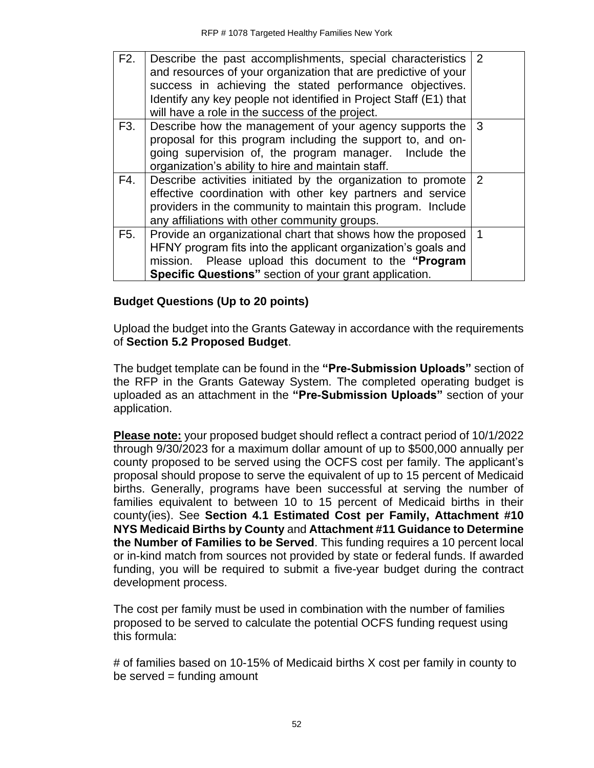| F2. | Describe the past accomplishments, special characteristics 2<br>and resources of your organization that are predictive of your<br>success in achieving the stated performance objectives.<br>Identify any key people not identified in Project Staff (E1) that<br>will have a role in the success of the project. |              |
|-----|-------------------------------------------------------------------------------------------------------------------------------------------------------------------------------------------------------------------------------------------------------------------------------------------------------------------|--------------|
| F3. | Describe how the management of your agency supports the<br>proposal for this program including the support to, and on-<br>going supervision of, the program manager. Include the<br>organization's ability to hire and maintain staff.                                                                            | $\mathbf{3}$ |
| F4. | Describe activities initiated by the organization to promote 2<br>effective coordination with other key partners and service<br>providers in the community to maintain this program. Include<br>any affiliations with other community groups.                                                                     |              |
| F5. | Provide an organizational chart that shows how the proposed<br>HFNY program fits into the applicant organization's goals and<br>mission. Please upload this document to the "Program<br><b>Specific Questions</b> " section of your grant application.                                                            | $\mathbf 1$  |

## **Budget Questions (Up to 20 points)**

Upload the budget into the Grants Gateway in accordance with the requirements of **Section 5.2 Proposed Budget**.

The budget template can be found in the **"Pre-Submission Uploads"** section of the RFP in the Grants Gateway System. The completed operating budget is uploaded as an attachment in the **"Pre-Submission Uploads"** section of your application.

**Please note:** your proposed budget should reflect a contract period of 10/1/2022 through 9/30/2023 for a maximum dollar amount of up to \$500,000 annually per county proposed to be served using the OCFS cost per family. The applicant's proposal should propose to serve the equivalent of up to 15 percent of Medicaid births. Generally, programs have been successful at serving the number of families equivalent to between 10 to 15 percent of Medicaid births in their county(ies). See **Section 4.1 Estimated Cost per Family, Attachment #10 NYS Medicaid Births by County** and **Attachment #11 Guidance to Determine the Number of Families to be Served**. This funding requires a 10 percent local or in-kind match from sources not provided by state or federal funds. If awarded funding, you will be required to submit a five-year budget during the contract development process.

The cost per family must be used in combination with the number of families proposed to be served to calculate the potential OCFS funding request using this formula:

# of families based on 10-15% of Medicaid births X cost per family in county to  $be$  served = funding amount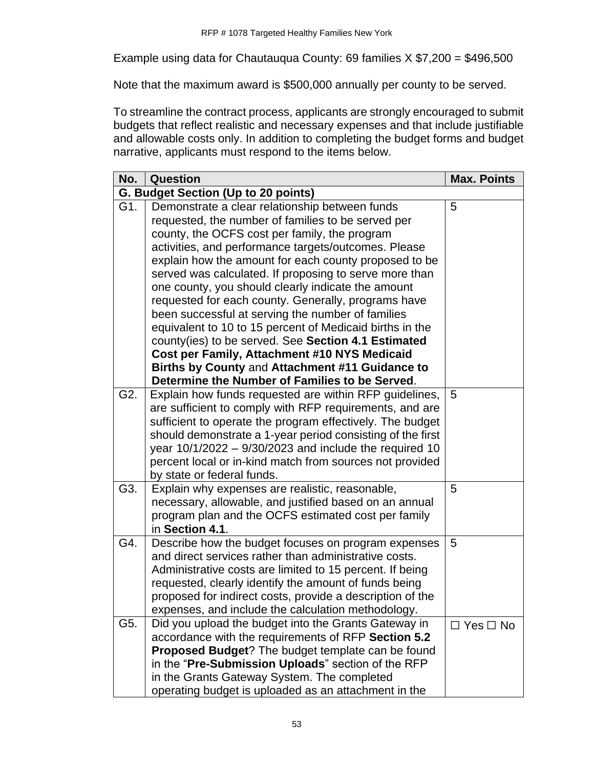Example using data for Chautauqua County: 69 families X \$7,200 = \$496,500

Note that the maximum award is \$500,000 annually per county to be served.

To streamline the contract process, applicants are strongly encouraged to submit budgets that reflect realistic and necessary expenses and that include justifiable and allowable costs only. In addition to completing the budget forms and budget narrative, applicants must respond to the items below.

| No. | Question                                                                                            | <b>Max. Points</b>   |
|-----|-----------------------------------------------------------------------------------------------------|----------------------|
|     | G. Budget Section (Up to 20 points)                                                                 |                      |
| G1. | Demonstrate a clear relationship between funds                                                      | 5                    |
|     | requested, the number of families to be served per                                                  |                      |
|     | county, the OCFS cost per family, the program                                                       |                      |
|     | activities, and performance targets/outcomes. Please                                                |                      |
|     | explain how the amount for each county proposed to be                                               |                      |
|     | served was calculated. If proposing to serve more than                                              |                      |
|     | one county, you should clearly indicate the amount                                                  |                      |
|     | requested for each county. Generally, programs have                                                 |                      |
|     | been successful at serving the number of families                                                   |                      |
|     | equivalent to 10 to 15 percent of Medicaid births in the                                            |                      |
|     | county(ies) to be served. See Section 4.1 Estimated<br>Cost per Family, Attachment #10 NYS Medicaid |                      |
|     | Births by County and Attachment #11 Guidance to                                                     |                      |
|     | Determine the Number of Families to be Served.                                                      |                      |
| G2. | Explain how funds requested are within RFP guidelines,                                              | 5                    |
|     | are sufficient to comply with RFP requirements, and are                                             |                      |
|     | sufficient to operate the program effectively. The budget                                           |                      |
|     | should demonstrate a 1-year period consisting of the first                                          |                      |
|     | year $10/1/2022 - 9/30/2023$ and include the required 10                                            |                      |
|     | percent local or in-kind match from sources not provided                                            |                      |
|     | by state or federal funds.                                                                          |                      |
| G3. | Explain why expenses are realistic, reasonable,                                                     | 5                    |
|     | necessary, allowable, and justified based on an annual                                              |                      |
|     | program plan and the OCFS estimated cost per family                                                 |                      |
|     | in Section 4.1.                                                                                     |                      |
| G4. | Describe how the budget focuses on program expenses                                                 | 5                    |
|     | and direct services rather than administrative costs.                                               |                      |
|     | Administrative costs are limited to 15 percent. If being                                            |                      |
|     | requested, clearly identify the amount of funds being                                               |                      |
|     | proposed for indirect costs, provide a description of the                                           |                      |
|     | expenses, and include the calculation methodology.                                                  |                      |
| G5. | Did you upload the budget into the Grants Gateway in                                                | $\Box$ Yes $\Box$ No |
|     | accordance with the requirements of RFP Section 5.2                                                 |                      |
|     | Proposed Budget? The budget template can be found                                                   |                      |
|     | in the "Pre-Submission Uploads" section of the RFP<br>in the Grants Gateway System. The completed   |                      |
|     |                                                                                                     |                      |
|     | operating budget is uploaded as an attachment in the                                                |                      |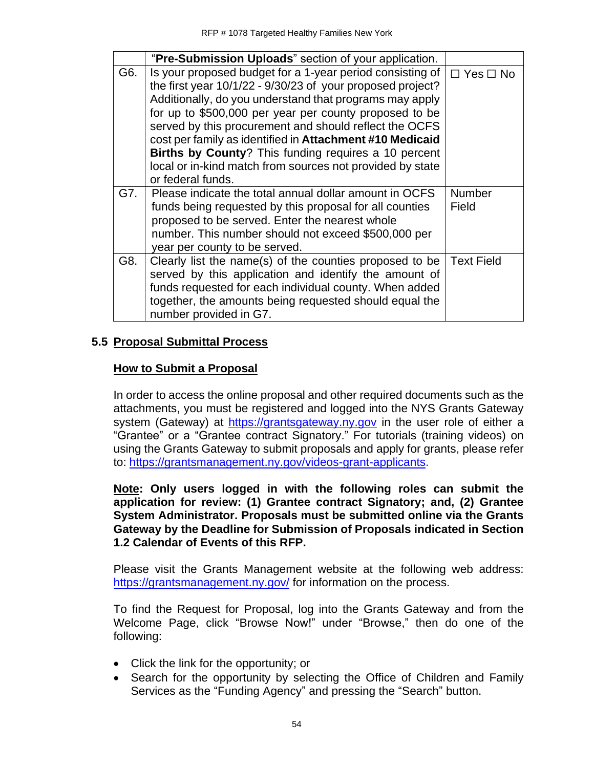|     | "Pre-Submission Uploads" section of your application.                                                                                                                                                                                                                                                                                                                                                                                                                                                        |                        |
|-----|--------------------------------------------------------------------------------------------------------------------------------------------------------------------------------------------------------------------------------------------------------------------------------------------------------------------------------------------------------------------------------------------------------------------------------------------------------------------------------------------------------------|------------------------|
| G6. | Is your proposed budget for a 1-year period consisting of<br>the first year 10/1/22 - 9/30/23 of your proposed project?<br>Additionally, do you understand that programs may apply<br>for up to \$500,000 per year per county proposed to be<br>served by this procurement and should reflect the OCFS<br>cost per family as identified in Attachment #10 Medicaid<br>Births by County? This funding requires a 10 percent<br>local or in-kind match from sources not provided by state<br>or federal funds. | $\Box$ Yes $\Box$ No   |
| G7. | Please indicate the total annual dollar amount in OCFS<br>funds being requested by this proposal for all counties<br>proposed to be served. Enter the nearest whole<br>number. This number should not exceed \$500,000 per<br>year per county to be served.                                                                                                                                                                                                                                                  | <b>Number</b><br>Field |
| G8. | Clearly list the name(s) of the counties proposed to be<br>served by this application and identify the amount of<br>funds requested for each individual county. When added<br>together, the amounts being requested should equal the<br>number provided in G7.                                                                                                                                                                                                                                               | <b>Text Field</b>      |

## **5.5 Proposal Submittal Process**

## **How to Submit a Proposal**

In order to access the online proposal and other required documents such as the attachments, you must be registered and logged into the NYS Grants Gateway system (Gateway) at [https://grantsgateway.ny.gov](https://grantsgateway.ny.gov/) in the user role of either a "Grantee" or a "Grantee contract Signatory." For tutorials (training videos) on using the Grants Gateway to submit proposals and apply for grants, please refer to: [https://grantsmanagement.ny.gov/videos-grant-applicants.](https://grantsmanagement.ny.gov/videos-grant-applicants)

**Note: Only users logged in with the following roles can submit the application for review: (1) Grantee contract Signatory; and, (2) Grantee System Administrator. Proposals must be submitted online via the Grants Gateway by the Deadline for Submission of Proposals indicated in Section 1.2 Calendar of Events of this RFP.**

Please visit the Grants Management website at the following web address: <https://grantsmanagement.ny.gov/> for information on the process.

To find the Request for Proposal, log into the Grants Gateway and from the Welcome Page, click "Browse Now!" under "Browse," then do one of the following:

- Click the link for the opportunity; or
- Search for the opportunity by selecting the Office of Children and Family Services as the "Funding Agency" and pressing the "Search" button.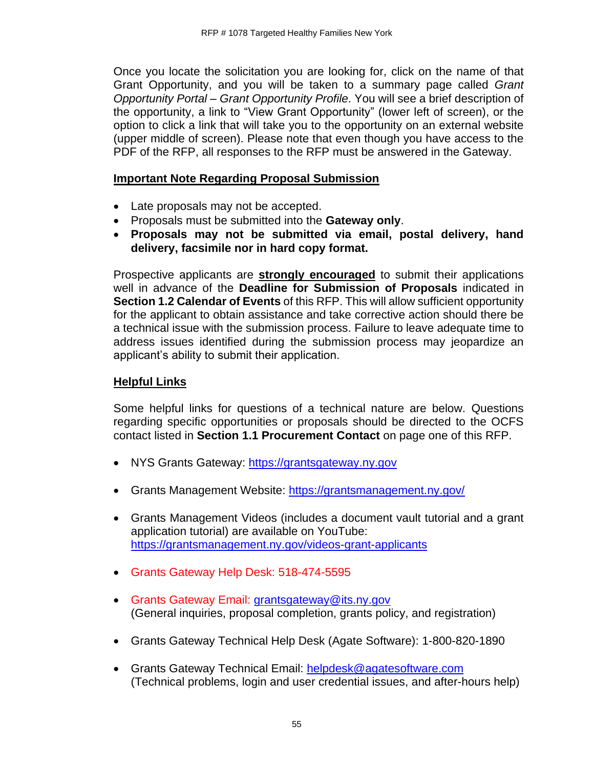Once you locate the solicitation you are looking for, click on the name of that Grant Opportunity, and you will be taken to a summary page called *Grant Opportunity Portal – Grant Opportunity Profile*. You will see a brief description of the opportunity, a link to "View Grant Opportunity" (lower left of screen), or the option to click a link that will take you to the opportunity on an external website (upper middle of screen). Please note that even though you have access to the PDF of the RFP, all responses to the RFP must be answered in the Gateway.

## **Important Note Regarding Proposal Submission**

- Late proposals may not be accepted.
- Proposals must be submitted into the **Gateway only**.
- **Proposals may not be submitted via email, postal delivery, hand delivery, facsimile nor in hard copy format.**

Prospective applicants are **strongly encouraged** to submit their applications well in advance of the **Deadline for Submission of Proposals** indicated in **Section 1.2 Calendar of Events** of this RFP. This will allow sufficient opportunity for the applicant to obtain assistance and take corrective action should there be a technical issue with the submission process. Failure to leave adequate time to address issues identified during the submission process may jeopardize an applicant's ability to submit their application.

# **Helpful Links**

Some helpful links for questions of a technical nature are below. Questions regarding specific opportunities or proposals should be directed to the OCFS contact listed in **Section 1.1 Procurement Contact** on page one of this RFP.

- NYS Grants Gateway: [https://grantsgateway.ny.gov](https://grantsgateway.ny.gov/)
- Grants Management Website:<https://grantsmanagement.ny.gov/>
- Grants Management Videos (includes a document vault tutorial and a grant application tutorial) are available on YouTube: <https://grantsmanagement.ny.gov/videos-grant-applicants>
- Grants Gateway Help Desk: 518-474-5595
- Grants Gateway Email: [grantsgateway@its.ny.gov](mailto:grantsgateway@its.ny.gov) (General inquiries, proposal completion, grants policy, and registration)
- Grants Gateway Technical Help Desk (Agate Software): 1-800-820-1890
- Grants Gateway Technical Email: [helpdesk@agatesoftware.com](mailto:helpdesk@agatesoftware.com) (Technical problems, login and user credential issues, and after-hours help)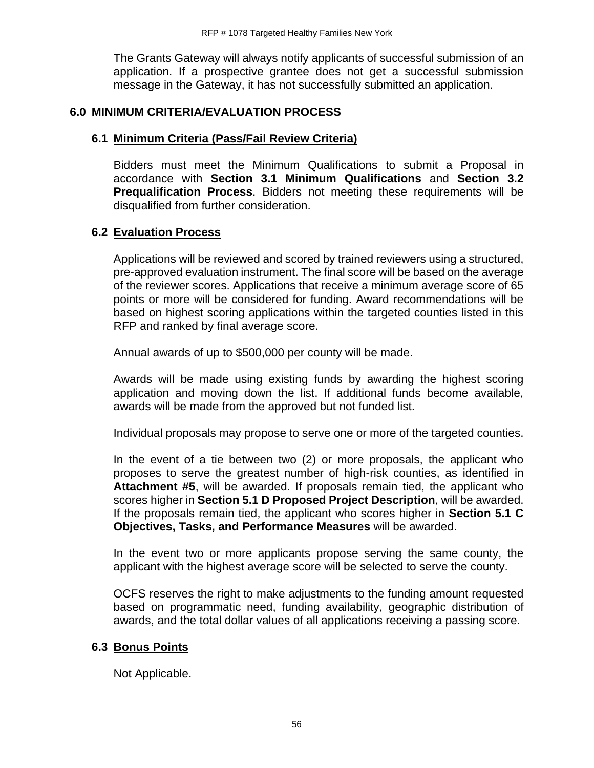The Grants Gateway will always notify applicants of successful submission of an application. If a prospective grantee does not get a successful submission message in the Gateway, it has not successfully submitted an application.

#### **6.0 MINIMUM CRITERIA/EVALUATION PROCESS**

#### **6.1 Minimum Criteria (Pass/Fail Review Criteria)**

Bidders must meet the Minimum Qualifications to submit a Proposal in accordance with **Section 3.1 Minimum Qualifications** and **Section 3.2 Prequalification Process**. Bidders not meeting these requirements will be disqualified from further consideration.

#### **6.2 Evaluation Process**

Applications will be reviewed and scored by trained reviewers using a structured, pre-approved evaluation instrument. The final score will be based on the average of the reviewer scores. Applications that receive a minimum average score of 65 points or more will be considered for funding. Award recommendations will be based on highest scoring applications within the targeted counties listed in this RFP and ranked by final average score.

Annual awards of up to \$500,000 per county will be made.

Awards will be made using existing funds by awarding the highest scoring application and moving down the list. If additional funds become available, awards will be made from the approved but not funded list.

Individual proposals may propose to serve one or more of the targeted counties.

In the event of a tie between two (2) or more proposals, the applicant who proposes to serve the greatest number of high-risk counties, as identified in **Attachment #5**, will be awarded. If proposals remain tied, the applicant who scores higher in **Section 5.1 D Proposed Project Description**, will be awarded. If the proposals remain tied, the applicant who scores higher in **Section 5.1 C Objectives, Tasks, and Performance Measures** will be awarded.

In the event two or more applicants propose serving the same county, the applicant with the highest average score will be selected to serve the county.

OCFS reserves the right to make adjustments to the funding amount requested based on programmatic need, funding availability, geographic distribution of awards, and the total dollar values of all applications receiving a passing score.

#### **6.3 Bonus Points**

Not Applicable.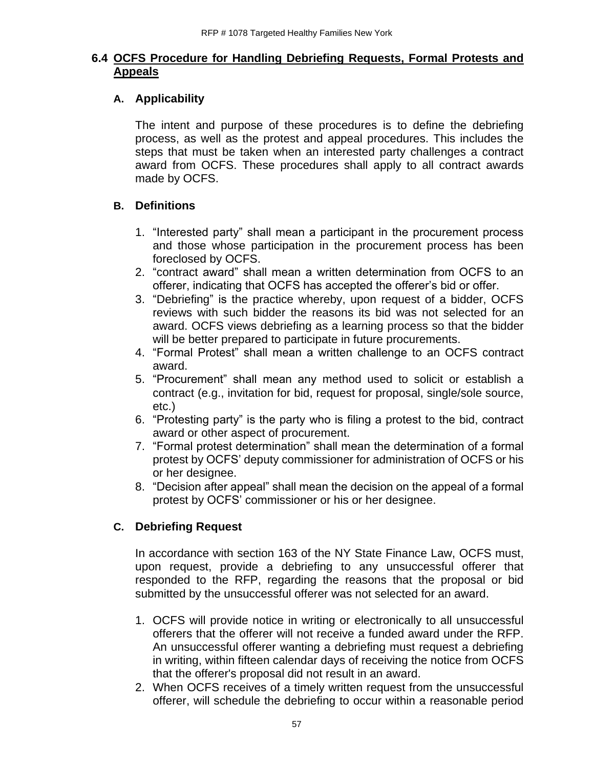## **6.4 OCFS Procedure for Handling Debriefing Requests, Formal Protests and Appeals**

# **A. Applicability**

The intent and purpose of these procedures is to define the debriefing process, as well as the protest and appeal procedures. This includes the steps that must be taken when an interested party challenges a contract award from OCFS. These procedures shall apply to all contract awards made by OCFS.

# **B. Definitions**

- 1. "Interested party" shall mean a participant in the procurement process and those whose participation in the procurement process has been foreclosed by OCFS.
- 2. "contract award" shall mean a written determination from OCFS to an offerer, indicating that OCFS has accepted the offerer's bid or offer.
- 3. "Debriefing" is the practice whereby, upon request of a bidder, OCFS reviews with such bidder the reasons its bid was not selected for an award. OCFS views debriefing as a learning process so that the bidder will be better prepared to participate in future procurements.
- 4. "Formal Protest" shall mean a written challenge to an OCFS contract award.
- 5. "Procurement" shall mean any method used to solicit or establish a contract (e.g., invitation for bid, request for proposal, single/sole source, etc.)
- 6. "Protesting party" is the party who is filing a protest to the bid, contract award or other aspect of procurement.
- 7. "Formal protest determination" shall mean the determination of a formal protest by OCFS' deputy commissioner for administration of OCFS or his or her designee.
- 8. "Decision after appeal" shall mean the decision on the appeal of a formal protest by OCFS' commissioner or his or her designee.

# **C. Debriefing Request**

In accordance with section 163 of the NY State Finance Law, OCFS must, upon request, provide a debriefing to any unsuccessful offerer that responded to the RFP, regarding the reasons that the proposal or bid submitted by the unsuccessful offerer was not selected for an award.

- 1. OCFS will provide notice in writing or electronically to all unsuccessful offerers that the offerer will not receive a funded award under the RFP. An unsuccessful offerer wanting a debriefing must request a debriefing in writing, within fifteen calendar days of receiving the notice from OCFS that the offerer's proposal did not result in an award.
- 2. When OCFS receives of a timely written request from the unsuccessful offerer, will schedule the debriefing to occur within a reasonable period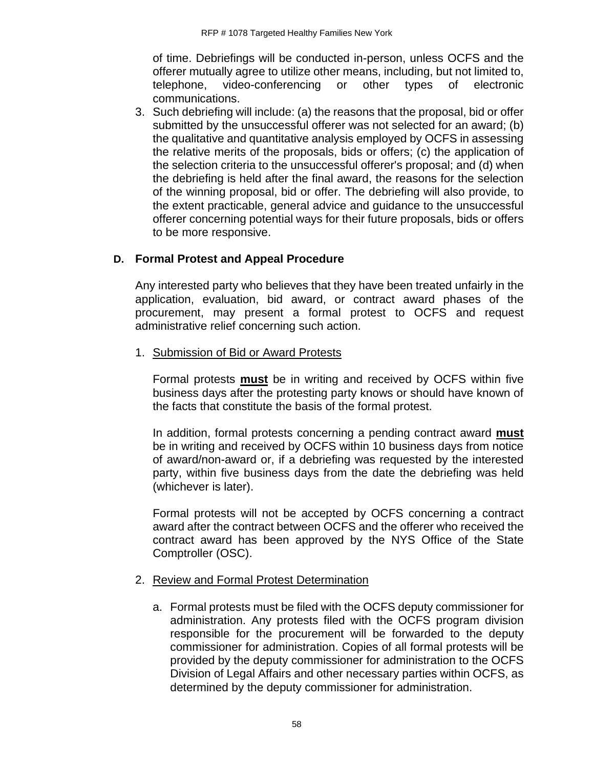of time. Debriefings will be conducted in-person, unless OCFS and the offerer mutually agree to utilize other means, including, but not limited to, telephone, video-conferencing or other types of electronic communications.

3. Such debriefing will include: (a) the reasons that the proposal, bid or offer submitted by the unsuccessful offerer was not selected for an award; (b) the qualitative and quantitative analysis employed by OCFS in assessing the relative merits of the proposals, bids or offers; (c) the application of the selection criteria to the unsuccessful offerer's proposal; and (d) when the debriefing is held after the final award, the reasons for the selection of the winning proposal, bid or offer. The debriefing will also provide, to the extent practicable, general advice and guidance to the unsuccessful offerer concerning potential ways for their future proposals, bids or offers to be more responsive.

# **D. Formal Protest and Appeal Procedure**

Any interested party who believes that they have been treated unfairly in the application, evaluation, bid award, or contract award phases of the procurement, may present a formal protest to OCFS and request administrative relief concerning such action.

1. Submission of Bid or Award Protests

Formal protests **must** be in writing and received by OCFS within five business days after the protesting party knows or should have known of the facts that constitute the basis of the formal protest.

In addition, formal protests concerning a pending contract award **must** be in writing and received by OCFS within 10 business days from notice of award/non-award or, if a debriefing was requested by the interested party, within five business days from the date the debriefing was held (whichever is later).

Formal protests will not be accepted by OCFS concerning a contract award after the contract between OCFS and the offerer who received the contract award has been approved by the NYS Office of the State Comptroller (OSC).

## 2. Review and Formal Protest Determination

a. Formal protests must be filed with the OCFS deputy commissioner for administration. Any protests filed with the OCFS program division responsible for the procurement will be forwarded to the deputy commissioner for administration. Copies of all formal protests will be provided by the deputy commissioner for administration to the OCFS Division of Legal Affairs and other necessary parties within OCFS, as determined by the deputy commissioner for administration.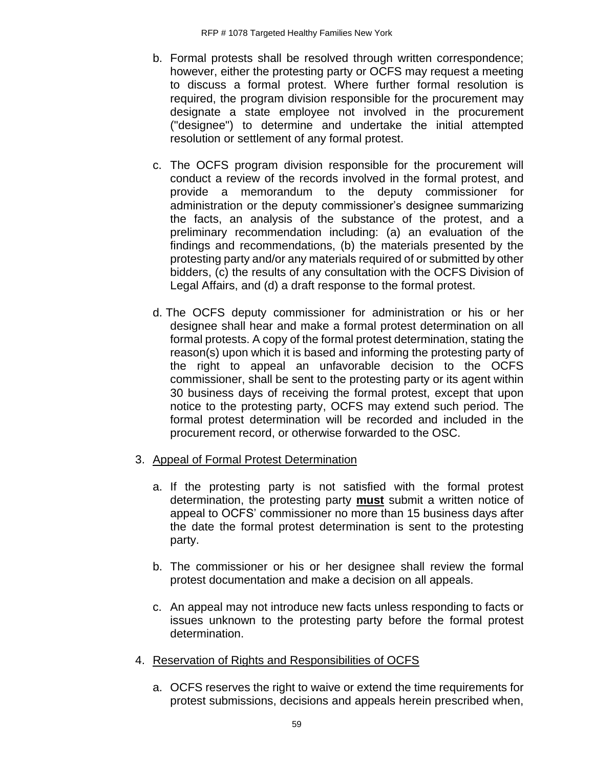- b. Formal protests shall be resolved through written correspondence; however, either the protesting party or OCFS may request a meeting to discuss a formal protest. Where further formal resolution is required, the program division responsible for the procurement may designate a state employee not involved in the procurement ("designee") to determine and undertake the initial attempted resolution or settlement of any formal protest.
- c. The OCFS program division responsible for the procurement will conduct a review of the records involved in the formal protest, and provide a memorandum to the deputy commissioner for administration or the deputy commissioner's designee summarizing the facts, an analysis of the substance of the protest, and a preliminary recommendation including: (a) an evaluation of the findings and recommendations, (b) the materials presented by the protesting party and/or any materials required of or submitted by other bidders, (c) the results of any consultation with the OCFS Division of Legal Affairs, and (d) a draft response to the formal protest.
- d. The OCFS deputy commissioner for administration or his or her designee shall hear and make a formal protest determination on all formal protests. A copy of the formal protest determination, stating the reason(s) upon which it is based and informing the protesting party of the right to appeal an unfavorable decision to the OCFS commissioner, shall be sent to the protesting party or its agent within 30 business days of receiving the formal protest, except that upon notice to the protesting party, OCFS may extend such period. The formal protest determination will be recorded and included in the procurement record, or otherwise forwarded to the OSC.
- 3. Appeal of Formal Protest Determination
	- a. If the protesting party is not satisfied with the formal protest determination, the protesting party **must** submit a written notice of appeal to OCFS' commissioner no more than 15 business days after the date the formal protest determination is sent to the protesting party.
	- b. The commissioner or his or her designee shall review the formal protest documentation and make a decision on all appeals.
	- c. An appeal may not introduce new facts unless responding to facts or issues unknown to the protesting party before the formal protest determination.
- 4. Reservation of Rights and Responsibilities of OCFS
	- a. OCFS reserves the right to waive or extend the time requirements for protest submissions, decisions and appeals herein prescribed when,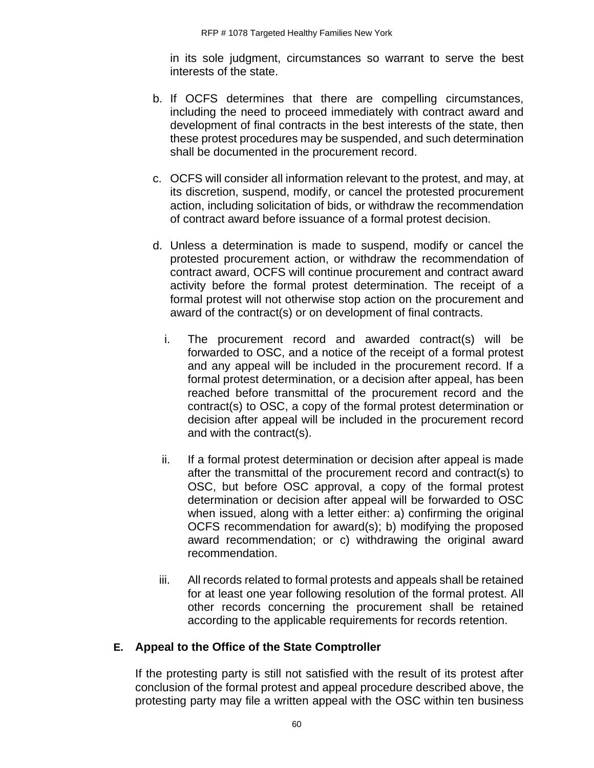in its sole judgment, circumstances so warrant to serve the best interests of the state.

- b. If OCFS determines that there are compelling circumstances, including the need to proceed immediately with contract award and development of final contracts in the best interests of the state, then these protest procedures may be suspended, and such determination shall be documented in the procurement record.
- c. OCFS will consider all information relevant to the protest, and may, at its discretion, suspend, modify, or cancel the protested procurement action, including solicitation of bids, or withdraw the recommendation of contract award before issuance of a formal protest decision.
- d. Unless a determination is made to suspend, modify or cancel the protested procurement action, or withdraw the recommendation of contract award, OCFS will continue procurement and contract award activity before the formal protest determination. The receipt of a formal protest will not otherwise stop action on the procurement and award of the contract(s) or on development of final contracts.
	- i. The procurement record and awarded contract(s) will be forwarded to OSC, and a notice of the receipt of a formal protest and any appeal will be included in the procurement record. If a formal protest determination, or a decision after appeal, has been reached before transmittal of the procurement record and the contract(s) to OSC, a copy of the formal protest determination or decision after appeal will be included in the procurement record and with the contract(s).
	- ii. If a formal protest determination or decision after appeal is made after the transmittal of the procurement record and contract(s) to OSC, but before OSC approval, a copy of the formal protest determination or decision after appeal will be forwarded to OSC when issued, along with a letter either: a) confirming the original OCFS recommendation for award(s); b) modifying the proposed award recommendation; or c) withdrawing the original award recommendation.
	- iii. All records related to formal protests and appeals shall be retained for at least one year following resolution of the formal protest. All other records concerning the procurement shall be retained according to the applicable requirements for records retention.

## **E. Appeal to the Office of the State Comptroller**

If the protesting party is still not satisfied with the result of its protest after conclusion of the formal protest and appeal procedure described above, the protesting party may file a written appeal with the OSC within ten business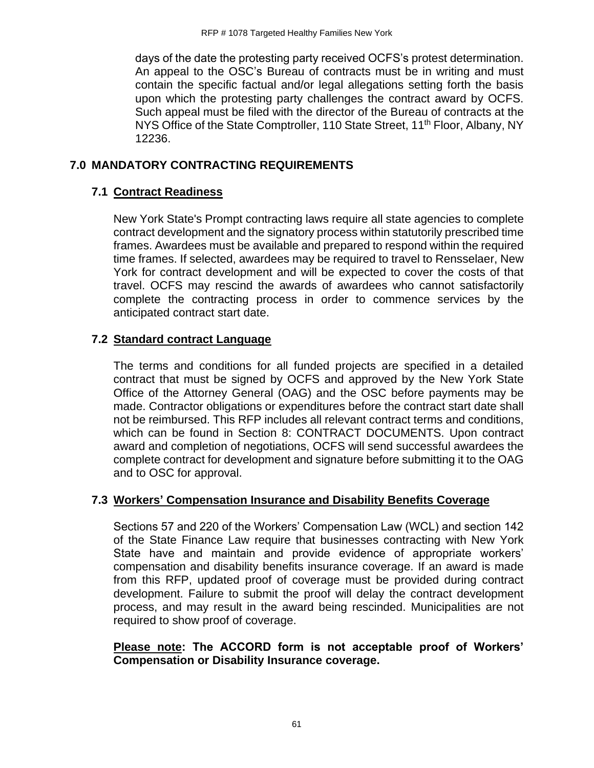days of the date the protesting party received OCFS's protest determination. An appeal to the OSC's Bureau of contracts must be in writing and must contain the specific factual and/or legal allegations setting forth the basis upon which the protesting party challenges the contract award by OCFS. Such appeal must be filed with the director of the Bureau of contracts at the NYS Office of the State Comptroller, 110 State Street, 11<sup>th</sup> Floor, Albany, NY 12236.

# **7.0 MANDATORY CONTRACTING REQUIREMENTS**

# **7.1 Contract Readiness**

New York State's Prompt contracting laws require all state agencies to complete contract development and the signatory process within statutorily prescribed time frames. Awardees must be available and prepared to respond within the required time frames. If selected, awardees may be required to travel to Rensselaer, New York for contract development and will be expected to cover the costs of that travel. OCFS may rescind the awards of awardees who cannot satisfactorily complete the contracting process in order to commence services by the anticipated contract start date.

# **7.2 Standard contract Language**

The terms and conditions for all funded projects are specified in a detailed contract that must be signed by OCFS and approved by the New York State Office of the Attorney General (OAG) and the OSC before payments may be made. Contractor obligations or expenditures before the contract start date shall not be reimbursed. This RFP includes all relevant contract terms and conditions, which can be found in Section 8: CONTRACT DOCUMENTS. Upon contract award and completion of negotiations, OCFS will send successful awardees the complete contract for development and signature before submitting it to the OAG and to OSC for approval.

## **7.3 Workers' Compensation Insurance and Disability Benefits Coverage**

Sections 57 and 220 of the Workers' Compensation Law (WCL) and section 142 of the State Finance Law require that businesses contracting with New York State have and maintain and provide evidence of appropriate workers' compensation and disability benefits insurance coverage. If an award is made from this RFP, updated proof of coverage must be provided during contract development. Failure to submit the proof will delay the contract development process, and may result in the award being rescinded. Municipalities are not required to show proof of coverage.

## **Please note: The ACCORD form is not acceptable proof of Workers' Compensation or Disability Insurance coverage.**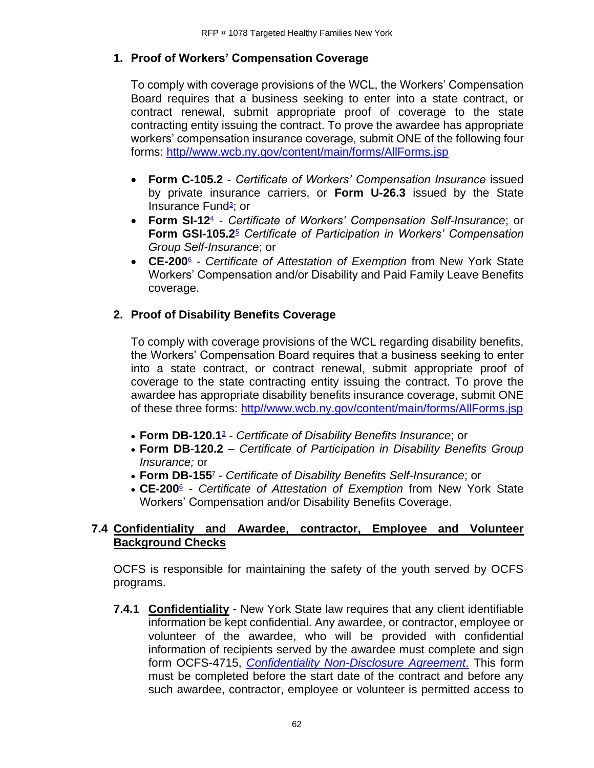## **1. Proof of Workers' Compensation Coverage**

To comply with coverage provisions of the WCL, the Workers' Compensation Board requires that a business seeking to enter into a state contract, or contract renewal, submit appropriate proof of coverage to the state contracting entity issuing the contract. To prove the awardee has appropriate workers' compensation insurance coverage, submit ONE of the following four forms: [http//www.wcb.ny.gov/content/main/forms/AllForms.jsp](http://www.wcb.ny.gov/content/main/forms/AllForms.jsp)

- **Form C-105.2** *Certificate of Workers' Compensation Insurance* issued by private insurance carriers, or **Form U-26.3** issued by the State Insurance Fund<sup>3</sup>[;](https://www.osc.state.ny.us/agencies/guide/MyWebHelp/Content/XI/18/G.htm#3) or
- **Form SI-1[2](https://www.osc.state.ny.us/agencies/guide/MyWebHelp/Content/XI/18/G.htm#4)**<sup>4</sup> *Certificate of Workers' Compensation Self-Insurance*; or **Form GSI-105.[2](https://www.osc.state.ny.us/agencies/guide/MyWebHelp/Content/XI/18/G.htm#5)**<sup>5</sup> *Certificate of Participation in Workers' Compensation Group Self-Insurance*; or
- **CE-20[0](https://www.osc.state.ny.us/agencies/guide/MyWebHelp/Content/XI/18/G.htm#6)**<sup>6</sup> *Certificate of Attestation of Exemption* from New York State Workers' Compensation and/or Disability and Paid Family Leave Benefits coverage.

# **2. Proof of Disability Benefits Coverage**

To comply with coverage provisions of the WCL regarding disability benefits, the Workers' Compensation Board requires that a business seeking to enter into a state contract, or contract renewal, submit appropriate proof of coverage to the state contracting entity issuing the contract. To prove the awardee has appropriate disability benefits insurance coverage, submit ONE of these three forms: [http//www.wcb.ny.gov/content/main/forms/AllForms.jsp](http://www.wcb.ny.gov/content/main/forms/AllForms.jsp)

- **Form DB-120.[1](https://www.osc.state.ny.us/agencies/guide/MyWebHelp/Content/XI/18/G.htm#3)**<sup>3</sup> *Certificate of Disability Benefits Insurance*; or
- **Form DB**-**120.2** *Certificate of Participation in Disability Benefits Group Insurance;* or
- **Form DB-15[5](https://www.osc.state.ny.us/agencies/guide/MyWebHelp/Content/XI/18/G.htm#7)**<sup>7</sup> *Certificate of Disability Benefits Self-Insurance*; or
- **CE-20[0](https://www.osc.state.ny.us/agencies/guide/MyWebHelp/Content/XI/18/G.htm#6)**<sup>6</sup> *Certificate of Attestation of Exemption* from New York State Workers' Compensation and/or Disability Benefits Coverage.

## **7.4 Confidentiality and Awardee, contractor, Employee and Volunteer Background Checks**

OCFS is responsible for maintaining the safety of the youth served by OCFS programs.

**7.4.1 Confidentiality** - New York State law requires that any client identifiable information be kept confidential. Any awardee, or contractor, employee or volunteer of the awardee, who will be provided with confidential information of recipients served by the awardee must complete and sign form OCFS-4715, *[Confidentiality Non-Disclosure Agreement](https://ocfs.ny.gov/forms/ocfs/OCFS-4715.docx)*. This form must be completed before the start date of the contract and before any such awardee, contractor, employee or volunteer is permitted access to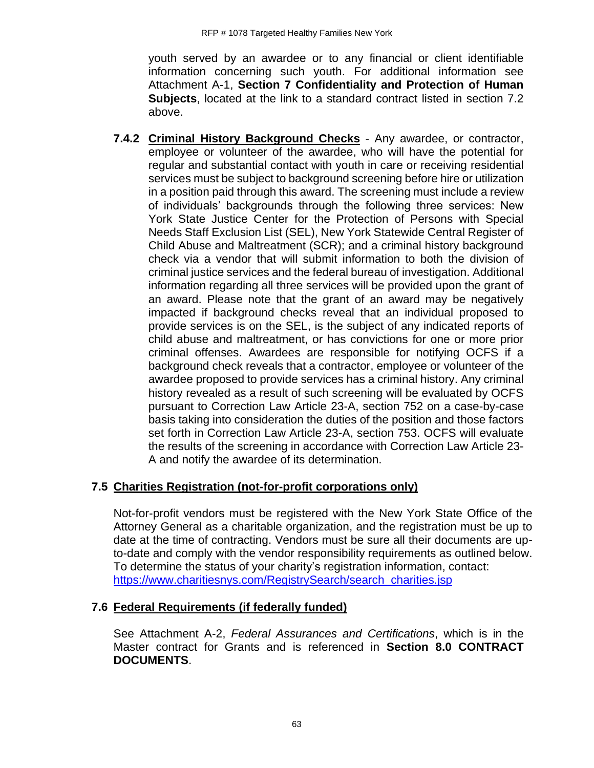youth served by an awardee or to any financial or client identifiable information concerning such youth. For additional information see Attachment A-1, **Section 7 Confidentiality and Protection of Human Subjects**, located at the link to a standard contract listed in section 7.2 above.

**7.4.2 Criminal History Background Checks** - Any awardee, or contractor, employee or volunteer of the awardee, who will have the potential for regular and substantial contact with youth in care or receiving residential services must be subject to background screening before hire or utilization in a position paid through this award. The screening must include a review of individuals' backgrounds through the following three services: New York State Justice Center for the Protection of Persons with Special Needs Staff Exclusion List (SEL), New York Statewide Central Register of Child Abuse and Maltreatment (SCR); and a criminal history background check via a vendor that will submit information to both the division of criminal justice services and the federal bureau of investigation. Additional information regarding all three services will be provided upon the grant of an award. Please note that the grant of an award may be negatively impacted if background checks reveal that an individual proposed to provide services is on the SEL, is the subject of any indicated reports of child abuse and maltreatment, or has convictions for one or more prior criminal offenses. Awardees are responsible for notifying OCFS if a background check reveals that a contractor, employee or volunteer of the awardee proposed to provide services has a criminal history. Any criminal history revealed as a result of such screening will be evaluated by OCFS pursuant to Correction Law Article 23-A, section 752 on a case-by-case basis taking into consideration the duties of the position and those factors set forth in Correction Law Article 23-A, section 753. OCFS will evaluate the results of the screening in accordance with Correction Law Article 23- A and notify the awardee of its determination.

## **7.5 Charities Registration (not-for-profit corporations only)**

Not-for-profit vendors must be registered with the New York State Office of the Attorney General as a charitable organization, and the registration must be up to date at the time of contracting. Vendors must be sure all their documents are upto-date and comply with the vendor responsibility requirements as outlined below. To determine the status of your charity's registration information, contact: [https://www.charitiesnys.com/RegistrySearch/search\\_charities.jsp](https://www.charitiesnys.com/RegistrySearch/search_charities.jsp)

# **7.6 Federal Requirements (if federally funded)**

See Attachment A-2, *Federal Assurances and Certifications*, which is in the Master contract for Grants and is referenced in **Section 8.0 CONTRACT DOCUMENTS**.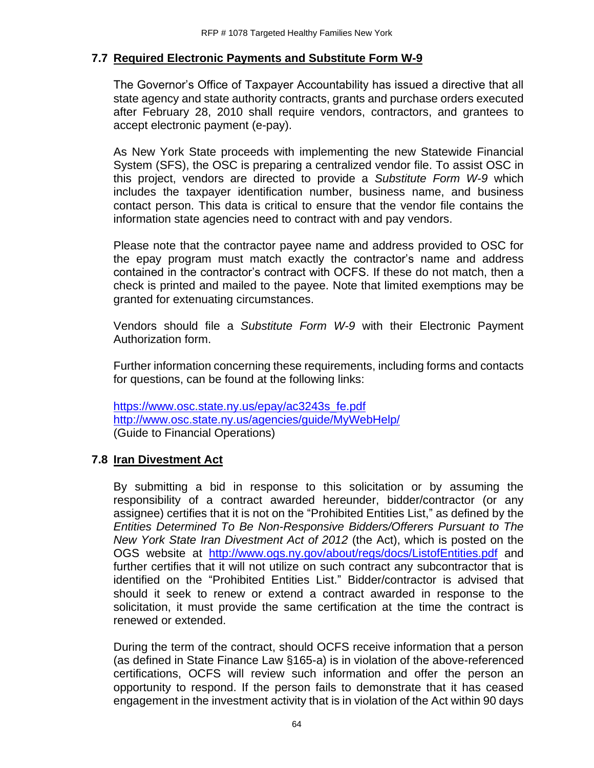## **7.7 Required Electronic Payments and Substitute Form W-9**

The Governor's Office of Taxpayer Accountability has issued a directive that all state agency and state authority contracts, grants and purchase orders executed after February 28, 2010 shall require vendors, contractors, and grantees to accept electronic payment (e-pay).

As New York State proceeds with implementing the new Statewide Financial System (SFS), the OSC is preparing a centralized vendor file. To assist OSC in this project, vendors are directed to provide a *Substitute Form W-9* which includes the taxpayer identification number, business name, and business contact person. This data is critical to ensure that the vendor file contains the information state agencies need to contract with and pay vendors.

Please note that the contractor payee name and address provided to OSC for the epay program must match exactly the contractor's name and address contained in the contractor's contract with OCFS. If these do not match, then a check is printed and mailed to the payee. Note that limited exemptions may be granted for extenuating circumstances.

Vendors should file a *Substitute Form W-9* with their Electronic Payment Authorization form.

Further information concerning these requirements, including forms and contacts for questions, can be found at the following links:

[https://www.osc.state.ny.us/epay/ac3243s\\_fe.pdf](https://www.osc.state.ny.us/epay/ac3243s_fe.pdf) <http://www.osc.state.ny.us/agencies/guide/MyWebHelp/> (Guide to Financial Operations)

## **7.8 Iran Divestment Act**

By submitting a bid in response to this solicitation or by assuming the responsibility of a contract awarded hereunder, bidder/contractor (or any assignee) certifies that it is not on the "Prohibited Entities List," as defined by the *Entities Determined To Be Non-Responsive Bidders/Offerers Pursuant to The New York State Iran Divestment Act of 2012* (the Act), which is posted on the OGS website at <http://www.ogs.ny.gov/about/regs/docs/ListofEntities.pdf> and further certifies that it will not utilize on such contract any subcontractor that is identified on the "Prohibited Entities List." Bidder/contractor is advised that should it seek to renew or extend a contract awarded in response to the solicitation, it must provide the same certification at the time the contract is renewed or extended.

During the term of the contract, should OCFS receive information that a person (as defined in State Finance Law §165-a) is in violation of the above-referenced certifications, OCFS will review such information and offer the person an opportunity to respond. If the person fails to demonstrate that it has ceased engagement in the investment activity that is in violation of the Act within 90 days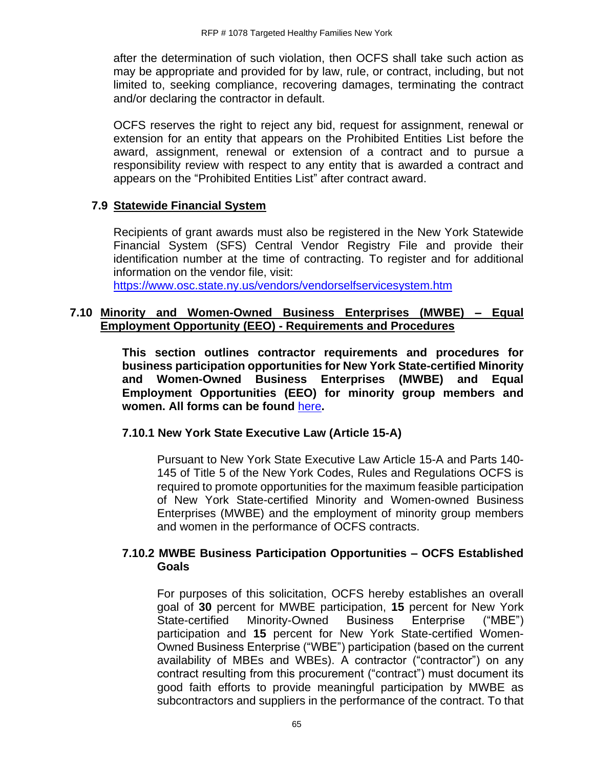after the determination of such violation, then OCFS shall take such action as may be appropriate and provided for by law, rule, or contract, including, but not limited to, seeking compliance, recovering damages, terminating the contract and/or declaring the contractor in default.

OCFS reserves the right to reject any bid, request for assignment, renewal or extension for an entity that appears on the Prohibited Entities List before the award, assignment, renewal or extension of a contract and to pursue a responsibility review with respect to any entity that is awarded a contract and appears on the "Prohibited Entities List" after contract award.

## **7.9 Statewide Financial System**

Recipients of grant awards must also be registered in the New York Statewide Financial System (SFS) Central Vendor Registry File and provide their identification number at the time of contracting. To register and for additional information on the vendor file, visit:

<https://www.osc.state.ny.us/vendors/vendorselfservicesystem.htm>

## **7.10 Minority and Women-Owned Business Enterprises (MWBE) – Equal Employment Opportunity (EEO) - Requirements and Procedures**

**This section outlines contractor requirements and procedures for business participation opportunities for New York State-certified Minority and Women-Owned Business Enterprises (MWBE) and Equal Employment Opportunities (EEO) for minority group members and women. All forms can be found** [here](https://ocfs.ny.gov/main/documents/docs.asp?document_type=1&category_number=44)**.**

### **7.10.1 New York State Executive Law (Article 15-A)**

Pursuant to New York State Executive Law Article 15-A and Parts 140- 145 of Title 5 of the New York Codes, Rules and Regulations OCFS is required to promote opportunities for the maximum feasible participation of New York State-certified Minority and Women-owned Business Enterprises (MWBE) and the employment of minority group members and women in the performance of OCFS contracts.

## **7.10.2 MWBE Business Participation Opportunities – OCFS Established Goals**

For purposes of this solicitation, OCFS hereby establishes an overall goal of **30** percent for MWBE participation, **15** percent for New York State-certified Minority-Owned Business Enterprise ("MBE") participation and **15** percent for New York State-certified Women-Owned Business Enterprise ("WBE") participation (based on the current availability of MBEs and WBEs). A contractor ("contractor") on any contract resulting from this procurement ("contract") must document its good faith efforts to provide meaningful participation by MWBE as subcontractors and suppliers in the performance of the contract. To that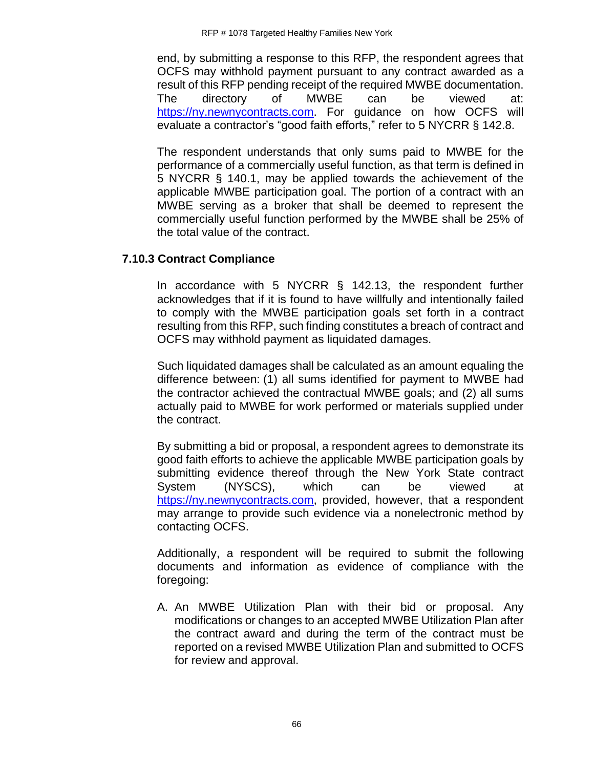end, by submitting a response to this RFP, the respondent agrees that OCFS may withhold payment pursuant to any contract awarded as a result of this RFP pending receipt of the required MWBE documentation. The directory of MWBE can be viewed at: [https://ny.newnycontracts.com.](https://ny.newnycontracts.com/) For guidance on how OCFS will evaluate a contractor's "good faith efforts," refer to 5 NYCRR § 142.8.

The respondent understands that only sums paid to MWBE for the performance of a commercially useful function, as that term is defined in 5 NYCRR § 140.1, may be applied towards the achievement of the applicable MWBE participation goal. The portion of a contract with an MWBE serving as a broker that shall be deemed to represent the commercially useful function performed by the MWBE shall be 25% of the total value of the contract.

## **7.10.3 Contract Compliance**

In accordance with 5 NYCRR § 142.13, the respondent further acknowledges that if it is found to have willfully and intentionally failed to comply with the MWBE participation goals set forth in a contract resulting from this RFP, such finding constitutes a breach of contract and OCFS may withhold payment as liquidated damages.

Such liquidated damages shall be calculated as an amount equaling the difference between: (1) all sums identified for payment to MWBE had the contractor achieved the contractual MWBE goals; and (2) all sums actually paid to MWBE for work performed or materials supplied under the contract.

By submitting a bid or proposal, a respondent agrees to demonstrate its good faith efforts to achieve the applicable MWBE participation goals by submitting evidence thereof through the New York State contract System (NYSCS), which can be viewed at [https://ny.newnycontracts.com,](https://ny.newnycontracts.com/) provided, however, that a respondent may arrange to provide such evidence via a nonelectronic method by contacting OCFS.

Additionally, a respondent will be required to submit the following documents and information as evidence of compliance with the foregoing:

A. An MWBE Utilization Plan with their bid or proposal. Any modifications or changes to an accepted MWBE Utilization Plan after the contract award and during the term of the contract must be reported on a revised MWBE Utilization Plan and submitted to OCFS for review and approval.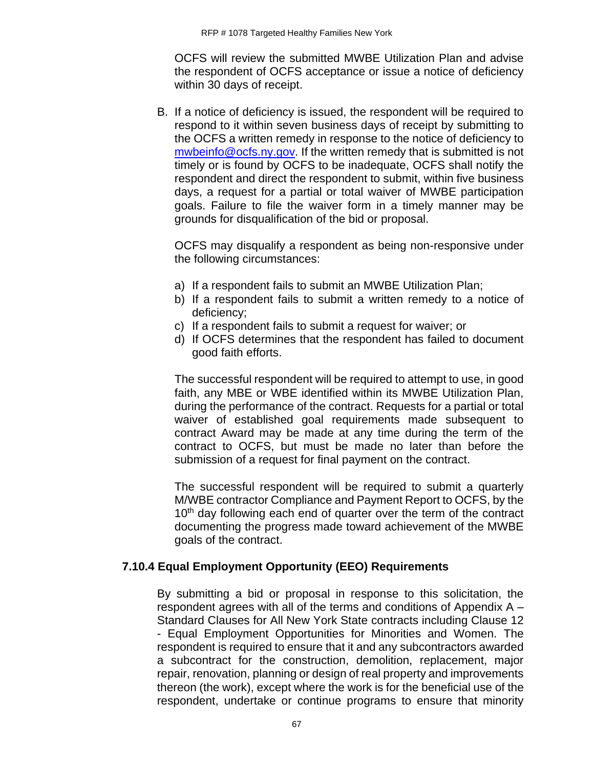OCFS will review the submitted MWBE Utilization Plan and advise the respondent of OCFS acceptance or issue a notice of deficiency within 30 days of receipt.

B. If a notice of deficiency is issued, the respondent will be required to respond to it within seven business days of receipt by submitting to the OCFS a written remedy in response to the notice of deficiency to [mwbeinfo@ocfs.ny.gov.](mailto:mwbeinfo@ocfs.ny.gov) If the written remedy that is submitted is not timely or is found by OCFS to be inadequate, OCFS shall notify the respondent and direct the respondent to submit, within five business days, a request for a partial or total waiver of MWBE participation goals. Failure to file the waiver form in a timely manner may be grounds for disqualification of the bid or proposal.

OCFS may disqualify a respondent as being non-responsive under the following circumstances:

- a) If a respondent fails to submit an MWBE Utilization Plan;
- b) If a respondent fails to submit a written remedy to a notice of deficiency;
- c) If a respondent fails to submit a request for waiver; or
- d) If OCFS determines that the respondent has failed to document good faith efforts.

The successful respondent will be required to attempt to use, in good faith, any MBE or WBE identified within its MWBE Utilization Plan, during the performance of the contract. Requests for a partial or total waiver of established goal requirements made subsequent to contract Award may be made at any time during the term of the contract to OCFS, but must be made no later than before the submission of a request for final payment on the contract.

The successful respondent will be required to submit a quarterly M/WBE contractor Compliance and Payment Report to OCFS, by the 10<sup>th</sup> day following each end of quarter over the term of the contract documenting the progress made toward achievement of the MWBE goals of the contract.

## **7.10.4 Equal Employment Opportunity (EEO) Requirements**

By submitting a bid or proposal in response to this solicitation, the respondent agrees with all of the terms and conditions of Appendix A – Standard Clauses for All New York State contracts including Clause 12 - Equal Employment Opportunities for Minorities and Women. The respondent is required to ensure that it and any subcontractors awarded a subcontract for the construction, demolition, replacement, major repair, renovation, planning or design of real property and improvements thereon (the work), except where the work is for the beneficial use of the respondent, undertake or continue programs to ensure that minority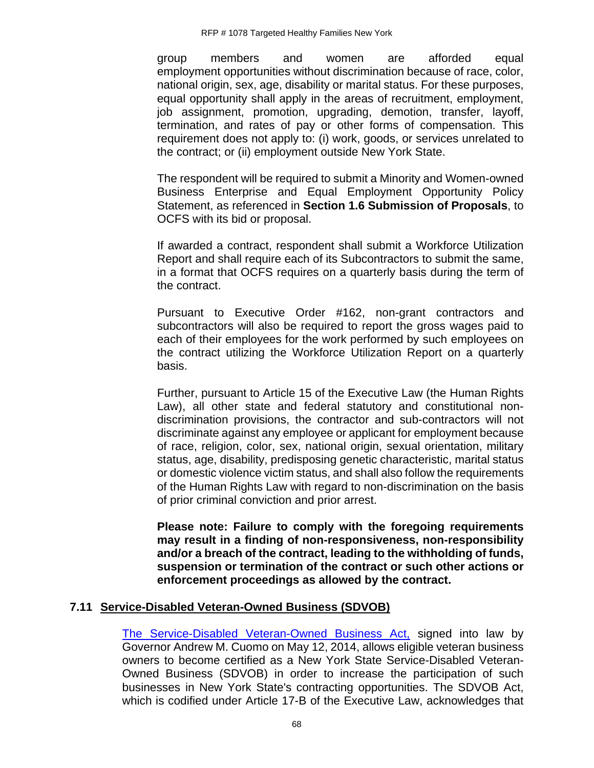group members and women are afforded equal employment opportunities without discrimination because of race, color, national origin, sex, age, disability or marital status. For these purposes, equal opportunity shall apply in the areas of recruitment, employment, job assignment, promotion, upgrading, demotion, transfer, layoff, termination, and rates of pay or other forms of compensation. This requirement does not apply to: (i) work, goods, or services unrelated to the contract; or (ii) employment outside New York State.

The respondent will be required to submit a Minority and Women-owned Business Enterprise and Equal Employment Opportunity Policy Statement, as referenced in **Section 1.6 Submission of Proposals**, to OCFS with its bid or proposal.

If awarded a contract, respondent shall submit a Workforce Utilization Report and shall require each of its Subcontractors to submit the same, in a format that OCFS requires on a quarterly basis during the term of the contract.

Pursuant to Executive Order #162, non-grant contractors and subcontractors will also be required to report the gross wages paid to each of their employees for the work performed by such employees on the contract utilizing the Workforce Utilization Report on a quarterly basis.

Further, pursuant to Article 15 of the Executive Law (the Human Rights Law), all other state and federal statutory and constitutional nondiscrimination provisions, the contractor and sub-contractors will not discriminate against any employee or applicant for employment because of race, religion, color, sex, national origin, sexual orientation, military status, age, disability, predisposing genetic characteristic, marital status or domestic violence victim status, and shall also follow the requirements of the Human Rights Law with regard to non-discrimination on the basis of prior criminal conviction and prior arrest.

**Please note: Failure to comply with the foregoing requirements may result in a finding of non-responsiveness, non-responsibility and/or a breach of the contract, leading to the withholding of funds, suspension or termination of the contract or such other actions or enforcement proceedings as allowed by the contract.**

### **7.11 Service-Disabled Veteran-Owned Business (SDVOB)**

[The Service-Disabled Veteran-Owned Business Act,](https://ogs.ny.gov/Veterans/) signed into law by Governor Andrew M. Cuomo on May 12, 2014, allows eligible veteran business owners to become certified as a New York State Service-Disabled Veteran-Owned Business (SDVOB) in order to increase the participation of such businesses in New York State's contracting opportunities. The SDVOB Act, which is codified under Article 17-B of the Executive Law, acknowledges that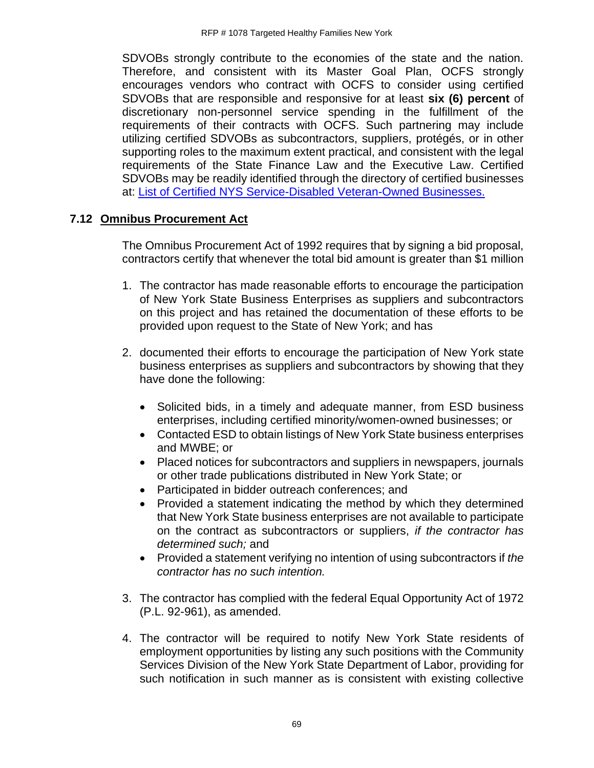SDVOBs strongly contribute to the economies of the state and the nation. Therefore, and consistent with its Master Goal Plan, OCFS strongly encourages vendors who contract with OCFS to consider using certified SDVOBs that are responsible and responsive for at least **six (6) percent** of discretionary non-personnel service spending in the fulfillment of the requirements of their contracts with OCFS. Such partnering may include utilizing certified SDVOBs as subcontractors, suppliers, protégés, or in other supporting roles to the maximum extent practical, and consistent with the legal requirements of the State Finance Law and the Executive Law. Certified SDVOBs may be readily identified through the directory of certified businesses at: [List of Certified NYS Service-Disabled Veteran-Owned Businesses.](https://online.ogs.ny.gov/SDVOB/search)

## **7.12 Omnibus Procurement Act**

The Omnibus Procurement Act of 1992 requires that by signing a bid proposal, contractors certify that whenever the total bid amount is greater than \$1 million

- 1. The contractor has made reasonable efforts to encourage the participation of New York State Business Enterprises as suppliers and subcontractors on this project and has retained the documentation of these efforts to be provided upon request to the State of New York; and has
- 2. documented their efforts to encourage the participation of New York state business enterprises as suppliers and subcontractors by showing that they have done the following:
	- Solicited bids, in a timely and adequate manner, from ESD business enterprises, including certified minority/women-owned businesses; or
	- Contacted ESD to obtain listings of New York State business enterprises and MWBE; or
	- Placed notices for subcontractors and suppliers in newspapers, journals or other trade publications distributed in New York State; or
	- Participated in bidder outreach conferences; and
	- Provided a statement indicating the method by which they determined that New York State business enterprises are not available to participate on the contract as subcontractors or suppliers, *if the contractor has determined such;* and
	- Provided a statement verifying no intention of using subcontractors if *the contractor has no such intention.*
- 3. The contractor has complied with the federal Equal Opportunity Act of 1972 (P.L. 92-961), as amended.
- 4. The contractor will be required to notify New York State residents of employment opportunities by listing any such positions with the Community Services Division of the New York State Department of Labor, providing for such notification in such manner as is consistent with existing collective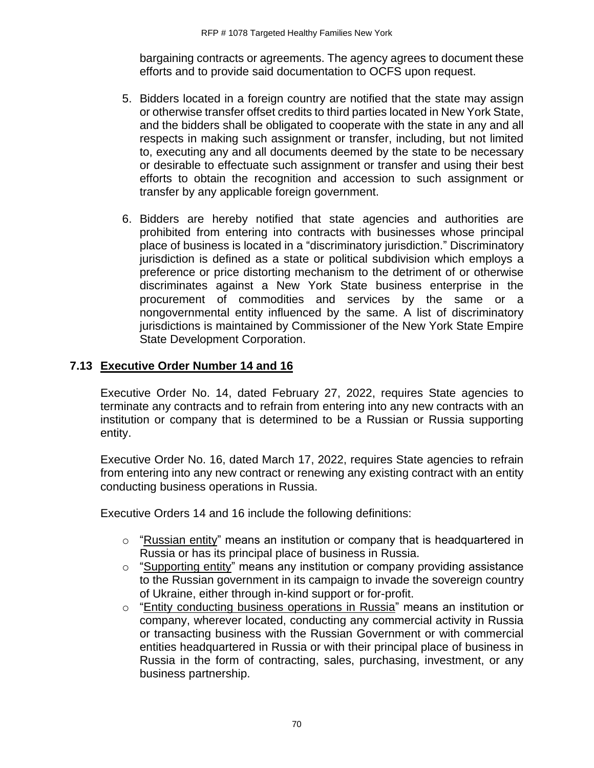bargaining contracts or agreements. The agency agrees to document these efforts and to provide said documentation to OCFS upon request.

- 5. Bidders located in a foreign country are notified that the state may assign or otherwise transfer offset credits to third parties located in New York State, and the bidders shall be obligated to cooperate with the state in any and all respects in making such assignment or transfer, including, but not limited to, executing any and all documents deemed by the state to be necessary or desirable to effectuate such assignment or transfer and using their best efforts to obtain the recognition and accession to such assignment or transfer by any applicable foreign government.
- 6. Bidders are hereby notified that state agencies and authorities are prohibited from entering into contracts with businesses whose principal place of business is located in a "discriminatory jurisdiction." Discriminatory jurisdiction is defined as a state or political subdivision which employs a preference or price distorting mechanism to the detriment of or otherwise discriminates against a New York State business enterprise in the procurement of commodities and services by the same or a nongovernmental entity influenced by the same. A list of discriminatory jurisdictions is maintained by Commissioner of the New York State Empire State Development Corporation.

## **7.13 Executive Order Number 14 and 16**

Executive Order No. 14, dated February 27, 2022, requires State agencies to terminate any contracts and to refrain from entering into any new contracts with an institution or company that is determined to be a Russian or Russia supporting entity.

Executive Order No. 16, dated March 17, 2022, requires State agencies to refrain from entering into any new contract or renewing any existing contract with an entity conducting business operations in Russia.

Executive Orders 14 and 16 include the following definitions:

- $\circ$  "Russian entity" means an institution or company that is headquartered in Russia or has its principal place of business in Russia.
- o "Supporting entity" means any institution or company providing assistance to the Russian government in its campaign to invade the sovereign country of Ukraine, either through in-kind support or for-profit.
- $\circ$  "Entity conducting business operations in Russia" means an institution or company, wherever located, conducting any commercial activity in Russia or transacting business with the Russian Government or with commercial entities headquartered in Russia or with their principal place of business in Russia in the form of contracting, sales, purchasing, investment, or any business partnership.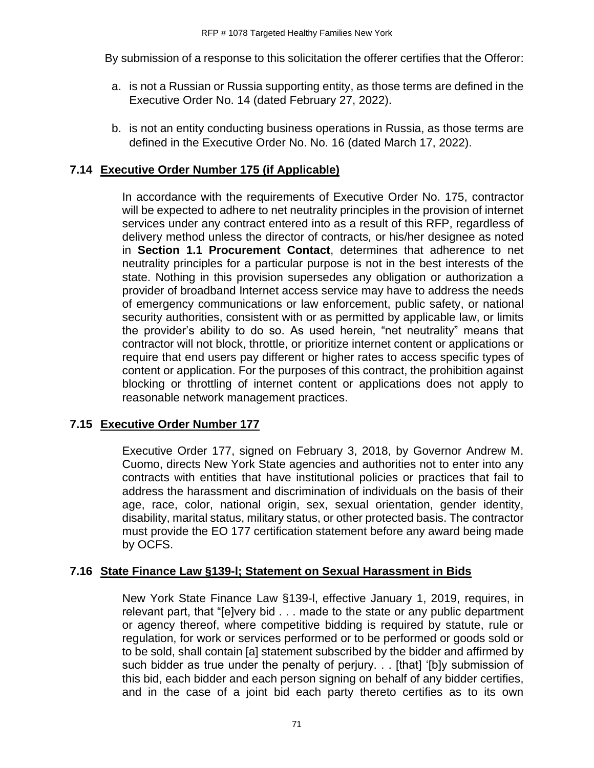By submission of a response to this solicitation the offerer certifies that the Offeror:

- a. is not a Russian or Russia supporting entity, as those terms are defined in the Executive Order No. 14 (dated February 27, 2022).
- b. is not an entity conducting business operations in Russia, as those terms are defined in the Executive Order No. No. 16 (dated March 17, 2022).

# **7.14 Executive Order Number 175 (if Applicable)**

In accordance with the requirements of Executive Order No. 175, contractor will be expected to adhere to net neutrality principles in the provision of internet services under any contract entered into as a result of this RFP, regardless of delivery method unless the director of contracts*,* or his/her designee as noted in **Section 1.1 Procurement Contact**, determines that adherence to net neutrality principles for a particular purpose is not in the best interests of the state. Nothing in this provision supersedes any obligation or authorization a provider of broadband Internet access service may have to address the needs of emergency communications or law enforcement, public safety, or national security authorities, consistent with or as permitted by applicable law, or limits the provider's ability to do so. As used herein, "net neutrality" means that contractor will not block, throttle, or prioritize internet content or applications or require that end users pay different or higher rates to access specific types of content or application. For the purposes of this contract, the prohibition against blocking or throttling of internet content or applications does not apply to reasonable network management practices.

## **7.15 Executive Order Number 177**

Executive Order 177, signed on February 3, 2018, by Governor Andrew M. Cuomo, directs New York State agencies and authorities not to enter into any contracts with entities that have institutional policies or practices that fail to address the harassment and discrimination of individuals on the basis of their age, race, color, national origin, sex, sexual orientation, gender identity, disability, marital status, military status, or other protected basis. The contractor must provide the EO 177 certification statement before any award being made by OCFS.

## **7.16 State Finance Law §139-l; Statement on Sexual Harassment in Bids**

New York State Finance Law §139-l, effective January 1, 2019, requires, in relevant part, that "[e]very bid . . . made to the state or any public department or agency thereof, where competitive bidding is required by statute, rule or regulation, for work or services performed or to be performed or goods sold or to be sold, shall contain [a] statement subscribed by the bidder and affirmed by such bidder as true under the penalty of perjury. . . [that] '[b]y submission of this bid, each bidder and each person signing on behalf of any bidder certifies, and in the case of a joint bid each party thereto certifies as to its own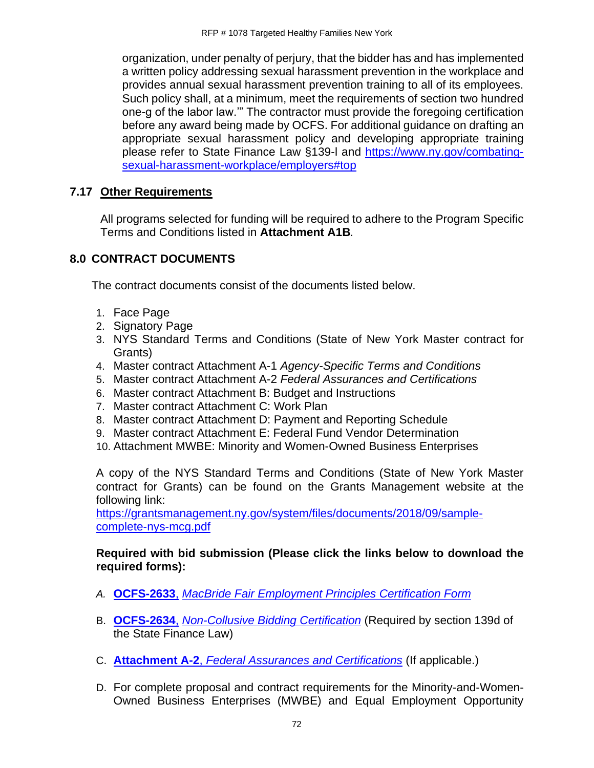organization, under penalty of perjury, that the bidder has and has implemented a written policy addressing sexual harassment prevention in the workplace and provides annual sexual harassment prevention training to all of its employees. Such policy shall, at a minimum, meet the requirements of section two hundred one-g of the labor law.'" The contractor must provide the foregoing certification before any award being made by OCFS. For additional guidance on drafting an appropriate sexual harassment policy and developing appropriate training please refer to State Finance Law §139-l and [https://www.ny.gov/combating](https://www.ny.gov/combating-sexual-harassment-workplace/employers#top)[sexual-harassment-workplace/employers#top](https://www.ny.gov/combating-sexual-harassment-workplace/employers#top)

## **7.17 Other Requirements**

All programs selected for funding will be required to adhere to the Program Specific Terms and Conditions listed in **Attachment A1B***.*

# **8.0 CONTRACT DOCUMENTS**

The contract documents consist of the documents listed below.

- 1. Face Page
- 2. Signatory Page
- 3. NYS Standard Terms and Conditions (State of New York Master contract for Grants)
- 4. Master contract Attachment A-1 *Agency-Specific Terms and Conditions*
- 5. Master contract Attachment A-2 *Federal Assurances and Certifications*
- 6. Master contract Attachment B: Budget and Instructions
- 7. Master contract Attachment C: Work Plan
- 8. Master contract Attachment D: Payment and Reporting Schedule
- 9. Master contract Attachment E: Federal Fund Vendor Determination
- 10. Attachment MWBE: Minority and Women-Owned Business Enterprises

A copy of the NYS Standard Terms and Conditions (State of New York Master contract for Grants) can be found on the Grants Management website at the following link:

[https://grantsmanagement.ny.gov/system/files/documents/2018/09/sample](https://grantsmanagement.ny.gov/system/files/documents/2018/09/sample-complete-nys-mcg.pdf)[complete-nys-mcg.pdf](https://grantsmanagement.ny.gov/system/files/documents/2018/09/sample-complete-nys-mcg.pdf)

#### **Required with bid submission (Please click the links below to download the required forms):**

- *A.* **[OCFS-2633](http://ocfs.ny.gov/main/Forms/Contracts/OCFS-2633.dotx)**, *[MacBride Fair Employment Principles Certification Form](http://ocfs.ny.gov/main/Forms/Contracts/OCFS-2633.dotx)*
- B. **[OCFS-2634](http://ocfs.ny.gov/main/Forms/Contracts/OCFS-2634.dotx)**, *[Non-Collusive Bidding Certification](http://ocfs.ny.gov/main/Forms/Contracts/OCFS-2634.dotx)* (Required by section 139d of the State Finance Law)
- C. **Attachment A-2**, *[Federal Assurances and Certifications](http://ocfs.ny.gov/main/Forms/Contracts/OCFS-Attachment-A2-Federal-Assurances.pdf)* (If applicable.)
- D. For complete proposal and contract requirements for the Minority-and-Women-Owned Business Enterprises (MWBE) and Equal Employment Opportunity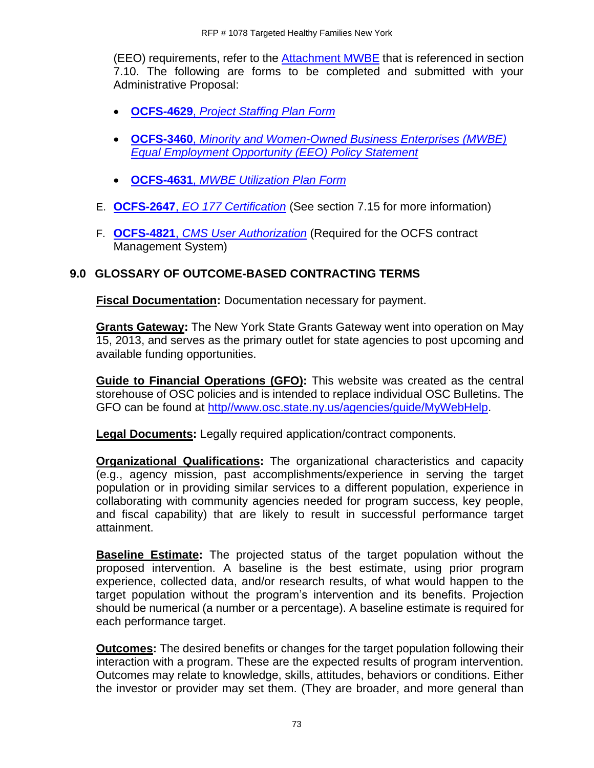(EEO) requirements, refer to the [Attachment MWBE](https://ocfs.ny.gov/main/contracts/docs/mwbe/MWBE-Appendix.pdf) that is referenced in section 7.10. The following are forms to be completed and submitted with your Administrative Proposal:

- **OCFS-4629**, *[Project Staffing Plan Form](https://ocfs.ny.gov/forms/ocfs/OCFS-4629.docx)*
- **OCFS-3460**, *[Minority and Women-Owned Business Enterprises \(MWBE\)](http://ocfs.ny.gov/main/Forms/Contracts/OCFS-3460.docx)  [Equal Employment Opportunity \(EEO\) Policy Statement](http://ocfs.ny.gov/main/Forms/Contracts/OCFS-3460.docx)*
- **OCFS-4631**, *[MWBE Utilization Plan Form](http://ocfs.ny.gov/main/Forms/Contracts/OCFS-4631%20M-WBE%20Utilization%20Plan%20Form.dot)*
- E. **OCFS-2647**, *[EO 177 Certification](https://ocfs.ny.gov/main/Forms/Contracts/OCFS-2647.docx)* (See section 7.15 for more information)
- F. **OCFS-4821**, *[CMS User Authorization](https://ocfs.ny.gov/main/Forms/Contracts/OCFS-4821%20Contract%20Management%20System%20(CMS)%20Authorization%20Form.dot)* (Required for the OCFS contract Management System)

## **9.0 GLOSSARY OF OUTCOME-BASED CONTRACTING TERMS**

**Fiscal Documentation:** Documentation necessary for payment.

**Grants Gateway:** The New York State Grants Gateway went into operation on May 15, 2013, and serves as the primary outlet for state agencies to post upcoming and available funding opportunities.

**Guide to Financial Operations (GFO):** This website was created as the central storehouse of OSC policies and is intended to replace individual OSC Bulletins. The GFO can be found at [http//www.osc.state.ny.us/agencies/guide/MyWebHelp.](http://www.osc.state.ny.us/agencies/guide/MyWebHelp)

**Legal Documents:** Legally required application/contract components.

**Organizational Qualifications:** The organizational characteristics and capacity (e.g., agency mission, past accomplishments/experience in serving the target population or in providing similar services to a different population, experience in collaborating with community agencies needed for program success, key people, and fiscal capability) that are likely to result in successful performance target attainment.

**Baseline Estimate:** The projected status of the target population without the proposed intervention. A baseline is the best estimate, using prior program experience, collected data, and/or research results, of what would happen to the target population without the program's intervention and its benefits. Projection should be numerical (a number or a percentage). A baseline estimate is required for each performance target.

**Outcomes:** The desired benefits or changes for the target population following their interaction with a program. These are the expected results of program intervention. Outcomes may relate to knowledge, skills, attitudes, behaviors or conditions. Either the investor or provider may set them. (They are broader, and more general than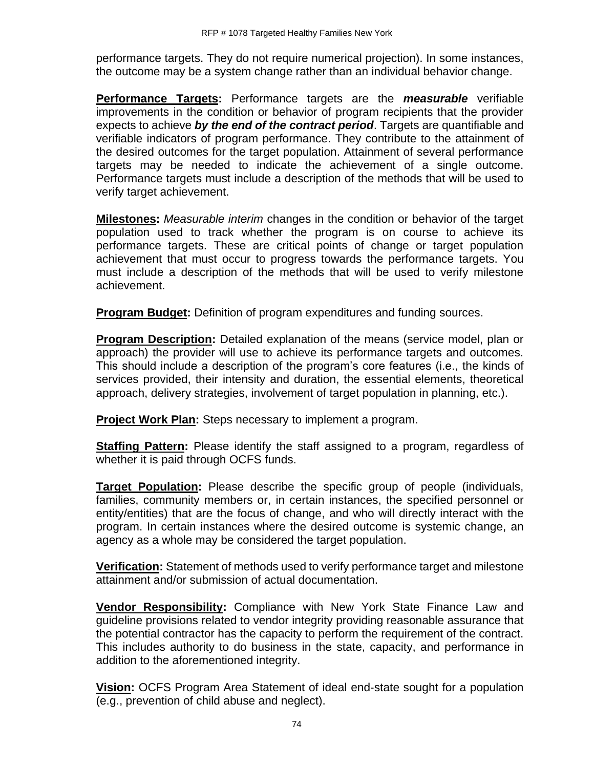performance targets. They do not require numerical projection). In some instances, the outcome may be a system change rather than an individual behavior change.

**Performance Targets:** Performance targets are the *measurable* verifiable improvements in the condition or behavior of program recipients that the provider expects to achieve *by the end of the contract period*. Targets are quantifiable and verifiable indicators of program performance. They contribute to the attainment of the desired outcomes for the target population. Attainment of several performance targets may be needed to indicate the achievement of a single outcome. Performance targets must include a description of the methods that will be used to verify target achievement.

**Milestones:** *Measurable interim* changes in the condition or behavior of the target population used to track whether the program is on course to achieve its performance targets. These are critical points of change or target population achievement that must occur to progress towards the performance targets. You must include a description of the methods that will be used to verify milestone achievement.

**Program Budget:** Definition of program expenditures and funding sources.

**Program Description:** Detailed explanation of the means (service model, plan or approach) the provider will use to achieve its performance targets and outcomes. This should include a description of the program's core features (i.e., the kinds of services provided, their intensity and duration, the essential elements, theoretical approach, delivery strategies, involvement of target population in planning, etc.).

**Project Work Plan:** Steps necessary to implement a program.

**Staffing Pattern:** Please identify the staff assigned to a program, regardless of whether it is paid through OCFS funds.

**Target Population:** Please describe the specific group of people (individuals, families, community members or, in certain instances, the specified personnel or entity/entities) that are the focus of change, and who will directly interact with the program. In certain instances where the desired outcome is systemic change, an agency as a whole may be considered the target population.

**Verification:** Statement of methods used to verify performance target and milestone attainment and/or submission of actual documentation.

**Vendor Responsibility:** Compliance with New York State Finance Law and guideline provisions related to vendor integrity providing reasonable assurance that the potential contractor has the capacity to perform the requirement of the contract. This includes authority to do business in the state, capacity, and performance in addition to the aforementioned integrity.

**Vision:** OCFS Program Area Statement of ideal end-state sought for a population (e.g., prevention of child abuse and neglect).